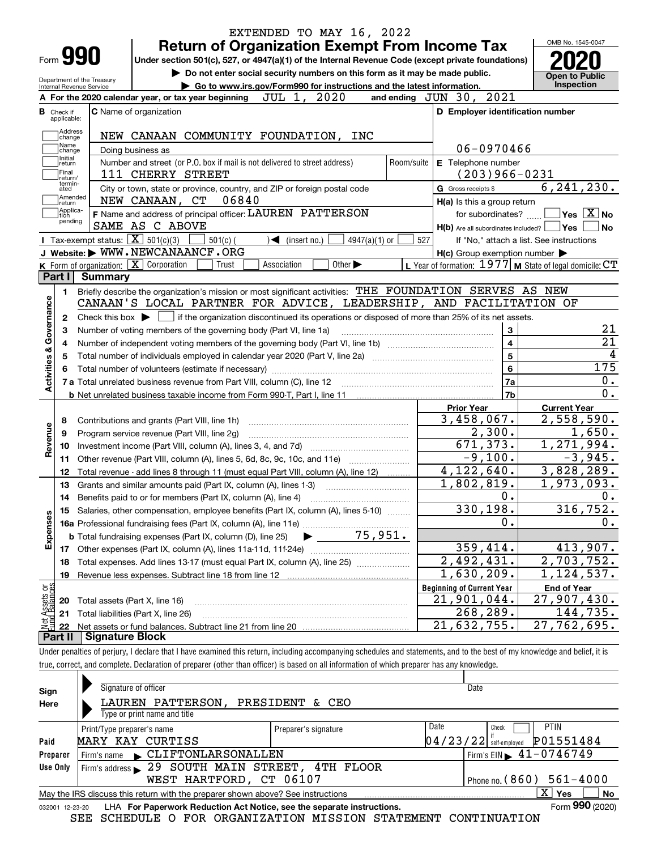|                                                                                              |         |                                                          | <b>Return of Organization Exempt From Income Tax</b>                                                                                        |                                   |                             |                 |            |                                  |                                                     | OMB No. 1545-0047                                           |
|----------------------------------------------------------------------------------------------|---------|----------------------------------------------------------|---------------------------------------------------------------------------------------------------------------------------------------------|-----------------------------------|-----------------------------|-----------------|------------|----------------------------------|-----------------------------------------------------|-------------------------------------------------------------|
| Form <b>990</b>                                                                              |         |                                                          | Under section 501(c), 527, or 4947(a)(1) of the Internal Revenue Code (except private foundations)                                          |                                   |                             |                 |            |                                  |                                                     |                                                             |
| Department of the Treasury                                                                   |         |                                                          | Do not enter social security numbers on this form as it may be made public.                                                                 |                                   |                             |                 |            |                                  |                                                     | <b>Open to Public</b>                                       |
| Internal Revenue Service                                                                     |         |                                                          | Go to www.irs.gov/Form990 for instructions and the latest information.                                                                      |                                   |                             |                 |            |                                  |                                                     | <b>Inspection</b>                                           |
|                                                                                              |         |                                                          | A For the 2020 calendar year, or tax year beginning                                                                                         | JUL 1,                            | 2020                        |                 |            | and ending JUN 30, 2021          |                                                     |                                                             |
| <b>B</b> Check if<br>applicable:                                                             |         | <b>C</b> Name of organization                            |                                                                                                                                             |                                   |                             |                 |            |                                  | D Employer identification number                    |                                                             |
| Address                                                                                      |         |                                                          |                                                                                                                                             |                                   |                             |                 |            |                                  |                                                     |                                                             |
| change<br>Name                                                                               |         |                                                          | NEW CANAAN COMMUNITY FOUNDATION, INC                                                                                                        |                                   |                             |                 |            |                                  | 06-0970466                                          |                                                             |
| change<br>Initial                                                                            |         | Doing business as                                        |                                                                                                                                             |                                   |                             |                 |            |                                  |                                                     |                                                             |
| return<br>Final                                                                              |         | 111 CHERRY STREET                                        | Number and street (or P.O. box if mail is not delivered to street address)                                                                  |                                   |                             |                 | Room/suite | E Telephone number               | $(203)966 - 0231$                                   |                                                             |
| return/<br>termin-<br>ated                                                                   |         |                                                          | City or town, state or province, country, and ZIP or foreign postal code                                                                    |                                   |                             |                 |            | G Gross receipts \$              |                                                     | 6, 241, 230.                                                |
| Amended<br>return]                                                                           |         | NEW CANAAN, CT                                           | 06840                                                                                                                                       |                                   |                             |                 |            |                                  | H(a) Is this a group return                         |                                                             |
| Applica-<br>tion                                                                             |         |                                                          | F Name and address of principal officer: LAUREN PATTERSON                                                                                   |                                   |                             |                 |            |                                  | for subordinates?                                   | $\sqrt{}$ Yes $\sqrt{}$ X $\sqrt{}$ No                      |
| pending                                                                                      |         | SAME AS C ABOVE                                          |                                                                                                                                             |                                   |                             |                 |            |                                  |                                                     | $H(b)$ Are all subordinates included? $\Box$ Yes            |
|                                                                                              |         | Tax-exempt status: $\boxed{\mathbf{X}}$ 501(c)(3)        | $501(c)$ (                                                                                                                                  | $\blacktriangleleft$ (insert no.) |                             | $4947(a)(1)$ or | 527        |                                  |                                                     | If "No," attach a list. See instructions                    |
|                                                                                              |         |                                                          | J Website: WWW.NEWCANAANCF.ORG                                                                                                              |                                   |                             |                 |            |                                  | $H(c)$ Group exemption number $\blacktriangleright$ |                                                             |
|                                                                                              |         | K Form of organization: $\boxed{\mathbf{X}}$ Corporation | Trust                                                                                                                                       | Association                       | Other $\blacktriangleright$ |                 |            |                                  |                                                     | L Year of formation: $1977$ M State of legal domicile: $CT$ |
| Part I                                                                                       | Summary |                                                          |                                                                                                                                             |                                   |                             |                 |            |                                  |                                                     |                                                             |
| 1.                                                                                           |         |                                                          | Briefly describe the organization's mission or most significant activities: THE FOUNDATION SERVES AS NEW                                    |                                   |                             |                 |            |                                  |                                                     |                                                             |
|                                                                                              |         |                                                          | CANAAN'S LOCAL PARTNER FOR ADVICE, LEADERSHIP, AND FACILITATION OF                                                                          |                                   |                             |                 |            |                                  |                                                     |                                                             |
| 2                                                                                            |         |                                                          |                                                                                                                                             |                                   |                             |                 |            |                                  |                                                     |                                                             |
|                                                                                              |         |                                                          | Check this box $\blacktriangleright$ $\Box$ if the organization discontinued its operations or disposed of more than 25% of its net assets. |                                   |                             |                 |            |                                  |                                                     |                                                             |
| з                                                                                            |         |                                                          | Number of voting members of the governing body (Part VI, line 1a)                                                                           |                                   |                             |                 |            |                                  | 3                                                   |                                                             |
| 4                                                                                            |         |                                                          |                                                                                                                                             |                                   |                             |                 |            |                                  | 4                                                   |                                                             |
| 5                                                                                            |         |                                                          |                                                                                                                                             |                                   |                             |                 |            |                                  | 5                                                   |                                                             |
|                                                                                              |         |                                                          |                                                                                                                                             |                                   |                             |                 |            |                                  | 6                                                   | 175                                                         |
|                                                                                              |         |                                                          |                                                                                                                                             |                                   |                             |                 |            |                                  | 7a                                                  |                                                             |
|                                                                                              |         |                                                          |                                                                                                                                             |                                   |                             |                 |            |                                  | 7b                                                  |                                                             |
|                                                                                              |         |                                                          |                                                                                                                                             |                                   |                             |                 |            | <b>Prior Year</b>                |                                                     | <b>Current Year</b>                                         |
| 8                                                                                            |         |                                                          | Contributions and grants (Part VIII, line 1h)                                                                                               |                                   |                             |                 |            | 3,458,067.                       |                                                     | 2,558,590.                                                  |
| 9                                                                                            |         |                                                          | Program service revenue (Part VIII, line 2g)                                                                                                |                                   |                             |                 |            |                                  | 2,300.                                              | 1,650.                                                      |
| 10                                                                                           |         |                                                          |                                                                                                                                             |                                   |                             |                 |            |                                  | 671,373.                                            | 1,271,994.                                                  |
| 11                                                                                           |         |                                                          | Other revenue (Part VIII, column (A), lines 5, 6d, 8c, 9c, 10c, and 11e)                                                                    |                                   |                             |                 |            |                                  | $-9,100.$                                           | $-3,945.$                                                   |
| 12                                                                                           |         |                                                          | Total revenue - add lines 8 through 11 (must equal Part VIII, column (A), line 12)                                                          |                                   |                             |                 |            | 4, 122, 640.                     |                                                     | 3,828,289.                                                  |
| 13                                                                                           |         |                                                          | Grants and similar amounts paid (Part IX, column (A), lines 1-3)                                                                            |                                   |                             |                 |            | 1,802,819.                       |                                                     | 1,973,093.                                                  |
| 14                                                                                           |         |                                                          |                                                                                                                                             |                                   |                             |                 |            |                                  | 0.                                                  |                                                             |
|                                                                                              |         |                                                          | 15 Salaries, other compensation, employee benefits (Part IX, column (A), lines 5-10)                                                        |                                   |                             |                 |            |                                  | 330,198.                                            | 316, 752.                                                   |
|                                                                                              |         |                                                          |                                                                                                                                             |                                   |                             |                 |            |                                  | 0.                                                  |                                                             |
|                                                                                              |         |                                                          | <b>b</b> Total fundraising expenses (Part IX, column (D), line 25)                                                                          |                                   | 75,951.                     |                 |            |                                  |                                                     |                                                             |
| 17                                                                                           |         |                                                          |                                                                                                                                             |                                   |                             |                 |            |                                  | 359,414.                                            | 413,907.                                                    |
| 18                                                                                           |         |                                                          | Total expenses. Add lines 13-17 (must equal Part IX, column (A), line 25)                                                                   |                                   |                             |                 |            | 2,492,431.                       |                                                     | 2,703,752.                                                  |
| 19                                                                                           |         |                                                          |                                                                                                                                             |                                   |                             |                 |            | 1,630,209.                       |                                                     | 1, 124, 537.                                                |
|                                                                                              |         |                                                          |                                                                                                                                             |                                   |                             |                 |            | <b>Beginning of Current Year</b> |                                                     | <b>End of Year</b>                                          |
| 20                                                                                           |         | Total assets (Part X, line 16)                           |                                                                                                                                             |                                   |                             |                 |            | 21,901,044.                      |                                                     | 27,907,430.                                                 |
| Activities & Governance<br>Revenue<br>Expenses<br>: Assets or<br>d Balances<br>21<br>鲳<br>22 |         | Total liabilities (Part X, line 26)                      |                                                                                                                                             |                                   |                             |                 |            | 21,632,755.                      | 268,289.                                            | 144,735.<br>27,762,695.                                     |

true, correct, and complete. Declaration of preparer (other than officer) is based on all information of which preparer has any knowledge.

| Sign     | Signature of officer                                                                                         | Date                 |                                                 |  |  |  |  |  |  |  |
|----------|--------------------------------------------------------------------------------------------------------------|----------------------|-------------------------------------------------|--|--|--|--|--|--|--|
| Here     | LAUREN PATTERSON,<br>PRESIDENT & CEO                                                                         |                      |                                                 |  |  |  |  |  |  |  |
|          | Type or print name and title                                                                                 |                      |                                                 |  |  |  |  |  |  |  |
|          | Print/Type preparer's name                                                                                   | Preparer's signature | Date<br><b>PTIN</b><br>Check                    |  |  |  |  |  |  |  |
| Paid     | MARY KAY CURTISS                                                                                             |                      | P01551484<br>$04/23/22$ self-employed           |  |  |  |  |  |  |  |
| Preparer | Firm's name CLIFTONLARSONALLEN                                                                               |                      | $1$ Firm's EIN $\blacktriangleright$ 41-0746749 |  |  |  |  |  |  |  |
| Use Only | Firm's address 29 SOUTH MAIN STREET, 4TH FLOOR                                                               |                      |                                                 |  |  |  |  |  |  |  |
|          | WEST HARTFORD, CT 06107<br>Phone no. $(860)$ 561-4000                                                        |                      |                                                 |  |  |  |  |  |  |  |
|          | ΧI<br><b>No</b><br>Yes<br>May the IRS discuss this return with the preparer shown above? See instructions    |                      |                                                 |  |  |  |  |  |  |  |
|          | Form 990 (2020)<br>LHA For Paperwork Reduction Act Notice, see the separate instructions.<br>032001 12-23-20 |                      |                                                 |  |  |  |  |  |  |  |

SEE SCHEDULE O FOR ORGANIZATION MISSION STATEMENT CONTINUATION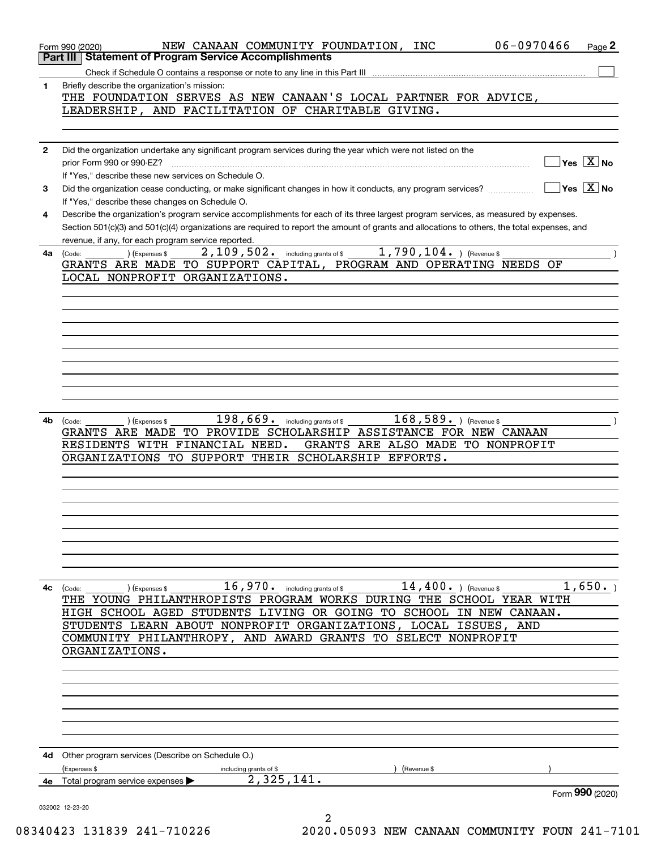|              | 06-0970466<br>NEW CANAAN COMMUNITY FOUNDATION, INC<br>Page 2<br>Form 990 (2020)<br><b>Statement of Program Service Accomplishments</b><br>Part III                                                  |
|--------------|-----------------------------------------------------------------------------------------------------------------------------------------------------------------------------------------------------|
|              |                                                                                                                                                                                                     |
| 1            | Briefly describe the organization's mission:<br>THE FOUNDATION SERVES AS NEW CANAAN'S LOCAL PARTNER FOR ADVICE,                                                                                     |
|              | LEADERSHIP, AND FACILITATION OF CHARITABLE GIVING.                                                                                                                                                  |
|              |                                                                                                                                                                                                     |
| $\mathbf{2}$ | Did the organization undertake any significant program services during the year which were not listed on the<br>$\sqrt{}$ Yes $\sqrt{}$ X $\sqrt{}$ No<br>prior Form 990 or 990-EZ?                 |
|              | If "Yes," describe these new services on Schedule O.<br>∣Yes │X ∣No                                                                                                                                 |
| 3            | Did the organization cease conducting, or make significant changes in how it conducts, any program services?<br>If "Yes," describe these changes on Schedule O.                                     |
| 4            | Describe the organization's program service accomplishments for each of its three largest program services, as measured by expenses.                                                                |
|              | Section 501(c)(3) and 501(c)(4) organizations are required to report the amount of grants and allocations to others, the total expenses, and<br>revenue, if any, for each program service reported. |
| 4a           | 1,790,104. ) (Revenue \$<br>2, 109, 502. including grants of \$<br>) (Expenses \$<br>(Code:                                                                                                         |
|              | GRANTS ARE MADE TO SUPPORT CAPITAL, PROGRAM AND OPERATING NEEDS OF                                                                                                                                  |
|              | LOCAL NONPROFIT ORGANIZATIONS.                                                                                                                                                                      |
|              |                                                                                                                                                                                                     |
|              |                                                                                                                                                                                                     |
|              |                                                                                                                                                                                                     |
|              |                                                                                                                                                                                                     |
|              |                                                                                                                                                                                                     |
|              |                                                                                                                                                                                                     |
|              |                                                                                                                                                                                                     |
|              |                                                                                                                                                                                                     |
| 4b           | $198,669$ . including grants of \$<br>$168,589.$ ) (Revenue \$<br>) (Expenses \$<br>(Code:                                                                                                          |
|              | GRANTS ARE MADE TO PROVIDE SCHOLARSHIP ASSISTANCE FOR NEW CANAAN<br>RESIDENTS WITH FINANCIAL NEED.<br>GRANTS ARE ALSO MADE TO NONPROFIT                                                             |
|              | ORGANIZATIONS TO SUPPORT THEIR SCHOLARSHIP EFFORTS.                                                                                                                                                 |
|              |                                                                                                                                                                                                     |
|              |                                                                                                                                                                                                     |
|              |                                                                                                                                                                                                     |
|              |                                                                                                                                                                                                     |
|              |                                                                                                                                                                                                     |
|              |                                                                                                                                                                                                     |
|              |                                                                                                                                                                                                     |
|              |                                                                                                                                                                                                     |
| 4с           | 16,970. including grants of \$ 14,400. (Revenue \$<br>1,650.<br>(Expenses \$<br>(Code:<br>THE YOUNG PHILANTHROPISTS PROGRAM WORKS DURING THE SCHOOL YEAR WITH                                       |
|              | HIGH SCHOOL AGED STUDENTS LIVING OR GOING TO SCHOOL IN NEW CANAAN.                                                                                                                                  |
|              | STUDENTS LEARN ABOUT NONPROFIT ORGANIZATIONS, LOCAL ISSUES, AND                                                                                                                                     |
|              | COMMUNITY PHILANTHROPY, AND AWARD GRANTS TO SELECT NONPROFIT                                                                                                                                        |
|              | ORGANIZATIONS.                                                                                                                                                                                      |
|              |                                                                                                                                                                                                     |
|              |                                                                                                                                                                                                     |
|              |                                                                                                                                                                                                     |
|              |                                                                                                                                                                                                     |
|              |                                                                                                                                                                                                     |
|              |                                                                                                                                                                                                     |
|              | 4d Other program services (Describe on Schedule O.)<br>(Expenses \$<br>including grants of \$<br>(Revenue \$                                                                                        |
| 4e           | 2, 325, 141.<br>Total program service expenses                                                                                                                                                      |
|              | Form 990 (2020)                                                                                                                                                                                     |
|              | 032002 12-23-20                                                                                                                                                                                     |
|              | 2                                                                                                                                                                                                   |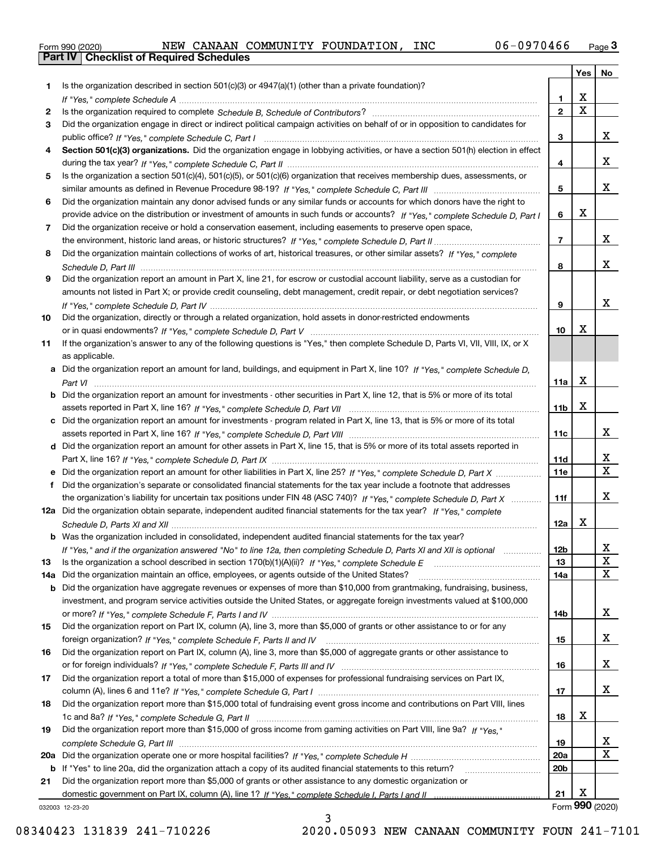|  | Form 990 (2020) |
|--|-----------------|

|     |                                                                                                                                  |                 | Yes                     | No                      |
|-----|----------------------------------------------------------------------------------------------------------------------------------|-----------------|-------------------------|-------------------------|
| 1   | Is the organization described in section $501(c)(3)$ or $4947(a)(1)$ (other than a private foundation)?                          |                 |                         |                         |
|     |                                                                                                                                  | 1.              | X                       |                         |
| 2   |                                                                                                                                  | $\overline{2}$  | $\overline{\mathbf{x}}$ |                         |
| 3   | Did the organization engage in direct or indirect political campaign activities on behalf of or in opposition to candidates for  |                 |                         |                         |
|     |                                                                                                                                  | 3               |                         | x                       |
| 4   | Section 501(c)(3) organizations. Did the organization engage in lobbying activities, or have a section 501(h) election in effect |                 |                         |                         |
|     |                                                                                                                                  | 4               |                         | x                       |
| 5   | Is the organization a section 501(c)(4), 501(c)(5), or 501(c)(6) organization that receives membership dues, assessments, or     |                 |                         |                         |
|     |                                                                                                                                  | 5               |                         | x                       |
| 6   | Did the organization maintain any donor advised funds or any similar funds or accounts for which donors have the right to        |                 |                         |                         |
|     | provide advice on the distribution or investment of amounts in such funds or accounts? If "Yes," complete Schedule D, Part I     | 6               | X                       |                         |
| 7   | Did the organization receive or hold a conservation easement, including easements to preserve open space,                        |                 |                         |                         |
|     |                                                                                                                                  | $\overline{7}$  |                         | x                       |
| 8   | Did the organization maintain collections of works of art, historical treasures, or other similar assets? If "Yes," complete     |                 |                         |                         |
|     |                                                                                                                                  | 8               |                         | x                       |
| 9   | Did the organization report an amount in Part X, line 21, for escrow or custodial account liability, serve as a custodian for    |                 |                         |                         |
|     | amounts not listed in Part X; or provide credit counseling, debt management, credit repair, or debt negotiation services?        |                 |                         |                         |
|     |                                                                                                                                  | 9               |                         | x                       |
| 10  | Did the organization, directly or through a related organization, hold assets in donor-restricted endowments                     |                 | X                       |                         |
|     |                                                                                                                                  | 10              |                         |                         |
| 11  | If the organization's answer to any of the following questions is "Yes," then complete Schedule D, Parts VI, VII, VIII, IX, or X |                 |                         |                         |
|     | as applicable.                                                                                                                   |                 |                         |                         |
|     | a Did the organization report an amount for land, buildings, and equipment in Part X, line 10? If "Yes," complete Schedule D,    |                 | X                       |                         |
| b   | Did the organization report an amount for investments - other securities in Part X, line 12, that is 5% or more of its total     | 11a             |                         |                         |
|     |                                                                                                                                  | 11 <sub>b</sub> | $\mathbf X$             |                         |
| c   | Did the organization report an amount for investments - program related in Part X, line 13, that is 5% or more of its total      |                 |                         |                         |
|     |                                                                                                                                  | 11c             |                         | x                       |
|     | d Did the organization report an amount for other assets in Part X, line 15, that is 5% or more of its total assets reported in  |                 |                         |                         |
|     |                                                                                                                                  | 11d             |                         | x                       |
|     | Did the organization report an amount for other liabilities in Part X, line 25? If "Yes," complete Schedule D, Part X            | 11e             |                         | $\overline{\mathbf{x}}$ |
| f   | Did the organization's separate or consolidated financial statements for the tax year include a footnote that addresses          |                 |                         |                         |
|     | the organization's liability for uncertain tax positions under FIN 48 (ASC 740)? If "Yes," complete Schedule D, Part X           | 11f             |                         | x                       |
|     | 12a Did the organization obtain separate, independent audited financial statements for the tax year? If "Yes," complete          |                 |                         |                         |
|     |                                                                                                                                  | 12a             | х                       |                         |
|     | <b>b</b> Was the organization included in consolidated, independent audited financial statements for the tax year?               |                 |                         |                         |
|     | If "Yes," and if the organization answered "No" to line 12a, then completing Schedule D, Parts XI and XII is optional            | 12D             |                         | ᅀ                       |
| 13  |                                                                                                                                  | 13              |                         | X                       |
| 14a | Did the organization maintain an office, employees, or agents outside of the United States?                                      | 14a             |                         | X                       |
| b   | Did the organization have aggregate revenues or expenses of more than \$10,000 from grantmaking, fundraising, business,          |                 |                         |                         |
|     | investment, and program service activities outside the United States, or aggregate foreign investments valued at \$100,000       |                 |                         |                         |
|     |                                                                                                                                  | 14b             |                         | x                       |
| 15  | Did the organization report on Part IX, column (A), line 3, more than \$5,000 of grants or other assistance to or for any        |                 |                         |                         |
|     |                                                                                                                                  | 15              |                         | x                       |
| 16  | Did the organization report on Part IX, column (A), line 3, more than \$5,000 of aggregate grants or other assistance to         |                 |                         |                         |
|     |                                                                                                                                  | 16              |                         | x                       |
| 17  | Did the organization report a total of more than \$15,000 of expenses for professional fundraising services on Part IX,          |                 |                         |                         |
|     |                                                                                                                                  | 17              |                         | X                       |
| 18  | Did the organization report more than \$15,000 total of fundraising event gross income and contributions on Part VIII, lines     |                 |                         |                         |
|     |                                                                                                                                  | 18              | х                       |                         |
| 19  | Did the organization report more than \$15,000 of gross income from gaming activities on Part VIII, line 9a? If "Yes."           |                 |                         |                         |
|     |                                                                                                                                  | 19              |                         | x                       |
| 20a |                                                                                                                                  | 20a             |                         | $\mathbf x$             |
| b   | If "Yes" to line 20a, did the organization attach a copy of its audited financial statements to this return?                     | 20 <sub>b</sub> |                         |                         |
| 21  | Did the organization report more than \$5,000 of grants or other assistance to any domestic organization or                      |                 |                         |                         |
|     |                                                                                                                                  | 21              | X                       |                         |
|     | 032003 12-23-20                                                                                                                  |                 |                         | Form 990 (2020)         |

3

032003 12-23-20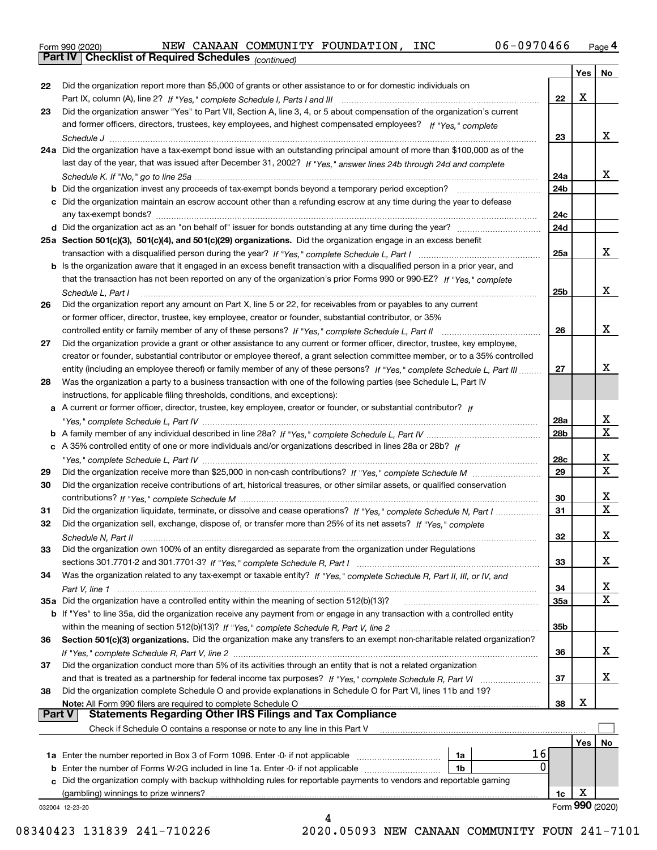|  | Form 990 (2020) |
|--|-----------------|
|  |                 |

*(continued)*

|    |                                                                                                                                    |            | Yes | No                      |
|----|------------------------------------------------------------------------------------------------------------------------------------|------------|-----|-------------------------|
| 22 | Did the organization report more than \$5,000 of grants or other assistance to or for domestic individuals on                      |            |     |                         |
|    |                                                                                                                                    | 22         | X   |                         |
| 23 | Did the organization answer "Yes" to Part VII, Section A, line 3, 4, or 5 about compensation of the organization's current         |            |     |                         |
|    | and former officers, directors, trustees, key employees, and highest compensated employees? If "Yes," complete                     |            |     |                         |
|    |                                                                                                                                    | 23         |     | x                       |
|    | 24a Did the organization have a tax-exempt bond issue with an outstanding principal amount of more than \$100,000 as of the        |            |     |                         |
|    | last day of the year, that was issued after December 31, 2002? If "Yes," answer lines 24b through 24d and complete                 |            |     |                         |
|    |                                                                                                                                    | 24a        |     | x                       |
|    | <b>b</b> Did the organization invest any proceeds of tax-exempt bonds beyond a temporary period exception?                         | 24b        |     |                         |
|    | c Did the organization maintain an escrow account other than a refunding escrow at any time during the year to defease             |            |     |                         |
|    |                                                                                                                                    | 24c        |     |                         |
|    |                                                                                                                                    | 24d        |     |                         |
|    |                                                                                                                                    |            |     |                         |
|    | 25a Section 501(c)(3), 501(c)(4), and 501(c)(29) organizations. Did the organization engage in an excess benefit                   |            |     | x                       |
|    |                                                                                                                                    | 25a        |     |                         |
|    | b Is the organization aware that it engaged in an excess benefit transaction with a disqualified person in a prior year, and       |            |     |                         |
|    | that the transaction has not been reported on any of the organization's prior Forms 990 or 990-EZ? If "Yes." complete              |            |     |                         |
|    | Schedule L, Part I                                                                                                                 | 25b        |     | x                       |
| 26 | Did the organization report any amount on Part X, line 5 or 22, for receivables from or payables to any current                    |            |     |                         |
|    | or former officer, director, trustee, key employee, creator or founder, substantial contributor, or 35%                            |            |     |                         |
|    |                                                                                                                                    | 26         |     | x                       |
| 27 | Did the organization provide a grant or other assistance to any current or former officer, director, trustee, key employee,        |            |     |                         |
|    | creator or founder, substantial contributor or employee thereof, a grant selection committee member, or to a 35% controlled        |            |     |                         |
|    | entity (including an employee thereof) or family member of any of these persons? If "Yes," complete Schedule L, Part III           | 27         |     | x                       |
| 28 | Was the organization a party to a business transaction with one of the following parties (see Schedule L, Part IV                  |            |     |                         |
|    | instructions, for applicable filing thresholds, conditions, and exceptions):                                                       |            |     |                         |
|    | a A current or former officer, director, trustee, key employee, creator or founder, or substantial contributor? If                 |            |     |                         |
|    |                                                                                                                                    | 28a        |     | x                       |
|    |                                                                                                                                    | 28b        |     | $\overline{\mathbf{X}}$ |
|    | c A 35% controlled entity of one or more individuals and/or organizations described in lines 28a or 28b? If                        |            |     |                         |
|    |                                                                                                                                    | 28c        |     | x                       |
| 29 |                                                                                                                                    | 29         |     | $\overline{\mathbf{x}}$ |
| 30 | Did the organization receive contributions of art, historical treasures, or other similar assets, or qualified conservation        |            |     |                         |
|    |                                                                                                                                    | 30         |     | x                       |
| 31 | Did the organization liquidate, terminate, or dissolve and cease operations? If "Yes," complete Schedule N, Part I                 | 31         |     | $\overline{\mathbf{x}}$ |
| 32 | Did the organization sell, exchange, dispose of, or transfer more than 25% of its net assets? If "Yes," complete                   |            |     |                         |
|    |                                                                                                                                    | 32         |     | х                       |
| 33 |                                                                                                                                    |            |     |                         |
|    | Did the organization own 100% of an entity disregarded as separate from the organization under Regulations                         |            |     | x                       |
|    |                                                                                                                                    | 33         |     |                         |
| 34 | Was the organization related to any tax-exempt or taxable entity? If "Yes," complete Schedule R, Part II, III, or IV, and          |            |     |                         |
|    |                                                                                                                                    | 34         |     | x<br>X                  |
|    | 35a Did the organization have a controlled entity within the meaning of section 512(b)(13)?                                        | <b>35a</b> |     |                         |
|    | <b>b</b> If "Yes" to line 35a, did the organization receive any payment from or engage in any transaction with a controlled entity |            |     |                         |
|    |                                                                                                                                    | 35b        |     |                         |
| 36 | Section 501(c)(3) organizations. Did the organization make any transfers to an exempt non-charitable related organization?         |            |     |                         |
|    |                                                                                                                                    | 36         |     | x                       |
| 37 | Did the organization conduct more than 5% of its activities through an entity that is not a related organization                   |            |     |                         |
|    | and that is treated as a partnership for federal income tax purposes? If "Yes," complete Schedule R, Part VI                       | 37         |     | X                       |
| 38 | Did the organization complete Schedule O and provide explanations in Schedule O for Part VI, lines 11b and 19?                     |            |     |                         |
|    | Note: All Form 990 filers are required to complete Schedule O                                                                      | 38         | X   |                         |
|    | <b>Statements Regarding Other IRS Filings and Tax Compliance</b><br><b>Part V</b>                                                  |            |     |                         |
|    | Check if Schedule O contains a response or note to any line in this Part V                                                         |            |     |                         |
|    |                                                                                                                                    |            | Yes | No                      |
|    | 16<br>1a                                                                                                                           |            |     |                         |
|    | 0<br><b>b</b> Enter the number of Forms W-2G included in line 1a. Enter -0- if not applicable<br>1b                                |            |     |                         |
|    | c Did the organization comply with backup withholding rules for reportable payments to vendors and reportable gaming               |            |     |                         |
|    | (gambling) winnings to prize winners?                                                                                              | 1c         | х   |                         |
|    | 032004 12-23-20                                                                                                                    |            |     | Form 990 (2020)         |
|    | 4                                                                                                                                  |            |     |                         |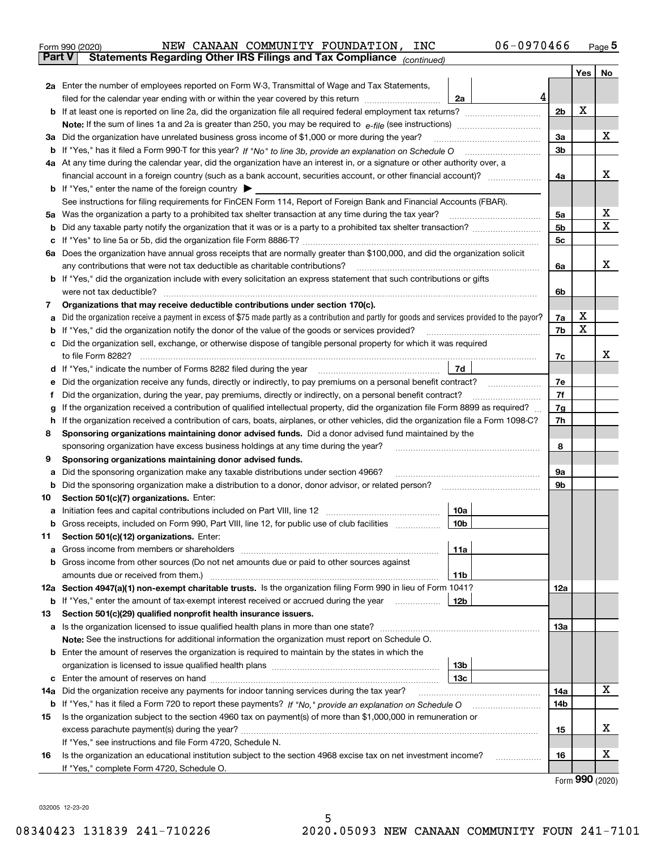| Form 990 (2020) |                                                                              |  | NEW CANAAN COMMUNITY FOUNDATION, | INC | 06-0970466 |       | Page 5 |
|-----------------|------------------------------------------------------------------------------|--|----------------------------------|-----|------------|-------|--------|
| <b>Part VT</b>  | <b>Statements Regarding Other IRS Filings and Tax Compliance</b> (continued) |  |                                  |     |            |       |        |
|                 |                                                                              |  |                                  |     |            | Yes I | No.    |

| <b>Part V</b> | Statements Regarding Other IRS Filings and Tax Compliance <sub>(continued)</sub>                                                                                                                                                     |                |        |             |
|---------------|--------------------------------------------------------------------------------------------------------------------------------------------------------------------------------------------------------------------------------------|----------------|--------|-------------|
|               |                                                                                                                                                                                                                                      |                | Yes    | No          |
|               | <b>2a</b> Enter the number of employees reported on Form W-3, Transmittal of Wage and Tax Statements,                                                                                                                                |                |        |             |
|               | 4<br>filed for the calendar year ending with or within the year covered by this return <i>manumumumum</i><br>2a                                                                                                                      |                |        |             |
|               | <b>b</b> If at least one is reported on line 2a, did the organization file all required federal employment tax returns?                                                                                                              | 2b             | X      |             |
|               |                                                                                                                                                                                                                                      |                |        |             |
|               | 3a Did the organization have unrelated business gross income of \$1,000 or more during the year?                                                                                                                                     | За             |        | x           |
|               |                                                                                                                                                                                                                                      | 3b             |        |             |
|               | 4a At any time during the calendar year, did the organization have an interest in, or a signature or other authority over, a                                                                                                         |                |        |             |
|               |                                                                                                                                                                                                                                      | 4a             |        | x           |
|               | <b>b</b> If "Yes," enter the name of the foreign country                                                                                                                                                                             |                |        |             |
|               | See instructions for filing requirements for FinCEN Form 114, Report of Foreign Bank and Financial Accounts (FBAR).                                                                                                                  |                |        |             |
| 5a            |                                                                                                                                                                                                                                      | 5a             |        | х           |
|               |                                                                                                                                                                                                                                      | 5 <sub>b</sub> |        | $\mathbf X$ |
| с             |                                                                                                                                                                                                                                      | 5c             |        |             |
|               | 6a Does the organization have annual gross receipts that are normally greater than \$100,000, and did the organization solicit                                                                                                       |                |        |             |
|               | any contributions that were not tax deductible as charitable contributions?                                                                                                                                                          | 6a             |        | x           |
|               | <b>b</b> If "Yes," did the organization include with every solicitation an express statement that such contributions or gifts                                                                                                        |                |        |             |
|               | were not tax deductible?                                                                                                                                                                                                             | 6b             |        |             |
| 7             | Organizations that may receive deductible contributions under section 170(c).                                                                                                                                                        |                |        |             |
| а             | Did the organization receive a payment in excess of \$75 made partly as a contribution and partly for goods and services provided to the payor?                                                                                      | 7a             | х      |             |
| b             | If "Yes," did the organization notify the donor of the value of the goods or services provided?                                                                                                                                      | 7b             | X      |             |
|               | c Did the organization sell, exchange, or otherwise dispose of tangible personal property for which it was required                                                                                                                  |                |        |             |
|               |                                                                                                                                                                                                                                      | 7c             |        | x           |
|               | 7d<br>d If "Yes," indicate the number of Forms 8282 filed during the year manufactured in the second of the way and the way and the Wales of the Wales of the Wales of the Wales of the Wales of the Wales of the Wales of the Wales |                |        |             |
| е             | Did the organization receive any funds, directly or indirectly, to pay premiums on a personal benefit contract?                                                                                                                      | 7е             |        |             |
|               | Did the organization, during the year, pay premiums, directly or indirectly, on a personal benefit contract?                                                                                                                         | 7f             |        |             |
|               | If the organization received a contribution of qualified intellectual property, did the organization file Form 8899 as required?                                                                                                     | 7g             |        |             |
| h             | If the organization received a contribution of cars, boats, airplanes, or other vehicles, did the organization file a Form 1098-C?                                                                                                   | 7h             |        |             |
| 8             | Sponsoring organizations maintaining donor advised funds. Did a donor advised fund maintained by the                                                                                                                                 |                |        |             |
|               | sponsoring organization have excess business holdings at any time during the year?                                                                                                                                                   | 8              |        |             |
| 9             | Sponsoring organizations maintaining donor advised funds.                                                                                                                                                                            |                |        |             |
| а             | Did the sponsoring organization make any taxable distributions under section 4966?                                                                                                                                                   | 9а             |        |             |
| b             | Did the sponsoring organization make a distribution to a donor, donor advisor, or related person? <i>manumumumumum</i>                                                                                                               | 9b             |        |             |
| 10            | Section 501(c)(7) organizations. Enter:                                                                                                                                                                                              |                |        |             |
| а             | 10a<br>Initiation fees and capital contributions included on Part VIII, line 12 [100] [100] [100] [100] [100] [100] [                                                                                                                |                |        |             |
|               | 10 <sub>b</sub><br>b Gross receipts, included on Form 990, Part VIII, line 12, for public use of club facilities                                                                                                                     |                |        |             |
| 11            | Section 501(c)(12) organizations. Enter:                                                                                                                                                                                             |                |        |             |
| а             | 11a                                                                                                                                                                                                                                  |                |        |             |
|               | b Gross income from other sources (Do not net amounts due or paid to other sources against                                                                                                                                           |                |        |             |
|               | 11b                                                                                                                                                                                                                                  |                |        |             |
|               | 12a Section 4947(a)(1) non-exempt charitable trusts. Is the organization filing Form 990 in lieu of Form 1041?                                                                                                                       | 12a            |        |             |
|               | 12b<br><b>b</b> If "Yes," enter the amount of tax-exempt interest received or accrued during the year                                                                                                                                |                |        |             |
| 13            | Section 501(c)(29) qualified nonprofit health insurance issuers.                                                                                                                                                                     |                |        |             |
|               | a Is the organization licensed to issue qualified health plans in more than one state?                                                                                                                                               | 13а            |        |             |
|               | Note: See the instructions for additional information the organization must report on Schedule O.                                                                                                                                    |                |        |             |
|               | <b>b</b> Enter the amount of reserves the organization is required to maintain by the states in which the                                                                                                                            |                |        |             |
|               | 13b                                                                                                                                                                                                                                  |                |        |             |
|               | 13c                                                                                                                                                                                                                                  |                |        |             |
|               | 14a Did the organization receive any payments for indoor tanning services during the tax year?                                                                                                                                       | 14a            |        | X           |
|               | <b>b</b> If "Yes," has it filed a Form 720 to report these payments? If "No," provide an explanation on Schedule O                                                                                                                   | 14b            |        |             |
| 15            | Is the organization subject to the section 4960 tax on payment(s) of more than \$1,000,000 in remuneration or                                                                                                                        |                |        |             |
|               |                                                                                                                                                                                                                                      | 15             |        | х           |
|               | If "Yes," see instructions and file Form 4720, Schedule N.                                                                                                                                                                           |                |        |             |
| 16            | Is the organization an educational institution subject to the section 4968 excise tax on net investment income?                                                                                                                      | 16             |        | х           |
|               | If "Yes," complete Form 4720, Schedule O.                                                                                                                                                                                            |                | റററ കം |             |

5

Form (2020) **990**

032005 12-23-20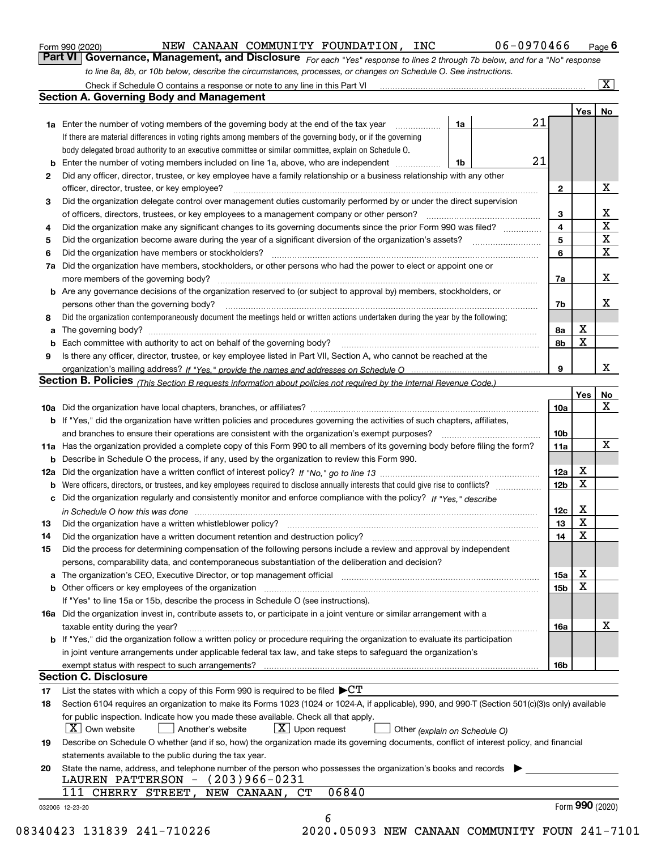|  | Form 990 (2020) |
|--|-----------------|
|  |                 |

NEW CANAAN COMMUNITY FOUNDATION, INC 06-0970466

*For each "Yes" response to lines 2 through 7b below, and for a "No" response to line 8a, 8b, or 10b below, describe the circumstances, processes, or changes on Schedule O. See instructions.* Form 990 (2020) **MEW CANAAN COMMUNITY FOUNDATION, INC** 06-0970466 Page 6<br>**Part VI Governance, Management, and Disclosure** For each "Yes" response to lines 2 through 7b below, and for a "No" response

|              |                                                                                                                                                                               |    |    |                 | Yes   No        |             |
|--------------|-------------------------------------------------------------------------------------------------------------------------------------------------------------------------------|----|----|-----------------|-----------------|-------------|
|              | <b>1a</b> Enter the number of voting members of the governing body at the end of the tax year <i>manumum</i>                                                                  | 1a | 21 |                 |                 |             |
|              | If there are material differences in voting rights among members of the governing body, or if the governing                                                                   |    |    |                 |                 |             |
|              | body delegated broad authority to an executive committee or similar committee, explain on Schedule O.                                                                         |    |    |                 |                 |             |
|              | <b>b</b> Enter the number of voting members included on line 1a, above, who are independent <i>manumum</i>                                                                    | 1b | 21 |                 |                 |             |
| $\mathbf{2}$ | Did any officer, director, trustee, or key employee have a family relationship or a business relationship with any other                                                      |    |    |                 |                 |             |
|              | officer, director, trustee, or key employee?                                                                                                                                  |    |    | $\mathbf{2}$    |                 | X           |
| 3            | Did the organization delegate control over management duties customarily performed by or under the direct supervision                                                         |    |    |                 |                 |             |
|              |                                                                                                                                                                               |    |    | 3               |                 | X           |
| 4            | Did the organization make any significant changes to its governing documents since the prior Form 990 was filed?                                                              |    |    | $\overline{4}$  |                 | $\mathbf X$ |
| 5            |                                                                                                                                                                               |    |    | 5               |                 | $\mathbf X$ |
| 6            |                                                                                                                                                                               |    |    | 6               |                 | $\mathbf X$ |
| 7a           | Did the organization have members, stockholders, or other persons who had the power to elect or appoint one or                                                                |    |    |                 |                 |             |
|              |                                                                                                                                                                               |    |    | 7a              |                 | х           |
|              | <b>b</b> Are any governance decisions of the organization reserved to (or subject to approval by) members, stockholders, or                                                   |    |    |                 |                 |             |
|              | persons other than the governing body?                                                                                                                                        |    |    | 7b              |                 | х           |
| 8            | Did the organization contemporaneously document the meetings held or written actions undertaken during the year by the following:                                             |    |    |                 |                 |             |
| a            |                                                                                                                                                                               |    |    | 8а              | X               |             |
|              |                                                                                                                                                                               |    |    | 8b              | X               |             |
| 9            | Is there any officer, director, trustee, or key employee listed in Part VII, Section A, who cannot be reached at the                                                          |    |    |                 |                 |             |
|              |                                                                                                                                                                               |    |    | 9               |                 | x           |
|              | Section B. Policies (This Section B requests information about policies not required by the Internal Revenue Code.)                                                           |    |    |                 |                 |             |
|              |                                                                                                                                                                               |    |    |                 | Yes             | No          |
|              |                                                                                                                                                                               |    |    | 10a             |                 | X           |
|              | <b>b</b> If "Yes," did the organization have written policies and procedures governing the activities of such chapters, affiliates,                                           |    |    |                 |                 |             |
|              |                                                                                                                                                                               |    |    | 10 <sub>b</sub> |                 |             |
|              | 11a Has the organization provided a complete copy of this Form 990 to all members of its governing body before filing the form?                                               |    |    | 11a             |                 | X           |
|              | <b>b</b> Describe in Schedule O the process, if any, used by the organization to review this Form 990.                                                                        |    |    |                 |                 |             |
|              |                                                                                                                                                                               |    |    | 12a             | х               |             |
|              |                                                                                                                                                                               |    |    | 12 <sub>b</sub> | X               |             |
| b            | c Did the organization regularly and consistently monitor and enforce compliance with the policy? If "Yes." describe                                                          |    |    |                 |                 |             |
|              |                                                                                                                                                                               |    |    |                 | X               |             |
|              | in Schedule O how this was done manufactured and continuum control of the Schedule O how this was done manufactured and continuum control of the Schedule O how this was done |    |    | 12c             | X               |             |
| 13           |                                                                                                                                                                               |    |    | 13              | X               |             |
| 14           | Did the organization have a written document retention and destruction policy? manufactured and the organization have a written document retention and destruction policy?    |    |    | 14              |                 |             |
| 15           | Did the process for determining compensation of the following persons include a review and approval by independent                                                            |    |    |                 |                 |             |
|              | persons, comparability data, and contemporaneous substantiation of the deliberation and decision?                                                                             |    |    |                 |                 |             |
|              |                                                                                                                                                                               |    |    | 15a             | X               |             |
|              |                                                                                                                                                                               |    |    | 15 <sub>b</sub> | X               |             |
|              | If "Yes" to line 15a or 15b, describe the process in Schedule O (see instructions).                                                                                           |    |    |                 |                 |             |
|              | 16a Did the organization invest in, contribute assets to, or participate in a joint venture or similar arrangement with a                                                     |    |    |                 |                 |             |
|              | taxable entity during the year?                                                                                                                                               |    |    | 16a             |                 | X           |
|              | b If "Yes," did the organization follow a written policy or procedure requiring the organization to evaluate its participation                                                |    |    |                 |                 |             |
|              | in joint venture arrangements under applicable federal tax law, and take steps to safeguard the organization's                                                                |    |    |                 |                 |             |
|              | exempt status with respect to such arrangements?                                                                                                                              |    |    | 16 <sub>b</sub> |                 |             |
|              | <b>Section C. Disclosure</b>                                                                                                                                                  |    |    |                 |                 |             |
| 17           | List the states with which a copy of this Form 990 is required to be filed $\blacktriangleright$ CT                                                                           |    |    |                 |                 |             |
| 18           | Section 6104 requires an organization to make its Forms 1023 (1024 or 1024-A, if applicable), 990, and 990-T (Section 501(c)(3)s only) available                              |    |    |                 |                 |             |
|              | for public inspection. Indicate how you made these available. Check all that apply.                                                                                           |    |    |                 |                 |             |
|              | $ X $ Own website<br>$\lfloor x \rfloor$ Upon request<br>Another's website<br>Other (explain on Schedule O)                                                                   |    |    |                 |                 |             |
| 19           | Describe on Schedule O whether (and if so, how) the organization made its governing documents, conflict of interest policy, and financial                                     |    |    |                 |                 |             |
|              | statements available to the public during the tax year.                                                                                                                       |    |    |                 |                 |             |
| 20           | State the name, address, and telephone number of the person who possesses the organization's books and records                                                                |    |    |                 |                 |             |
|              | LAUREN PATTERSON - (203)966-0231                                                                                                                                              |    |    |                 |                 |             |
|              | 06840<br>NEW CANAAN, CT<br>CHERRY STREET,<br>111                                                                                                                              |    |    |                 |                 |             |
|              | 032006 12-23-20                                                                                                                                                               |    |    |                 | Form 990 (2020) |             |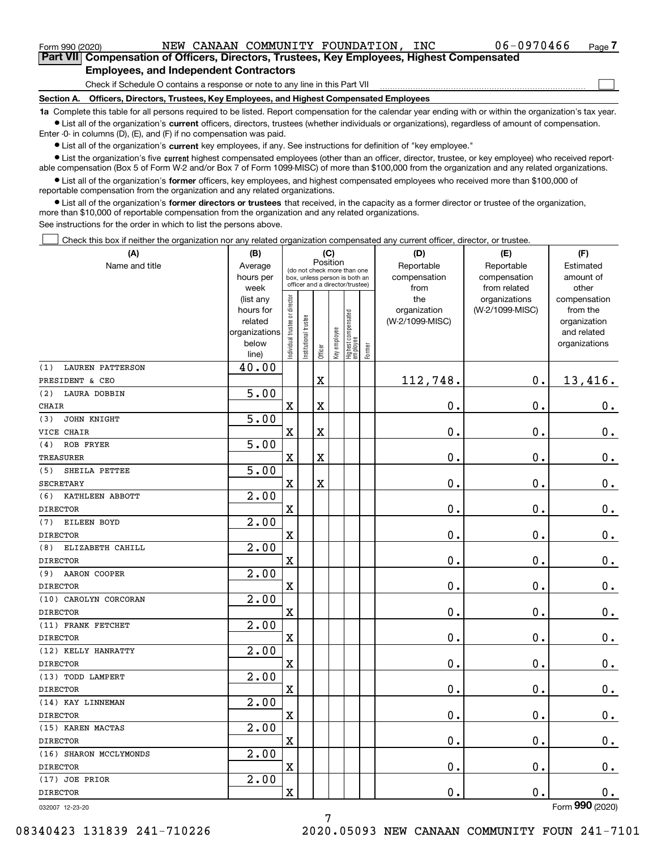$_{\rm Form}$  990 (2020) NEW CANAAN COMMUNITY FOUNDATION, INC  $100-0970466$   $_{\rm Page}$ 

 $\mathcal{L}^{\text{max}}$ 

**7Part VII Compensation of Officers, Directors, Trustees, Key Employees, Highest Compensated Employees, and Independent Contractors**

Check if Schedule O contains a response or note to any line in this Part VII

**Section A. Officers, Directors, Trustees, Key Employees, and Highest Compensated Employees**

**1a**  Complete this table for all persons required to be listed. Report compensation for the calendar year ending with or within the organization's tax year. **•** List all of the organization's current officers, directors, trustees (whether individuals or organizations), regardless of amount of compensation.

Enter -0- in columns (D), (E), and (F) if no compensation was paid.

 $\bullet$  List all of the organization's  $\,$ current key employees, if any. See instructions for definition of "key employee."

**•** List the organization's five current highest compensated employees (other than an officer, director, trustee, or key employee) who received reportable compensation (Box 5 of Form W-2 and/or Box 7 of Form 1099-MISC) of more than \$100,000 from the organization and any related organizations.

**•** List all of the organization's former officers, key employees, and highest compensated employees who received more than \$100,000 of reportable compensation from the organization and any related organizations.

**former directors or trustees**  ¥ List all of the organization's that received, in the capacity as a former director or trustee of the organization, more than \$10,000 of reportable compensation from the organization and any related organizations.

See instructions for the order in which to list the persons above.

Check this box if neither the organization nor any related organization compensated any current officer, director, or trustee.  $\mathcal{L}^{\text{max}}$ 

| (A)                            | (B)                    |                                         |                                                                  | (C)         |              |                                  |              | (D)                 | (E)                              | (F)                      |
|--------------------------------|------------------------|-----------------------------------------|------------------------------------------------------------------|-------------|--------------|----------------------------------|--------------|---------------------|----------------------------------|--------------------------|
| Name and title                 | Average                | Position<br>(do not check more than one |                                                                  |             |              |                                  | Reportable   | Reportable          | Estimated                        |                          |
|                                | hours per              |                                         | box, unless person is both an<br>officer and a director/trustee) |             |              |                                  | compensation | compensation        | amount of                        |                          |
|                                | week                   |                                         |                                                                  |             |              |                                  |              | from                | from related                     | other                    |
|                                | (list any<br>hours for |                                         |                                                                  |             |              |                                  |              | the<br>organization | organizations<br>(W-2/1099-MISC) | compensation<br>from the |
|                                | related                |                                         |                                                                  |             |              |                                  |              | (W-2/1099-MISC)     |                                  | organization             |
|                                | organizations          |                                         |                                                                  |             |              |                                  |              |                     |                                  | and related              |
|                                | below                  | ndividual trustee or director           | nstitutional trustee                                             |             | Key employee |                                  |              |                     |                                  | organizations            |
|                                | line)                  |                                         |                                                                  | Officer     |              | Highest compensated<br> employee | Former       |                     |                                  |                          |
| <b>LAUREN PATTERSON</b><br>(1) | 40.00                  |                                         |                                                                  |             |              |                                  |              |                     |                                  |                          |
| PRESIDENT & CEO                |                        |                                         |                                                                  | $\mathbf X$ |              |                                  |              | 112,748.            | $\mathbf 0$ .                    | 13,416.                  |
| (2)<br>LAURA DOBBIN            | 5.00                   |                                         |                                                                  |             |              |                                  |              |                     |                                  |                          |
| <b>CHAIR</b>                   |                        | $\overline{\textbf{X}}$                 |                                                                  | $\mathbf X$ |              |                                  |              | 0.                  | $\mathbf 0$ .                    | 0.                       |
| (3)<br>JOHN KNIGHT             | 5.00                   |                                         |                                                                  |             |              |                                  |              |                     |                                  |                          |
| VICE CHAIR                     |                        | $\rm X$                                 |                                                                  | $\rm X$     |              |                                  |              | 0.                  | $\mathbf 0$ .                    | $\mathbf 0$ .            |
| ROB FRYER<br>(4)               | 5.00                   |                                         |                                                                  |             |              |                                  |              |                     |                                  |                          |
| <b>TREASURER</b>               |                        | $\bar{\mathbf{X}}$                      |                                                                  | $\rm X$     |              |                                  |              | 0.                  | $\mathbf 0$ .                    | $\mathbf 0$ .            |
| SHEILA PETTEE<br>(5)           | 5.00                   |                                         |                                                                  |             |              |                                  |              |                     |                                  |                          |
| <b>SECRETARY</b>               |                        | $\rm X$                                 |                                                                  | $\mathbf X$ |              |                                  |              | $\mathbf 0$ .       | $\mathbf 0$ .                    | $0_{.}$                  |
| KATHLEEN ABBOTT<br>(6)         | 2.00                   |                                         |                                                                  |             |              |                                  |              |                     |                                  |                          |
| <b>DIRECTOR</b>                |                        | $\overline{\mathbf{X}}$                 |                                                                  |             |              |                                  |              | 0.                  | $\mathbf 0$ .                    | $\mathbf 0$ .            |
| EILEEN BOYD<br>(7)             | 2.00                   |                                         |                                                                  |             |              |                                  |              |                     |                                  |                          |
| <b>DIRECTOR</b>                |                        | $\mathbf X$                             |                                                                  |             |              |                                  |              | 0.                  | $\mathbf 0$ .                    | $\mathbf 0$ .            |
| ELIZABETH CAHILL<br>(8)        | $\overline{2.00}$      |                                         |                                                                  |             |              |                                  |              |                     |                                  |                          |
| <b>DIRECTOR</b>                |                        | $\overline{\mathbf{X}}$                 |                                                                  |             |              |                                  |              | 0.                  | $\mathbf 0$ .                    | $0$ .                    |
| (9)<br>AARON COOPER            | $\overline{2.00}$      |                                         |                                                                  |             |              |                                  |              |                     |                                  |                          |
| <b>DIRECTOR</b>                |                        | $\overline{\textbf{X}}$                 |                                                                  |             |              |                                  |              | 0.                  | 0.                               | $\mathbf 0$ .            |
| (10) CAROLYN CORCORAN          | 2.00                   |                                         |                                                                  |             |              |                                  |              |                     |                                  |                          |
| <b>DIRECTOR</b>                |                        | $\overline{\text{X}}$                   |                                                                  |             |              |                                  |              | 0.                  | $\mathbf 0$ .                    | $0_{.}$                  |
| (11) FRANK FETCHET             | $\overline{2.00}$      |                                         |                                                                  |             |              |                                  |              |                     |                                  |                          |
| <b>DIRECTOR</b>                |                        | $\overline{\mathbf{X}}$                 |                                                                  |             |              |                                  |              | 0.                  | $\mathbf 0$ .                    | $0_{.}$                  |
| (12) KELLY HANRATTY            | 2.00                   |                                         |                                                                  |             |              |                                  |              |                     |                                  |                          |
| <b>DIRECTOR</b>                |                        | $\mathbf X$                             |                                                                  |             |              |                                  |              | 0.                  | 0.                               | $\mathbf 0$ .            |
| (13) TODD LAMPERT              | 2.00                   |                                         |                                                                  |             |              |                                  |              |                     |                                  |                          |
| <b>DIRECTOR</b>                |                        | $\overline{\textbf{X}}$                 |                                                                  |             |              |                                  |              | 0.                  | $\mathbf 0$ .                    | $0$ .                    |
| (14) KAY LINNEMAN              | 2.00                   |                                         |                                                                  |             |              |                                  |              |                     |                                  |                          |
| <b>DIRECTOR</b>                |                        | $\mathbf x$                             |                                                                  |             |              |                                  |              | 0.                  | $\mathbf 0$ .                    | 0.                       |
| (15) KAREN MACTAS              | $\overline{2.00}$      |                                         |                                                                  |             |              |                                  |              |                     |                                  |                          |
| <b>DIRECTOR</b>                |                        | $\overline{\mathbf{X}}$                 |                                                                  |             |              |                                  |              | 0.                  | $\mathbf 0$ .                    | $\mathbf 0$ .            |
| (16) SHARON MCCLYMONDS         | $\overline{2.00}$      |                                         |                                                                  |             |              |                                  |              |                     |                                  |                          |
| <b>DIRECTOR</b>                |                        | $\overline{\textbf{X}}$                 |                                                                  |             |              |                                  |              | 0.                  | $\mathbf 0$ .                    | $0_{.}$                  |
| (17) JOE PRIOR                 | 2.00                   |                                         |                                                                  |             |              |                                  |              |                     |                                  |                          |
| <b>DIRECTOR</b>                |                        | $\overline{\mathbf{X}}$                 |                                                                  |             |              |                                  |              | 0.                  | $\mathbf 0$ .                    | 0.                       |
|                                |                        |                                         |                                                                  |             |              |                                  |              |                     |                                  | nnn.                     |

032007 12-23-20

Form (2020) **990**

7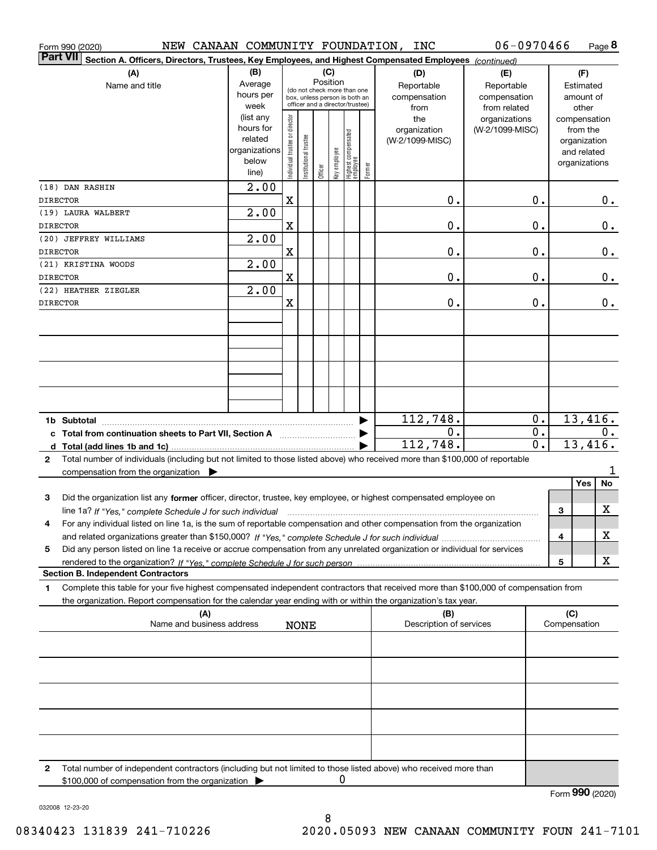| NEW CANAAN COMMUNITY FOUNDATION, INC<br>Form 990 (2020)                                                                                                                                                                                                                               |                      |                                |                                                                  |         |              |                                   |        |                         | 06-0970466                   |              | Page 8                      |
|---------------------------------------------------------------------------------------------------------------------------------------------------------------------------------------------------------------------------------------------------------------------------------------|----------------------|--------------------------------|------------------------------------------------------------------|---------|--------------|-----------------------------------|--------|-------------------------|------------------------------|--------------|-----------------------------|
| <b>Part VII</b><br>Section A. Officers, Directors, Trustees, Key Employees, and Highest Compensated Employees (continued)                                                                                                                                                             |                      |                                |                                                                  |         |              |                                   |        |                         |                              |              |                             |
| (A)                                                                                                                                                                                                                                                                                   | (B)                  |                                |                                                                  | (C)     | Position     |                                   |        | (D)                     | (E)                          |              | (F)                         |
| Name and title                                                                                                                                                                                                                                                                        | Average<br>hours per |                                | (do not check more than one                                      |         |              |                                   |        | Reportable              | Reportable                   |              | Estimated                   |
|                                                                                                                                                                                                                                                                                       | week                 |                                | box, unless person is both an<br>officer and a director/trustee) |         |              |                                   |        | compensation<br>from    | compensation<br>from related |              | amount of<br>other          |
|                                                                                                                                                                                                                                                                                       | (list any            |                                |                                                                  |         |              |                                   |        | the                     | organizations                |              | compensation                |
|                                                                                                                                                                                                                                                                                       | hours for<br>related | Individual trustee or director |                                                                  |         |              |                                   |        | organization            | (W-2/1099-MISC)              |              | from the                    |
|                                                                                                                                                                                                                                                                                       | organizations        |                                |                                                                  |         |              |                                   |        | (W-2/1099-MISC)         |                              |              | organization<br>and related |
|                                                                                                                                                                                                                                                                                       | below                |                                | nstitutional trustee                                             |         | key employee |                                   |        |                         |                              |              | organizations               |
|                                                                                                                                                                                                                                                                                       | line)                |                                |                                                                  | Officer |              | Highest compensated<br>  employee | Former |                         |                              |              |                             |
| (18) DAN RASHIN                                                                                                                                                                                                                                                                       | $\overline{2.00}$    |                                |                                                                  |         |              |                                   |        |                         |                              |              |                             |
| <b>DIRECTOR</b>                                                                                                                                                                                                                                                                       |                      | X                              |                                                                  |         |              |                                   |        | 0.                      | 0.                           |              | $0$ .                       |
| (19) LAURA WALBERT<br><b>DIRECTOR</b>                                                                                                                                                                                                                                                 | $\overline{2.00}$    | $\mathbf X$                    |                                                                  |         |              |                                   |        | 0.                      | 0.                           |              | 0.                          |
| (20) JEFFREY WILLIAMS                                                                                                                                                                                                                                                                 | $\overline{2.00}$    |                                |                                                                  |         |              |                                   |        |                         |                              |              |                             |
| <b>DIRECTOR</b>                                                                                                                                                                                                                                                                       |                      | $\mathbf X$                    |                                                                  |         |              |                                   |        | 0.                      | 0.                           |              | 0.                          |
| (21) KRISTINA WOODS                                                                                                                                                                                                                                                                   | $\overline{2.00}$    |                                |                                                                  |         |              |                                   |        |                         |                              |              |                             |
| <b>DIRECTOR</b>                                                                                                                                                                                                                                                                       |                      | X                              |                                                                  |         |              |                                   |        | 0.                      | 0.                           |              | 0.                          |
| (22) HEATHER ZIEGLER                                                                                                                                                                                                                                                                  | 2.00                 |                                |                                                                  |         |              |                                   |        |                         |                              |              |                             |
| <b>DIRECTOR</b>                                                                                                                                                                                                                                                                       |                      | X                              |                                                                  |         |              |                                   |        | 0.                      | 0.                           |              | 0.                          |
|                                                                                                                                                                                                                                                                                       |                      |                                |                                                                  |         |              |                                   |        |                         |                              |              |                             |
|                                                                                                                                                                                                                                                                                       |                      |                                |                                                                  |         |              |                                   |        |                         |                              |              |                             |
|                                                                                                                                                                                                                                                                                       |                      |                                |                                                                  |         |              |                                   |        |                         |                              |              |                             |
|                                                                                                                                                                                                                                                                                       |                      |                                |                                                                  |         |              |                                   |        |                         |                              |              |                             |
|                                                                                                                                                                                                                                                                                       |                      |                                |                                                                  |         |              |                                   |        |                         |                              |              |                             |
|                                                                                                                                                                                                                                                                                       |                      |                                |                                                                  |         |              |                                   |        |                         |                              |              |                             |
| 1b Subtotal                                                                                                                                                                                                                                                                           |                      |                                |                                                                  |         |              |                                   |        | 112,748.                | 0.                           |              | 13,416.                     |
|                                                                                                                                                                                                                                                                                       |                      |                                |                                                                  |         |              |                                   |        | 0.                      | 0.                           |              | 0.                          |
|                                                                                                                                                                                                                                                                                       |                      |                                |                                                                  |         |              |                                   |        | 112,748.                | 0.                           |              | 13,416.                     |
| Total number of individuals (including but not limited to those listed above) who received more than \$100,000 of reportable<br>$\mathbf{2}$                                                                                                                                          |                      |                                |                                                                  |         |              |                                   |        |                         |                              |              |                             |
| compensation from the organization $\blacktriangleright$                                                                                                                                                                                                                              |                      |                                |                                                                  |         |              |                                   |        |                         |                              |              |                             |
|                                                                                                                                                                                                                                                                                       |                      |                                |                                                                  |         |              |                                   |        |                         |                              |              | No<br>Yes                   |
| Did the organization list any former officer, director, trustee, key employee, or highest compensated employee on<br>3                                                                                                                                                                |                      |                                |                                                                  |         |              |                                   |        |                         |                              | З            | X                           |
| line 1a? If "Yes," complete Schedule J for such individual manufactured contained and the line 1a? If "Yes," complete Schedule J for such individual<br>For any individual listed on line 1a, is the sum of reportable compensation and other compensation from the organization<br>4 |                      |                                |                                                                  |         |              |                                   |        |                         |                              |              |                             |
|                                                                                                                                                                                                                                                                                       |                      |                                |                                                                  |         |              |                                   |        |                         |                              | 4            | X                           |
| Did any person listed on line 1a receive or accrue compensation from any unrelated organization or individual for services<br>5                                                                                                                                                       |                      |                                |                                                                  |         |              |                                   |        |                         |                              |              |                             |
|                                                                                                                                                                                                                                                                                       |                      |                                |                                                                  |         |              |                                   |        |                         |                              | 5            | x                           |
| <b>Section B. Independent Contractors</b>                                                                                                                                                                                                                                             |                      |                                |                                                                  |         |              |                                   |        |                         |                              |              |                             |
| Complete this table for your five highest compensated independent contractors that received more than \$100,000 of compensation from<br>1                                                                                                                                             |                      |                                |                                                                  |         |              |                                   |        |                         |                              |              |                             |
| the organization. Report compensation for the calendar year ending with or within the organization's tax year.<br>(A)                                                                                                                                                                 |                      |                                |                                                                  |         |              |                                   |        | (B)                     |                              | (C)          |                             |
| Name and business address                                                                                                                                                                                                                                                             |                      |                                | <b>NONE</b>                                                      |         |              |                                   |        | Description of services |                              | Compensation |                             |
|                                                                                                                                                                                                                                                                                       |                      |                                |                                                                  |         |              |                                   |        |                         |                              |              |                             |
|                                                                                                                                                                                                                                                                                       |                      |                                |                                                                  |         |              |                                   |        |                         |                              |              |                             |
|                                                                                                                                                                                                                                                                                       |                      |                                |                                                                  |         |              |                                   |        |                         |                              |              |                             |
|                                                                                                                                                                                                                                                                                       |                      |                                |                                                                  |         |              |                                   |        |                         |                              |              |                             |
|                                                                                                                                                                                                                                                                                       |                      |                                |                                                                  |         |              |                                   |        |                         |                              |              |                             |
|                                                                                                                                                                                                                                                                                       |                      |                                |                                                                  |         |              |                                   |        |                         |                              |              |                             |
|                                                                                                                                                                                                                                                                                       |                      |                                |                                                                  |         |              |                                   |        |                         |                              |              |                             |
|                                                                                                                                                                                                                                                                                       |                      |                                |                                                                  |         |              |                                   |        |                         |                              |              |                             |
| Total number of independent contractors (including but not limited to those listed above) who received more than<br>2                                                                                                                                                                 |                      |                                |                                                                  |         |              |                                   |        |                         |                              |              |                             |
| \$100,000 of compensation from the organization                                                                                                                                                                                                                                       |                      |                                |                                                                  |         |              |                                   |        |                         |                              |              |                             |

8

032008 12-23-20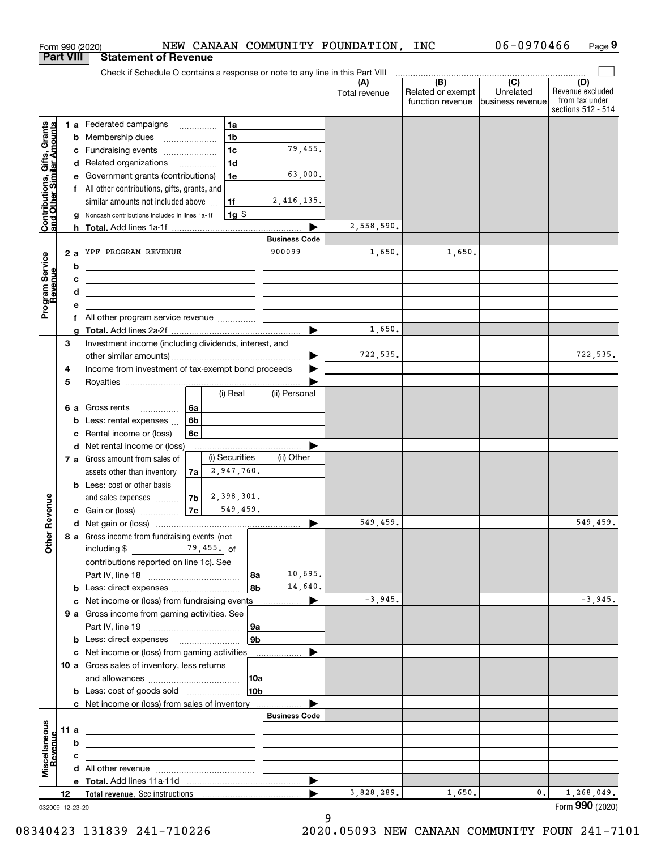|                                                           |                  | Form 990 (2020)                                                                                                       |                                            |     |                      | NEW CANAAN COMMUNITY FOUNDATION, | <b>INC</b>                                          | 06-0970466                    | Page 9                                                          |
|-----------------------------------------------------------|------------------|-----------------------------------------------------------------------------------------------------------------------|--------------------------------------------|-----|----------------------|----------------------------------|-----------------------------------------------------|-------------------------------|-----------------------------------------------------------------|
|                                                           | <b>Part VIII</b> | <b>Statement of Revenue</b>                                                                                           |                                            |     |                      |                                  |                                                     |                               |                                                                 |
|                                                           |                  | Check if Schedule O contains a response or note to any line in this Part VIII                                         |                                            |     |                      |                                  | $\overline{(\mathsf{B})}$ $\overline{(\mathsf{C})}$ |                               |                                                                 |
|                                                           |                  |                                                                                                                       |                                            |     |                      | (A)<br>Total revenue             | Related or exempt<br>function revenue               | Unrelated<br>business revenue | (D)<br>Revenue excluded<br>from tax under<br>sections 512 - 514 |
|                                                           |                  | 1 a Federated campaigns                                                                                               | 1a                                         |     |                      |                                  |                                                     |                               |                                                                 |
| Contributions, Gifts, Grants<br>and Other Similar Amounts |                  | <b>b</b> Membership dues                                                                                              | 1 <sub>b</sub><br>$\overline{\phantom{a}}$ |     |                      |                                  |                                                     |                               |                                                                 |
|                                                           |                  | c Fundraising events                                                                                                  | 1 <sub>c</sub>                             |     | 79,455.              |                                  |                                                     |                               |                                                                 |
|                                                           |                  | d Related organizations                                                                                               | 1 <sub>d</sub>                             |     |                      |                                  |                                                     |                               |                                                                 |
|                                                           |                  | e Government grants (contributions)                                                                                   | 1e                                         |     | 63,000.              |                                  |                                                     |                               |                                                                 |
|                                                           |                  | f All other contributions, gifts, grants, and                                                                         |                                            |     |                      |                                  |                                                     |                               |                                                                 |
|                                                           |                  | similar amounts not included above                                                                                    | 1f                                         |     | 2,416,135.           |                                  |                                                     |                               |                                                                 |
|                                                           | g                | Noncash contributions included in lines 1a-1f                                                                         | $1g$ \$                                    |     |                      |                                  |                                                     |                               |                                                                 |
|                                                           |                  |                                                                                                                       |                                            |     | <b>Business Code</b> | 2,558,590.                       |                                                     |                               |                                                                 |
|                                                           | 2a               | YPF PROGRAM REVENUE                                                                                                   |                                            |     | 900099               | 1,650.                           | 1,650.                                              |                               |                                                                 |
|                                                           | b                | <u> 1989 - Johann Barn, mars eta bainar eta idazlea (</u>                                                             |                                            |     |                      |                                  |                                                     |                               |                                                                 |
|                                                           | c                | <u> 2000 - John Stein, Amerikaans en beskriuw om de stein van de stein van de stein van de stein van de stein va</u>  |                                            |     |                      |                                  |                                                     |                               |                                                                 |
|                                                           | d                | <u> 1989 - Johann Stein, mars an de Frankrik (f. 1989)</u>                                                            |                                            |     |                      |                                  |                                                     |                               |                                                                 |
| Program Service<br>Revenue                                | е                |                                                                                                                       |                                            |     |                      |                                  |                                                     |                               |                                                                 |
|                                                           |                  | f All other program service revenue                                                                                   |                                            |     |                      |                                  |                                                     |                               |                                                                 |
|                                                           | g                |                                                                                                                       |                                            |     |                      | 1,650.                           |                                                     |                               |                                                                 |
|                                                           | 3                | Investment income (including dividends, interest, and                                                                 |                                            |     |                      |                                  |                                                     |                               |                                                                 |
|                                                           |                  |                                                                                                                       |                                            |     |                      | 722,535.                         |                                                     |                               | 722,535.                                                        |
|                                                           | 4                | Income from investment of tax-exempt bond proceeds                                                                    |                                            |     |                      |                                  |                                                     |                               |                                                                 |
|                                                           | 5                |                                                                                                                       | (i) Real                                   |     | (ii) Personal        |                                  |                                                     |                               |                                                                 |
|                                                           |                  |                                                                                                                       |                                            |     |                      |                                  |                                                     |                               |                                                                 |
|                                                           | b                | 6 a Gross rents<br>Less: rental expenses                                                                              | 6а<br>6 <sub>b</sub>                       |     |                      |                                  |                                                     |                               |                                                                 |
|                                                           | c                | Rental income or (loss)                                                                                               | 6c                                         |     |                      |                                  |                                                     |                               |                                                                 |
|                                                           |                  | d Net rental income or (loss)                                                                                         |                                            |     |                      |                                  |                                                     |                               |                                                                 |
|                                                           |                  | 7 a Gross amount from sales of                                                                                        | (i) Securities                             |     | (ii) Other           |                                  |                                                     |                               |                                                                 |
|                                                           |                  | assets other than inventory                                                                                           | 2,947,760.<br>7a                           |     |                      |                                  |                                                     |                               |                                                                 |
|                                                           |                  | <b>b</b> Less: cost or other basis                                                                                    |                                            |     |                      |                                  |                                                     |                               |                                                                 |
|                                                           |                  | and sales expenses                                                                                                    | 2,398,301.<br>7 <sub>b</sub>               |     |                      |                                  |                                                     |                               |                                                                 |
| evenue                                                    |                  | c Gain or (loss)                                                                                                      | 7c<br>549,459.                             |     |                      |                                  |                                                     |                               |                                                                 |
|                                                           |                  |                                                                                                                       |                                            |     |                      | 549,459.                         |                                                     |                               | 549,459.                                                        |
| Other <sub>R</sub>                                        |                  | 8 a Gross income from fundraising events (not                                                                         |                                            |     |                      |                                  |                                                     |                               |                                                                 |
|                                                           |                  | including \$ 79,455. of                                                                                               |                                            |     |                      |                                  |                                                     |                               |                                                                 |
|                                                           |                  | contributions reported on line 1c). See                                                                               |                                            | 8a  | 10,695.              |                                  |                                                     |                               |                                                                 |
|                                                           |                  | <b>b</b> Less: direct expenses <b>constants b</b>                                                                     |                                            | 8b  | 14,640.              |                                  |                                                     |                               |                                                                 |
|                                                           |                  | c Net income or (loss) from fundraising events                                                                        |                                            |     | ▶                    | $-3,945.$                        |                                                     |                               | $-3,945.$                                                       |
|                                                           |                  | 9 a Gross income from gaming activities. See                                                                          |                                            |     |                      |                                  |                                                     |                               |                                                                 |
|                                                           |                  |                                                                                                                       |                                            | 9a  |                      |                                  |                                                     |                               |                                                                 |
|                                                           |                  | <b>b</b> Less: direct expenses <b>manually</b>                                                                        |                                            | 9b  |                      |                                  |                                                     |                               |                                                                 |
|                                                           |                  | <b>c</b> Net income or (loss) from gaming activities                                                                  |                                            |     |                      |                                  |                                                     |                               |                                                                 |
|                                                           |                  | 10 a Gross sales of inventory, less returns                                                                           |                                            |     |                      |                                  |                                                     |                               |                                                                 |
|                                                           |                  |                                                                                                                       |                                            | 10a |                      |                                  |                                                     |                               |                                                                 |
|                                                           |                  | <b>b</b> Less: cost of goods sold                                                                                     |                                            | 10b |                      |                                  |                                                     |                               |                                                                 |
|                                                           |                  | c Net income or (loss) from sales of inventory                                                                        |                                            |     | <b>Business Code</b> |                                  |                                                     |                               |                                                                 |
|                                                           |                  |                                                                                                                       |                                            |     |                      |                                  |                                                     |                               |                                                                 |
|                                                           | 11 a<br>b        | <u> 1980 - Johann Stein, marwolaethau a bhann an t-Amhainn an t-Amhainn an t-Amhainn an t-Amhainn an t-Amhainn an</u> |                                            |     |                      |                                  |                                                     |                               |                                                                 |
| evenue                                                    | c                |                                                                                                                       |                                            |     |                      |                                  |                                                     |                               |                                                                 |
| Miscellaneous                                             |                  | the control of the control of the control of the control of the control of                                            |                                            |     |                      |                                  |                                                     |                               |                                                                 |
|                                                           |                  |                                                                                                                       |                                            |     | ▶                    |                                  |                                                     |                               |                                                                 |
|                                                           | 12               |                                                                                                                       |                                            |     | ▶                    | 3,828,289.                       | 1,650.                                              | 0.                            | 1,268,049.                                                      |
|                                                           | 032009 12-23-20  |                                                                                                                       |                                            |     |                      |                                  |                                                     |                               | Form 990 (2020)                                                 |

9

032009 12-23-20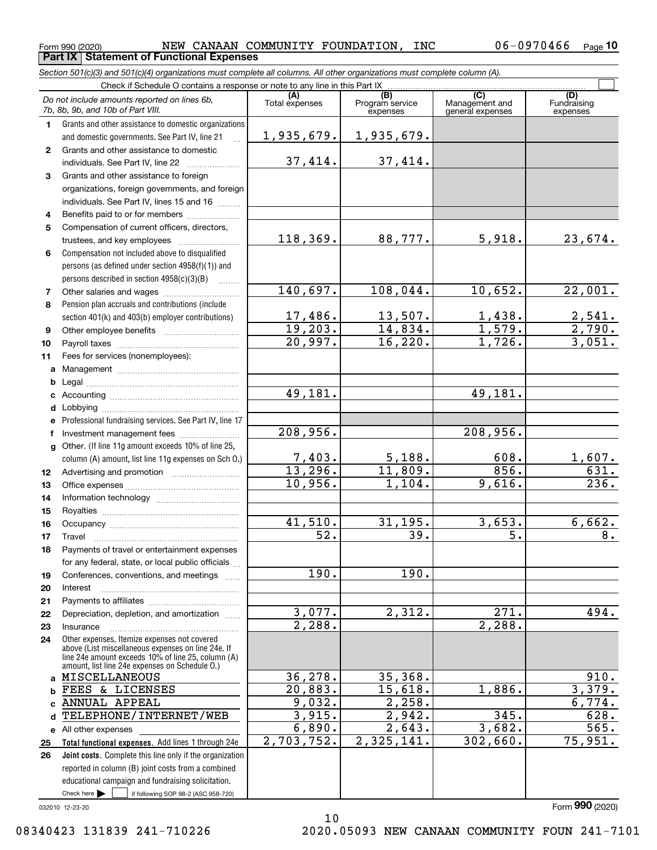**Part IX Statement of Functional Expenses**

 $_{\rm Form}$  990 (2020) NEW CANAAN COMMUNITY FOUNDATION, INC  $106-0970466$   $_{\rm Page}$ 

|              | Section 501(c)(3) and 501(c)(4) organizations must complete all columns. All other organizations must complete column (A).                                 |                        |                                    |                                           |                                |
|--------------|------------------------------------------------------------------------------------------------------------------------------------------------------------|------------------------|------------------------------------|-------------------------------------------|--------------------------------|
|              | Check if Schedule O contains a response or note to any line in this Part IX                                                                                |                        |                                    |                                           |                                |
|              | Do not include amounts reported on lines 6b,<br>7b, 8b, 9b, and 10b of Part VIII.                                                                          | (A)<br>Total expenses  | (B)<br>Program service<br>expenses | (C)<br>Management and<br>general expenses | (D)<br>Fundraising<br>expenses |
| 1.           | Grants and other assistance to domestic organizations                                                                                                      |                        |                                    |                                           |                                |
|              | and domestic governments. See Part IV, line 21                                                                                                             | 1,935,679.             | 1,935,679.                         |                                           |                                |
| $\mathbf{2}$ | Grants and other assistance to domestic                                                                                                                    |                        |                                    |                                           |                                |
|              | individuals. See Part IV, line 22                                                                                                                          | 37,414.                | 37,414.                            |                                           |                                |
| 3            | Grants and other assistance to foreign                                                                                                                     |                        |                                    |                                           |                                |
|              | organizations, foreign governments, and foreign                                                                                                            |                        |                                    |                                           |                                |
|              | individuals. See Part IV, lines 15 and 16                                                                                                                  |                        |                                    |                                           |                                |
| 4            | Benefits paid to or for members                                                                                                                            |                        |                                    |                                           |                                |
| 5            | Compensation of current officers, directors,                                                                                                               |                        |                                    |                                           |                                |
|              |                                                                                                                                                            | 118,369.               | 88,777.                            | 5,918.                                    | 23,674.                        |
| 6            | Compensation not included above to disqualified                                                                                                            |                        |                                    |                                           |                                |
|              | persons (as defined under section 4958(f)(1)) and                                                                                                          |                        |                                    |                                           |                                |
|              | persons described in section 4958(c)(3)(B)                                                                                                                 |                        |                                    |                                           |                                |
| 7            | Other salaries and wages                                                                                                                                   | 140,697.               | 108,044.                           | 10,652.                                   | 22,001.                        |
| 8            | Pension plan accruals and contributions (include                                                                                                           |                        |                                    |                                           |                                |
|              | section 401(k) and 403(b) employer contributions)                                                                                                          | 17,486.                | $\frac{13,507}{14,834}$            | $\frac{1,438.}{1,579.}$                   | $\frac{2,541}{2,790}$ .        |
| 9            |                                                                                                                                                            | 19,203.                |                                    |                                           |                                |
| 10           |                                                                                                                                                            | 20,997.                | 16,220.                            | 1,726.                                    | 3,051.                         |
| 11           | Fees for services (nonemployees):                                                                                                                          |                        |                                    |                                           |                                |
| a            |                                                                                                                                                            |                        |                                    |                                           |                                |
| b            |                                                                                                                                                            |                        |                                    |                                           |                                |
| c            |                                                                                                                                                            | 49,181.                |                                    | 49,181.                                   |                                |
| d            |                                                                                                                                                            |                        |                                    |                                           |                                |
| е            | Professional fundraising services. See Part IV, line 17                                                                                                    |                        |                                    |                                           |                                |
| f            | Investment management fees                                                                                                                                 | 208,956.               |                                    | 208,956.                                  |                                |
| q            | Other. (If line 11g amount exceeds 10% of line 25,                                                                                                         |                        |                                    |                                           |                                |
|              | column (A) amount, list line 11g expenses on Sch O.)                                                                                                       | $\frac{7,403}{13,296}$ | 5,188.<br>11,809.                  | 608.<br>856.                              | <u>1,607.</u><br>631.          |
| 12           |                                                                                                                                                            |                        |                                    |                                           | 236.                           |
| 13           |                                                                                                                                                            | 10,956.                | 1,104.                             | 9,616.                                    |                                |
| 14           |                                                                                                                                                            |                        |                                    |                                           |                                |
| 15           |                                                                                                                                                            |                        |                                    |                                           |                                |
| 16           |                                                                                                                                                            | 41,510.<br>52.         | 31, 195.<br>39.                    | 3,653.<br>5.                              | 6,662.<br>8.                   |
| 17           |                                                                                                                                                            |                        |                                    |                                           |                                |
| 18           | Payments of travel or entertainment expenses                                                                                                               |                        |                                    |                                           |                                |
|              | for any federal, state, or local public officials                                                                                                          | 190.                   | 190.                               |                                           |                                |
| 19           | Conferences, conventions, and meetings                                                                                                                     |                        |                                    |                                           |                                |
| 20           | Interest                                                                                                                                                   |                        |                                    |                                           |                                |
| 21           | Depreciation, depletion, and amortization                                                                                                                  | 3,077.                 | 2,312.                             | 271.                                      | $\overline{494}$ .             |
| 22<br>23     | Insurance                                                                                                                                                  | 2,288.                 |                                    | 2,288.                                    |                                |
| 24           | Other expenses. Itemize expenses not covered                                                                                                               |                        |                                    |                                           |                                |
|              | above (List miscellaneous expenses on line 24e. If<br>line 24e amount exceeds 10% of line 25, column (A)<br>amount, list line 24e expenses on Schedule O.) |                        |                                    |                                           |                                |
|              | a MISCELLANEOUS                                                                                                                                            | 36,278.                | 35,368.                            |                                           | 910.                           |
| b            | FEES & LICENSES                                                                                                                                            | 20,883.                | 15,618.                            | 1,886.                                    | 3,379.                         |
| C.           | ANNUAL APPEAL                                                                                                                                              | 9,032.                 | 2,258.                             |                                           | 6,774.                         |
| d            | TELEPHONE/INTERNET/WEB                                                                                                                                     | 3,915.                 | 2,942.                             | 345.                                      | 628.                           |
|              | e All other expenses                                                                                                                                       | 6,890.                 | 2,643.                             | 3,682.                                    | 565.                           |
| 25           | Total functional expenses. Add lines 1 through 24e                                                                                                         | 2,703,752.             | 2,325,141.                         | 302,660.                                  | 75,951.                        |
| 26           | <b>Joint costs.</b> Complete this line only if the organization                                                                                            |                        |                                    |                                           |                                |
|              | reported in column (B) joint costs from a combined                                                                                                         |                        |                                    |                                           |                                |
|              | educational campaign and fundraising solicitation.                                                                                                         |                        |                                    |                                           |                                |
|              | Check here $\blacktriangleright$<br>if following SOP 98-2 (ASC 958-720)                                                                                    |                        |                                    |                                           |                                |

10

032010 12-23-20

Form (2020) **990**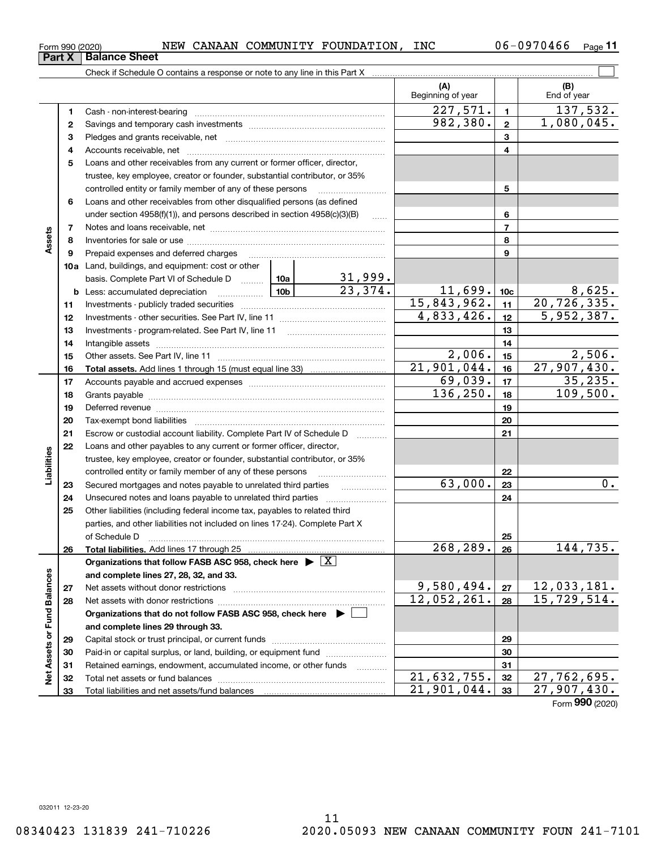| INC<br>NEW CANAAN COMMUNITY FOUNDATION,<br>Form 990 (2020) | 06-0970466 | Page |
|------------------------------------------------------------|------------|------|
|------------------------------------------------------------|------------|------|

|                             |    | Check if Schedule O contains a response or note to any line in this Part X                                                                                                                                                           |           |                           |                           |                         |                    |
|-----------------------------|----|--------------------------------------------------------------------------------------------------------------------------------------------------------------------------------------------------------------------------------------|-----------|---------------------------|---------------------------|-------------------------|--------------------|
|                             |    |                                                                                                                                                                                                                                      |           |                           | (A)<br>Beginning of year  |                         | (B)<br>End of year |
|                             | 1  |                                                                                                                                                                                                                                      |           |                           | 227,571.                  | $\blacksquare$          | 137,532.           |
|                             | 2  |                                                                                                                                                                                                                                      |           |                           | 982,380.                  | $\overline{\mathbf{2}}$ | 1,080,045.         |
|                             | з  |                                                                                                                                                                                                                                      |           |                           | 3                         |                         |                    |
|                             | 4  |                                                                                                                                                                                                                                      |           |                           |                           | $\overline{\mathbf{4}}$ |                    |
|                             | 5  | Loans and other receivables from any current or former officer, director,                                                                                                                                                            |           |                           |                           |                         |                    |
|                             |    | trustee, key employee, creator or founder, substantial contributor, or 35%                                                                                                                                                           |           |                           |                           |                         |                    |
|                             |    | controlled entity or family member of any of these persons                                                                                                                                                                           |           |                           |                           | 5                       |                    |
|                             | 6  | Loans and other receivables from other disqualified persons (as defined                                                                                                                                                              |           |                           |                           |                         |                    |
|                             |    | under section $4958(f)(1)$ , and persons described in section $4958(c)(3)(B)$                                                                                                                                                        |           | 6                         |                           |                         |                    |
|                             | 7  |                                                                                                                                                                                                                                      | $\ldots$  |                           | $\overline{7}$            |                         |                    |
| Assets                      | 8  |                                                                                                                                                                                                                                      |           |                           |                           | 8                       |                    |
|                             | 9  | Prepaid expenses and deferred charges                                                                                                                                                                                                |           |                           |                           | 9                       |                    |
|                             |    | <b>10a</b> Land, buildings, and equipment: cost or other                                                                                                                                                                             |           |                           |                           |                         |                    |
|                             |    | basis. Complete Part VI of Schedule D  10a                                                                                                                                                                                           |           |                           |                           |                         |                    |
|                             |    | <u>  10b</u> 10c<br><b>b</b> Less: accumulated depreciation                                                                                                                                                                          |           | $\frac{31,999}{23,374}$ . | 11,699.                   | 10 <sub>c</sub>         | 8,625.             |
|                             | 11 |                                                                                                                                                                                                                                      |           |                           | 15,843,962.               | 11                      | 20, 726, 335.      |
|                             | 12 |                                                                                                                                                                                                                                      |           |                           | 4,833,426.                | 12                      | 5,952,387.         |
|                             | 13 |                                                                                                                                                                                                                                      |           | 13                        |                           |                         |                    |
|                             | 14 |                                                                                                                                                                                                                                      |           | 14                        |                           |                         |                    |
|                             | 15 |                                                                                                                                                                                                                                      |           |                           | 2,006.                    | 15                      | 2,506.             |
|                             | 16 |                                                                                                                                                                                                                                      |           |                           | $\overline{21,901,044}$ . | 16                      | 27,907,430.        |
|                             | 17 |                                                                                                                                                                                                                                      |           |                           | 69,039.                   | 17                      | 35,235.            |
|                             | 18 |                                                                                                                                                                                                                                      | 136, 250. | 18                        | 109,500.                  |                         |                    |
|                             | 19 | Deferred revenue manual contracts and contracts are all the manual contracts and contracts are all the contracts of                                                                                                                  |           | 19                        |                           |                         |                    |
|                             | 20 |                                                                                                                                                                                                                                      |           | 20                        |                           |                         |                    |
|                             | 21 | Escrow or custodial account liability. Complete Part IV of Schedule D                                                                                                                                                                |           | .                         |                           | 21                      |                    |
|                             | 22 | Loans and other payables to any current or former officer, director,                                                                                                                                                                 |           |                           |                           |                         |                    |
| Liabilities                 |    | trustee, key employee, creator or founder, substantial contributor, or 35%                                                                                                                                                           |           |                           |                           |                         |                    |
|                             |    | controlled entity or family member of any of these persons                                                                                                                                                                           |           |                           |                           | 22                      |                    |
|                             | 23 | Secured mortgages and notes payable to unrelated third parties                                                                                                                                                                       |           |                           | 63,000.                   | 23                      | 0.                 |
|                             | 24 | Unsecured notes and loans payable to unrelated third parties                                                                                                                                                                         |           |                           |                           | 24                      |                    |
|                             | 25 | Other liabilities (including federal income tax, payables to related third                                                                                                                                                           |           |                           |                           |                         |                    |
|                             |    | parties, and other liabilities not included on lines 17-24). Complete Part X                                                                                                                                                         |           |                           |                           |                         |                    |
|                             |    | of Schedule D <b>William Communication Contract Contract Contract Contract Contract Contract Contract Contract Contract Contract Contract Contract Contract Contract Contract Contract Contract Contract Contract Contract Contr</b> |           |                           |                           | 25                      |                    |
|                             | 26 | Total liabilities. Add lines 17 through 25                                                                                                                                                                                           |           |                           | 268, 289.                 | 26                      | 144,735.           |
|                             |    | Organizations that follow FASB ASC 958, check here $\blacktriangleright \boxed{X}$                                                                                                                                                   |           |                           |                           |                         |                    |
|                             |    | and complete lines 27, 28, 32, and 33.                                                                                                                                                                                               |           |                           |                           |                         |                    |
|                             | 27 | Net assets without donor restrictions                                                                                                                                                                                                |           |                           | 9,580,494.                | 27                      | 12,033,181.        |
|                             | 28 | Net assets with donor restrictions                                                                                                                                                                                                   |           |                           | 12,052,261.               | 28                      | 15,729,514.        |
|                             |    | Organizations that do not follow FASB ASC 958, check here $\blacktriangleright$                                                                                                                                                      |           |                           |                           |                         |                    |
|                             |    | and complete lines 29 through 33.                                                                                                                                                                                                    |           |                           |                           |                         |                    |
|                             | 29 |                                                                                                                                                                                                                                      |           |                           |                           | 29                      |                    |
| Net Assets or Fund Balances | 30 | Paid-in or capital surplus, or land, building, or equipment fund                                                                                                                                                                     |           |                           |                           | 30                      |                    |
|                             | 31 | Retained earnings, endowment, accumulated income, or other funds                                                                                                                                                                     |           |                           |                           | 31                      |                    |
|                             | 32 |                                                                                                                                                                                                                                      |           |                           | $\overline{21,632,755}$ . | 32                      | 27,762,695.        |
|                             | 33 |                                                                                                                                                                                                                                      |           |                           | 21,901,044.               | 33                      | 27,907,430.        |

Form (2020) **990**

**Part X Balance Sheet**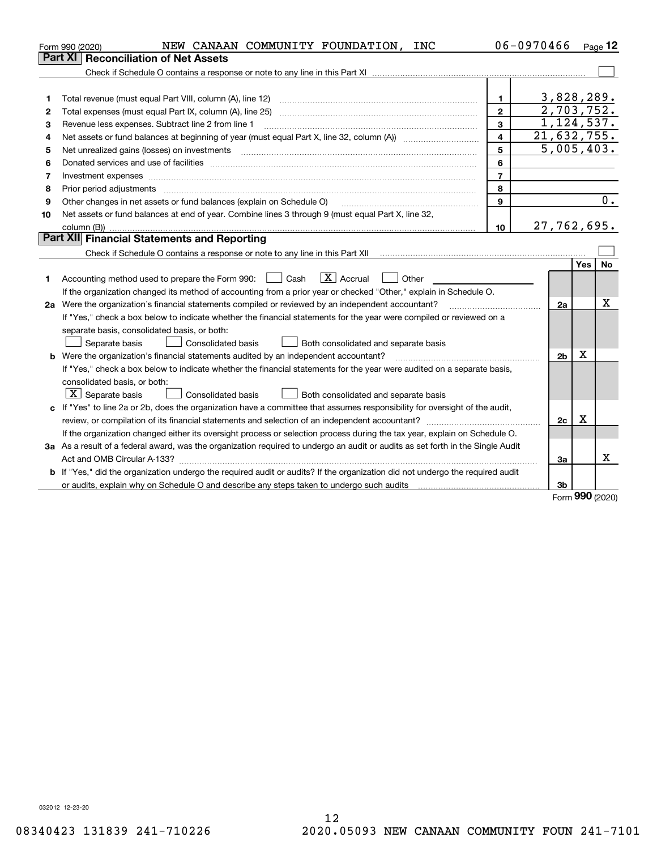|    | NEW CANAAN COMMUNITY FOUNDATION, INC<br>Form 990 (2020)                                                                                                                                                                                                                                                                                                                                                                                                                                     |                         | 06-0970466 |                           |            | Page $12$ |
|----|---------------------------------------------------------------------------------------------------------------------------------------------------------------------------------------------------------------------------------------------------------------------------------------------------------------------------------------------------------------------------------------------------------------------------------------------------------------------------------------------|-------------------------|------------|---------------------------|------------|-----------|
|    | <b>Part XI Reconciliation of Net Assets</b>                                                                                                                                                                                                                                                                                                                                                                                                                                                 |                         |            |                           |            |           |
|    |                                                                                                                                                                                                                                                                                                                                                                                                                                                                                             |                         |            |                           |            |           |
|    |                                                                                                                                                                                                                                                                                                                                                                                                                                                                                             |                         |            |                           |            |           |
| 1  |                                                                                                                                                                                                                                                                                                                                                                                                                                                                                             | 1.                      |            | 3,828,289.                |            |           |
| 2  | Total expenses (must equal Part IX, column (A), line 25)                                                                                                                                                                                                                                                                                                                                                                                                                                    | $\mathbf{2}$            |            | 2,703,752.                |            |           |
| З  | Revenue less expenses. Subtract line 2 from line 1                                                                                                                                                                                                                                                                                                                                                                                                                                          | 3                       |            | 1,124,537.                |            |           |
| 4  |                                                                                                                                                                                                                                                                                                                                                                                                                                                                                             | $\overline{\mathbf{4}}$ |            | $\overline{21,632,755}$ . |            |           |
| 5  | Net unrealized gains (losses) on investments<br>$\begin{minipage}{0.5\textwidth} \begin{tabular}{ l l l } \hline \multicolumn{1}{ l l l } \hline \multicolumn{1}{ l l } \multicolumn{1}{ l } \multicolumn{1}{ l } \multicolumn{1}{ l } \multicolumn{1}{ l } \multicolumn{1}{ l } \multicolumn{1}{ l } \multicolumn{1}{ l } \multicolumn{1}{ l } \multicolumn{1}{ l } \multicolumn{1}{ l } \multicolumn{1}{ l } \multicolumn{1}{ l } \multicolumn{1}{ l } \multicolumn{1}{ l } \multicolumn$ | 5                       |            | 5,005,403.                |            |           |
| 6  |                                                                                                                                                                                                                                                                                                                                                                                                                                                                                             | 6                       |            |                           |            |           |
| 7  |                                                                                                                                                                                                                                                                                                                                                                                                                                                                                             | $\overline{7}$          |            |                           |            |           |
| 8  |                                                                                                                                                                                                                                                                                                                                                                                                                                                                                             | 8                       |            |                           |            |           |
| 9  | Other changes in net assets or fund balances (explain on Schedule O)                                                                                                                                                                                                                                                                                                                                                                                                                        | 9                       |            |                           |            | 0.        |
| 10 | Net assets or fund balances at end of year. Combine lines 3 through 9 (must equal Part X, line 32,                                                                                                                                                                                                                                                                                                                                                                                          |                         |            |                           |            |           |
|    |                                                                                                                                                                                                                                                                                                                                                                                                                                                                                             | 10                      |            | 27,762,695.               |            |           |
|    | Part XII Financial Statements and Reporting                                                                                                                                                                                                                                                                                                                                                                                                                                                 |                         |            |                           |            |           |
|    |                                                                                                                                                                                                                                                                                                                                                                                                                                                                                             |                         |            |                           |            |           |
|    |                                                                                                                                                                                                                                                                                                                                                                                                                                                                                             |                         |            |                           | <b>Yes</b> | <b>No</b> |
| 1  | $\boxed{\mathbf{X}}$ Accrual<br>Accounting method used to prepare the Form 990: <u>[</u> Cash<br>Other                                                                                                                                                                                                                                                                                                                                                                                      |                         |            |                           |            |           |
|    | If the organization changed its method of accounting from a prior year or checked "Other," explain in Schedule O.                                                                                                                                                                                                                                                                                                                                                                           |                         |            |                           |            |           |
|    | 2a Were the organization's financial statements compiled or reviewed by an independent accountant?                                                                                                                                                                                                                                                                                                                                                                                          |                         |            | 2a                        |            | х         |
|    | If "Yes," check a box below to indicate whether the financial statements for the year were compiled or reviewed on a                                                                                                                                                                                                                                                                                                                                                                        |                         |            |                           |            |           |
|    | separate basis, consolidated basis, or both:                                                                                                                                                                                                                                                                                                                                                                                                                                                |                         |            |                           |            |           |
|    | Both consolidated and separate basis<br>Separate basis<br><b>Consolidated basis</b>                                                                                                                                                                                                                                                                                                                                                                                                         |                         |            |                           |            |           |
|    | <b>b</b> Were the organization's financial statements audited by an independent accountant?                                                                                                                                                                                                                                                                                                                                                                                                 |                         |            | 2 <sub>b</sub>            | Х          |           |
|    | If "Yes," check a box below to indicate whether the financial statements for the year were audited on a separate basis,                                                                                                                                                                                                                                                                                                                                                                     |                         |            |                           |            |           |
|    | consolidated basis, or both:                                                                                                                                                                                                                                                                                                                                                                                                                                                                |                         |            |                           |            |           |
|    | $X$ Separate basis<br><b>Consolidated basis</b><br>Both consolidated and separate basis                                                                                                                                                                                                                                                                                                                                                                                                     |                         |            |                           |            |           |
|    | c If "Yes" to line 2a or 2b, does the organization have a committee that assumes responsibility for oversight of the audit,                                                                                                                                                                                                                                                                                                                                                                 |                         |            |                           |            |           |
|    |                                                                                                                                                                                                                                                                                                                                                                                                                                                                                             |                         |            | 2c                        | х          |           |
|    | If the organization changed either its oversight process or selection process during the tax year, explain on Schedule O.                                                                                                                                                                                                                                                                                                                                                                   |                         |            |                           |            |           |
|    | 3a As a result of a federal award, was the organization required to undergo an audit or audits as set forth in the Single Audit                                                                                                                                                                                                                                                                                                                                                             |                         |            |                           |            |           |
|    |                                                                                                                                                                                                                                                                                                                                                                                                                                                                                             |                         |            | За                        |            | X         |
|    | <b>b</b> If "Yes," did the organization undergo the required audit or audits? If the organization did not undergo the required audit                                                                                                                                                                                                                                                                                                                                                        |                         |            |                           |            |           |
|    |                                                                                                                                                                                                                                                                                                                                                                                                                                                                                             |                         |            | 3b                        |            |           |

Form (2020) **990**

032012 12-23-20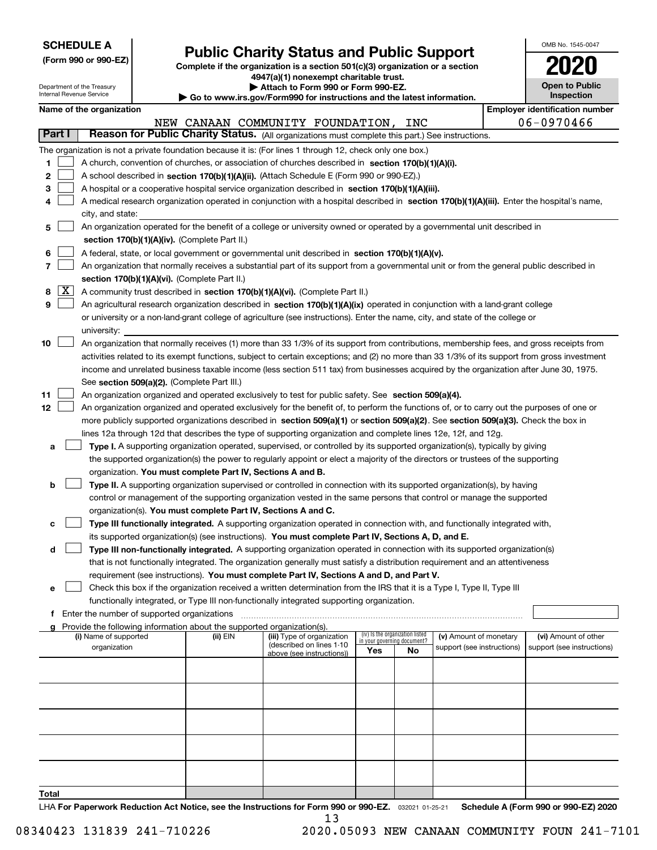| <b>SCHEDULE A</b> |
|-------------------|
|-------------------|

**(Form 990 or 990-EZ)**

# **Public Charity Status and Public Support**

**Complete if the organization is a section 501(c)(3) organization or a section 4947(a)(1) nonexempt charitable trust.**

| OMB No. 1545-0047                   |
|-------------------------------------|
| 020                                 |
| <b>Open to Public</b><br>Inspection |

|       |            | Department of the Treasury<br>Internal Revenue Service |                                                                        | Attach to Form 990 or Form 990-EZ.                                                                                                                                                                                               |     |                                                                |                            | Inspection                            | <b>Open to Public</b> |
|-------|------------|--------------------------------------------------------|------------------------------------------------------------------------|----------------------------------------------------------------------------------------------------------------------------------------------------------------------------------------------------------------------------------|-----|----------------------------------------------------------------|----------------------------|---------------------------------------|-----------------------|
|       |            | Name of the organization                               |                                                                        | Go to www.irs.gov/Form990 for instructions and the latest information.                                                                                                                                                           |     |                                                                |                            | <b>Employer identification number</b> |                       |
|       |            |                                                        |                                                                        | NEW CANAAN COMMUNITY FOUNDATION, INC                                                                                                                                                                                             |     |                                                                |                            | 06-0970466                            |                       |
|       | Part I     |                                                        |                                                                        | Reason for Public Charity Status. (All organizations must complete this part.) See instructions.                                                                                                                                 |     |                                                                |                            |                                       |                       |
|       |            |                                                        |                                                                        | The organization is not a private foundation because it is: (For lines 1 through 12, check only one box.)                                                                                                                        |     |                                                                |                            |                                       |                       |
| 1     |            |                                                        |                                                                        | A church, convention of churches, or association of churches described in section 170(b)(1)(A)(i).                                                                                                                               |     |                                                                |                            |                                       |                       |
| 2     |            |                                                        |                                                                        | A school described in section 170(b)(1)(A)(ii). (Attach Schedule E (Form 990 or 990-EZ).)                                                                                                                                        |     |                                                                |                            |                                       |                       |
| з     |            |                                                        |                                                                        | A hospital or a cooperative hospital service organization described in section $170(b)(1)(A)(iii)$ .                                                                                                                             |     |                                                                |                            |                                       |                       |
| 4     |            |                                                        |                                                                        | A medical research organization operated in conjunction with a hospital described in section 170(b)(1)(A)(iii). Enter the hospital's name,                                                                                       |     |                                                                |                            |                                       |                       |
|       |            | city, and state:                                       |                                                                        |                                                                                                                                                                                                                                  |     |                                                                |                            |                                       |                       |
| 5     |            |                                                        |                                                                        | An organization operated for the benefit of a college or university owned or operated by a governmental unit described in                                                                                                        |     |                                                                |                            |                                       |                       |
|       |            |                                                        | section 170(b)(1)(A)(iv). (Complete Part II.)                          |                                                                                                                                                                                                                                  |     |                                                                |                            |                                       |                       |
| 6     |            |                                                        |                                                                        | A federal, state, or local government or governmental unit described in section 170(b)(1)(A)(v).                                                                                                                                 |     |                                                                |                            |                                       |                       |
| 7     |            |                                                        |                                                                        | An organization that normally receives a substantial part of its support from a governmental unit or from the general public described in                                                                                        |     |                                                                |                            |                                       |                       |
|       |            |                                                        | section 170(b)(1)(A)(vi). (Complete Part II.)                          |                                                                                                                                                                                                                                  |     |                                                                |                            |                                       |                       |
| 8     | <u>  X</u> |                                                        |                                                                        | A community trust described in section 170(b)(1)(A)(vi). (Complete Part II.)                                                                                                                                                     |     |                                                                |                            |                                       |                       |
| 9     |            |                                                        |                                                                        | An agricultural research organization described in section 170(b)(1)(A)(ix) operated in conjunction with a land-grant college                                                                                                    |     |                                                                |                            |                                       |                       |
|       |            |                                                        |                                                                        | or university or a non-land-grant college of agriculture (see instructions). Enter the name, city, and state of the college or                                                                                                   |     |                                                                |                            |                                       |                       |
|       |            | university:                                            |                                                                        |                                                                                                                                                                                                                                  |     |                                                                |                            |                                       |                       |
| 10    |            |                                                        |                                                                        | An organization that normally receives (1) more than 33 1/3% of its support from contributions, membership fees, and gross receipts from                                                                                         |     |                                                                |                            |                                       |                       |
|       |            |                                                        |                                                                        | activities related to its exempt functions, subject to certain exceptions; and (2) no more than 33 1/3% of its support from gross investment                                                                                     |     |                                                                |                            |                                       |                       |
|       |            |                                                        |                                                                        | income and unrelated business taxable income (less section 511 tax) from businesses acquired by the organization after June 30, 1975.                                                                                            |     |                                                                |                            |                                       |                       |
|       |            |                                                        | See section 509(a)(2). (Complete Part III.)                            |                                                                                                                                                                                                                                  |     |                                                                |                            |                                       |                       |
| 11    |            |                                                        |                                                                        | An organization organized and operated exclusively to test for public safety. See section 509(a)(4).                                                                                                                             |     |                                                                |                            |                                       |                       |
| 12    |            |                                                        |                                                                        | An organization organized and operated exclusively for the benefit of, to perform the functions of, or to carry out the purposes of one or                                                                                       |     |                                                                |                            |                                       |                       |
|       |            |                                                        |                                                                        | more publicly supported organizations described in section 509(a)(1) or section 509(a)(2). See section 509(a)(3). Check the box in                                                                                               |     |                                                                |                            |                                       |                       |
|       |            |                                                        |                                                                        | lines 12a through 12d that describes the type of supporting organization and complete lines 12e, 12f, and 12g.                                                                                                                   |     |                                                                |                            |                                       |                       |
| а     |            |                                                        |                                                                        | Type I. A supporting organization operated, supervised, or controlled by its supported organization(s), typically by giving                                                                                                      |     |                                                                |                            |                                       |                       |
|       |            |                                                        |                                                                        | the supported organization(s) the power to regularly appoint or elect a majority of the directors or trustees of the supporting                                                                                                  |     |                                                                |                            |                                       |                       |
|       |            |                                                        | organization. You must complete Part IV, Sections A and B.             |                                                                                                                                                                                                                                  |     |                                                                |                            |                                       |                       |
| b     |            |                                                        |                                                                        | Type II. A supporting organization supervised or controlled in connection with its supported organization(s), by having                                                                                                          |     |                                                                |                            |                                       |                       |
|       |            |                                                        |                                                                        | control or management of the supporting organization vested in the same persons that control or manage the supported                                                                                                             |     |                                                                |                            |                                       |                       |
|       |            |                                                        |                                                                        | organization(s). You must complete Part IV, Sections A and C.                                                                                                                                                                    |     |                                                                |                            |                                       |                       |
| с     |            |                                                        |                                                                        | Type III functionally integrated. A supporting organization operated in connection with, and functionally integrated with,<br>its supported organization(s) (see instructions). You must complete Part IV, Sections A, D, and E. |     |                                                                |                            |                                       |                       |
| d     |            |                                                        |                                                                        | Type III non-functionally integrated. A supporting organization operated in connection with its supported organization(s)                                                                                                        |     |                                                                |                            |                                       |                       |
|       |            |                                                        |                                                                        | that is not functionally integrated. The organization generally must satisfy a distribution requirement and an attentiveness                                                                                                     |     |                                                                |                            |                                       |                       |
|       |            |                                                        |                                                                        | requirement (see instructions). You must complete Part IV, Sections A and D, and Part V.                                                                                                                                         |     |                                                                |                            |                                       |                       |
| е     |            |                                                        |                                                                        | Check this box if the organization received a written determination from the IRS that it is a Type I, Type II, Type III                                                                                                          |     |                                                                |                            |                                       |                       |
|       |            |                                                        |                                                                        | functionally integrated, or Type III non-functionally integrated supporting organization.                                                                                                                                        |     |                                                                |                            |                                       |                       |
|       |            | Enter the number of supported organizations            |                                                                        |                                                                                                                                                                                                                                  |     |                                                                |                            |                                       |                       |
|       |            |                                                        | Provide the following information about the supported organization(s). |                                                                                                                                                                                                                                  |     |                                                                |                            |                                       |                       |
|       |            | (i) Name of supported                                  | (ii) EIN                                                               | (iii) Type of organization<br>(described on lines 1-10                                                                                                                                                                           |     | (iv) Is the organization listed<br>in your governing document? | (v) Amount of monetary     | (vi) Amount of other                  |                       |
|       |            | organization                                           |                                                                        | above (see instructions))                                                                                                                                                                                                        | Yes | No                                                             | support (see instructions) | support (see instructions)            |                       |
|       |            |                                                        |                                                                        |                                                                                                                                                                                                                                  |     |                                                                |                            |                                       |                       |
|       |            |                                                        |                                                                        |                                                                                                                                                                                                                                  |     |                                                                |                            |                                       |                       |
|       |            |                                                        |                                                                        |                                                                                                                                                                                                                                  |     |                                                                |                            |                                       |                       |
|       |            |                                                        |                                                                        |                                                                                                                                                                                                                                  |     |                                                                |                            |                                       |                       |
|       |            |                                                        |                                                                        |                                                                                                                                                                                                                                  |     |                                                                |                            |                                       |                       |
|       |            |                                                        |                                                                        |                                                                                                                                                                                                                                  |     |                                                                |                            |                                       |                       |
|       |            |                                                        |                                                                        |                                                                                                                                                                                                                                  |     |                                                                |                            |                                       |                       |
|       |            |                                                        |                                                                        |                                                                                                                                                                                                                                  |     |                                                                |                            |                                       |                       |
|       |            |                                                        |                                                                        |                                                                                                                                                                                                                                  |     |                                                                |                            |                                       |                       |
| Total |            |                                                        |                                                                        |                                                                                                                                                                                                                                  |     |                                                                |                            |                                       |                       |

LHA For Paperwork Reduction Act Notice, see the Instructions for Form 990 or 990-EZ. <sub>032021</sub> o1-25-21 Schedule A (Form 990 or 990-EZ) 2020 13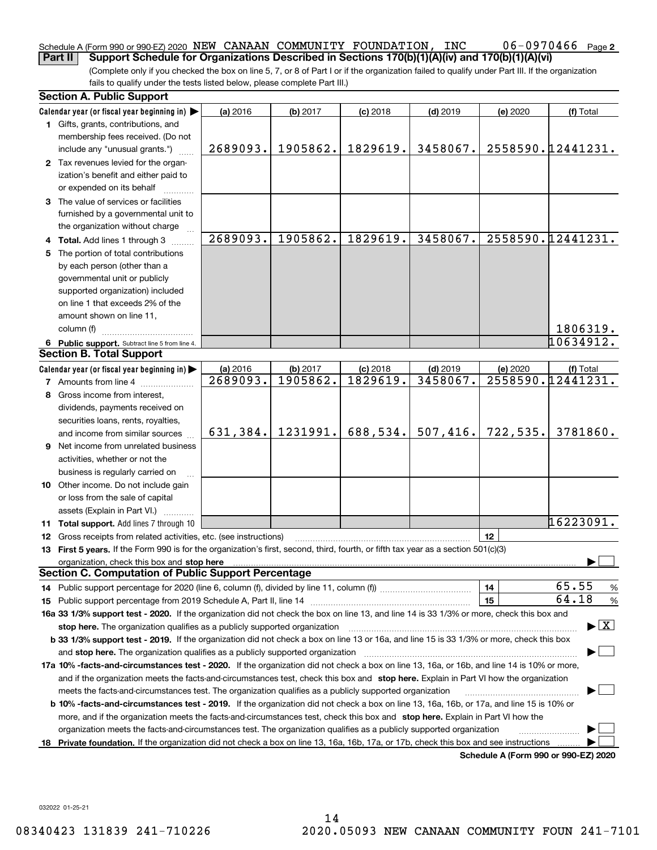#### 06-0970466 Page 2 Schedule A (Form 990 or 990-EZ) 2020  $\, {\rm NEW\,}$   $\,$  CANAAN  $\,$  COMMUNITY  $\,$  FOUNDATION ,  $\,$  INC  $\,$   $\,$   $\,$  0.6  $-$  0.970.46.6  $\,$   $\,$   $\,$  Page **Part II Support Schedule for Organizations Described in Sections 170(b)(1)(A)(iv) and 170(b)(1)(A)(vi)**

(Complete only if you checked the box on line 5, 7, or 8 of Part I or if the organization failed to qualify under Part III. If the organization fails to qualify under the tests listed below, please complete Part III.)

| Calendar year (or fiscal year beginning in) $\blacktriangleright$<br>(a) 2016<br>(b) 2017<br>$(c)$ 2018<br>$(d)$ 2019<br>(e) 2020<br>(f) Total<br>1 Gifts, grants, contributions, and<br>membership fees received. (Do not<br>2558590.12441231.<br>1905862.<br>1829619.<br>3458067.<br>2689093.<br>include any "unusual grants.")<br>2 Tax revenues levied for the organ-<br>ization's benefit and either paid to<br>or expended on its behalf<br>3 The value of services or facilities<br>furnished by a governmental unit to<br>the organization without charge<br>2558590.12441231.<br>2689093.<br>1905862.<br>1829619.<br>3458067.<br>4 Total. Add lines 1 through 3<br>The portion of total contributions<br>5.<br>by each person (other than a<br>governmental unit or publicly<br>supported organization) included<br>on line 1 that exceeds 2% of the<br>amount shown on line 11,<br>1806319.<br>column (f) |      |
|---------------------------------------------------------------------------------------------------------------------------------------------------------------------------------------------------------------------------------------------------------------------------------------------------------------------------------------------------------------------------------------------------------------------------------------------------------------------------------------------------------------------------------------------------------------------------------------------------------------------------------------------------------------------------------------------------------------------------------------------------------------------------------------------------------------------------------------------------------------------------------------------------------------------|------|
|                                                                                                                                                                                                                                                                                                                                                                                                                                                                                                                                                                                                                                                                                                                                                                                                                                                                                                                     |      |
|                                                                                                                                                                                                                                                                                                                                                                                                                                                                                                                                                                                                                                                                                                                                                                                                                                                                                                                     |      |
|                                                                                                                                                                                                                                                                                                                                                                                                                                                                                                                                                                                                                                                                                                                                                                                                                                                                                                                     |      |
|                                                                                                                                                                                                                                                                                                                                                                                                                                                                                                                                                                                                                                                                                                                                                                                                                                                                                                                     |      |
|                                                                                                                                                                                                                                                                                                                                                                                                                                                                                                                                                                                                                                                                                                                                                                                                                                                                                                                     |      |
|                                                                                                                                                                                                                                                                                                                                                                                                                                                                                                                                                                                                                                                                                                                                                                                                                                                                                                                     |      |
|                                                                                                                                                                                                                                                                                                                                                                                                                                                                                                                                                                                                                                                                                                                                                                                                                                                                                                                     |      |
|                                                                                                                                                                                                                                                                                                                                                                                                                                                                                                                                                                                                                                                                                                                                                                                                                                                                                                                     |      |
|                                                                                                                                                                                                                                                                                                                                                                                                                                                                                                                                                                                                                                                                                                                                                                                                                                                                                                                     |      |
|                                                                                                                                                                                                                                                                                                                                                                                                                                                                                                                                                                                                                                                                                                                                                                                                                                                                                                                     |      |
|                                                                                                                                                                                                                                                                                                                                                                                                                                                                                                                                                                                                                                                                                                                                                                                                                                                                                                                     |      |
|                                                                                                                                                                                                                                                                                                                                                                                                                                                                                                                                                                                                                                                                                                                                                                                                                                                                                                                     |      |
|                                                                                                                                                                                                                                                                                                                                                                                                                                                                                                                                                                                                                                                                                                                                                                                                                                                                                                                     |      |
|                                                                                                                                                                                                                                                                                                                                                                                                                                                                                                                                                                                                                                                                                                                                                                                                                                                                                                                     |      |
|                                                                                                                                                                                                                                                                                                                                                                                                                                                                                                                                                                                                                                                                                                                                                                                                                                                                                                                     |      |
|                                                                                                                                                                                                                                                                                                                                                                                                                                                                                                                                                                                                                                                                                                                                                                                                                                                                                                                     |      |
|                                                                                                                                                                                                                                                                                                                                                                                                                                                                                                                                                                                                                                                                                                                                                                                                                                                                                                                     |      |
|                                                                                                                                                                                                                                                                                                                                                                                                                                                                                                                                                                                                                                                                                                                                                                                                                                                                                                                     |      |
| 10634912.<br>6 Public support. Subtract line 5 from line 4.                                                                                                                                                                                                                                                                                                                                                                                                                                                                                                                                                                                                                                                                                                                                                                                                                                                         |      |
| <b>Section B. Total Support</b>                                                                                                                                                                                                                                                                                                                                                                                                                                                                                                                                                                                                                                                                                                                                                                                                                                                                                     |      |
| Calendar year (or fiscal year beginning in)<br>(a) 2016<br>(b) 2017<br>$(d)$ 2019<br>$(c)$ 2018<br>(e) 2020<br>(f) Total                                                                                                                                                                                                                                                                                                                                                                                                                                                                                                                                                                                                                                                                                                                                                                                            |      |
| 1829619.<br>3458067.<br>2558590.12441231.<br>2689093.<br>1905862.<br><b>7</b> Amounts from line 4                                                                                                                                                                                                                                                                                                                                                                                                                                                                                                                                                                                                                                                                                                                                                                                                                   |      |
| Gross income from interest,<br>8                                                                                                                                                                                                                                                                                                                                                                                                                                                                                                                                                                                                                                                                                                                                                                                                                                                                                    |      |
| dividends, payments received on                                                                                                                                                                                                                                                                                                                                                                                                                                                                                                                                                                                                                                                                                                                                                                                                                                                                                     |      |
| securities loans, rents, royalties,                                                                                                                                                                                                                                                                                                                                                                                                                                                                                                                                                                                                                                                                                                                                                                                                                                                                                 |      |
| 688,534.<br>507,416.<br>722, 535.<br>631,384.<br>1231991.<br>3781860.<br>and income from similar sources                                                                                                                                                                                                                                                                                                                                                                                                                                                                                                                                                                                                                                                                                                                                                                                                            |      |
| <b>9</b> Net income from unrelated business                                                                                                                                                                                                                                                                                                                                                                                                                                                                                                                                                                                                                                                                                                                                                                                                                                                                         |      |
| activities, whether or not the                                                                                                                                                                                                                                                                                                                                                                                                                                                                                                                                                                                                                                                                                                                                                                                                                                                                                      |      |
| business is regularly carried on                                                                                                                                                                                                                                                                                                                                                                                                                                                                                                                                                                                                                                                                                                                                                                                                                                                                                    |      |
| 10 Other income. Do not include gain                                                                                                                                                                                                                                                                                                                                                                                                                                                                                                                                                                                                                                                                                                                                                                                                                                                                                |      |
|                                                                                                                                                                                                                                                                                                                                                                                                                                                                                                                                                                                                                                                                                                                                                                                                                                                                                                                     |      |
| or loss from the sale of capital                                                                                                                                                                                                                                                                                                                                                                                                                                                                                                                                                                                                                                                                                                                                                                                                                                                                                    |      |
| assets (Explain in Part VI.)<br>16223091.                                                                                                                                                                                                                                                                                                                                                                                                                                                                                                                                                                                                                                                                                                                                                                                                                                                                           |      |
| 11 Total support. Add lines 7 through 10<br>12                                                                                                                                                                                                                                                                                                                                                                                                                                                                                                                                                                                                                                                                                                                                                                                                                                                                      |      |
| 12 Gross receipts from related activities, etc. (see instructions)                                                                                                                                                                                                                                                                                                                                                                                                                                                                                                                                                                                                                                                                                                                                                                                                                                                  |      |
| 13 First 5 years. If the Form 990 is for the organization's first, second, third, fourth, or fifth tax year as a section 501(c)(3)                                                                                                                                                                                                                                                                                                                                                                                                                                                                                                                                                                                                                                                                                                                                                                                  |      |
| organization, check this box and stop here manufactured and according to the state of the state of the state of the state of the state of the state of the state of the state of the state of the state of the state of the st<br><b>Section C. Computation of Public Support Percentage</b>                                                                                                                                                                                                                                                                                                                                                                                                                                                                                                                                                                                                                        |      |
| 65.55<br>14                                                                                                                                                                                                                                                                                                                                                                                                                                                                                                                                                                                                                                                                                                                                                                                                                                                                                                         |      |
| 64.18<br>15                                                                                                                                                                                                                                                                                                                                                                                                                                                                                                                                                                                                                                                                                                                                                                                                                                                                                                         | %    |
|                                                                                                                                                                                                                                                                                                                                                                                                                                                                                                                                                                                                                                                                                                                                                                                                                                                                                                                     | $\%$ |
| 16a 33 1/3% support test - 2020. If the organization did not check the box on line 13, and line 14 is 33 1/3% or more, check this box and<br>$\blacktriangleright$ $\boxed{\text{X}}$                                                                                                                                                                                                                                                                                                                                                                                                                                                                                                                                                                                                                                                                                                                               |      |
| stop here. The organization qualifies as a publicly supported organization                                                                                                                                                                                                                                                                                                                                                                                                                                                                                                                                                                                                                                                                                                                                                                                                                                          |      |
| b 33 1/3% support test - 2019. If the organization did not check a box on line 13 or 16a, and line 15 is 33 1/3% or more, check this box                                                                                                                                                                                                                                                                                                                                                                                                                                                                                                                                                                                                                                                                                                                                                                            |      |
| and stop here. The organization qualifies as a publicly supported organization                                                                                                                                                                                                                                                                                                                                                                                                                                                                                                                                                                                                                                                                                                                                                                                                                                      |      |
| 17a 10% -facts-and-circumstances test - 2020. If the organization did not check a box on line 13, 16a, or 16b, and line 14 is 10% or more,                                                                                                                                                                                                                                                                                                                                                                                                                                                                                                                                                                                                                                                                                                                                                                          |      |
| and if the organization meets the facts-and-circumstances test, check this box and stop here. Explain in Part VI how the organization                                                                                                                                                                                                                                                                                                                                                                                                                                                                                                                                                                                                                                                                                                                                                                               |      |
| meets the facts-and-circumstances test. The organization qualifies as a publicly supported organization                                                                                                                                                                                                                                                                                                                                                                                                                                                                                                                                                                                                                                                                                                                                                                                                             |      |
| <b>b 10% -facts-and-circumstances test - 2019.</b> If the organization did not check a box on line 13, 16a, 16b, or 17a, and line 15 is 10% or                                                                                                                                                                                                                                                                                                                                                                                                                                                                                                                                                                                                                                                                                                                                                                      |      |
| more, and if the organization meets the facts-and-circumstances test, check this box and stop here. Explain in Part VI how the                                                                                                                                                                                                                                                                                                                                                                                                                                                                                                                                                                                                                                                                                                                                                                                      |      |
| organization meets the facts-and-circumstances test. The organization qualifies as a publicly supported organization                                                                                                                                                                                                                                                                                                                                                                                                                                                                                                                                                                                                                                                                                                                                                                                                |      |
| Private foundation. If the organization did not check a box on line 13, 16a, 16b, 17a, or 17b, check this box and see instructions<br>18<br>Schedule A (Form 990 or 990-F7) 2020                                                                                                                                                                                                                                                                                                                                                                                                                                                                                                                                                                                                                                                                                                                                    |      |

**Schedule A (Form 990 or 990-EZ) 2020**

032022 01-25-21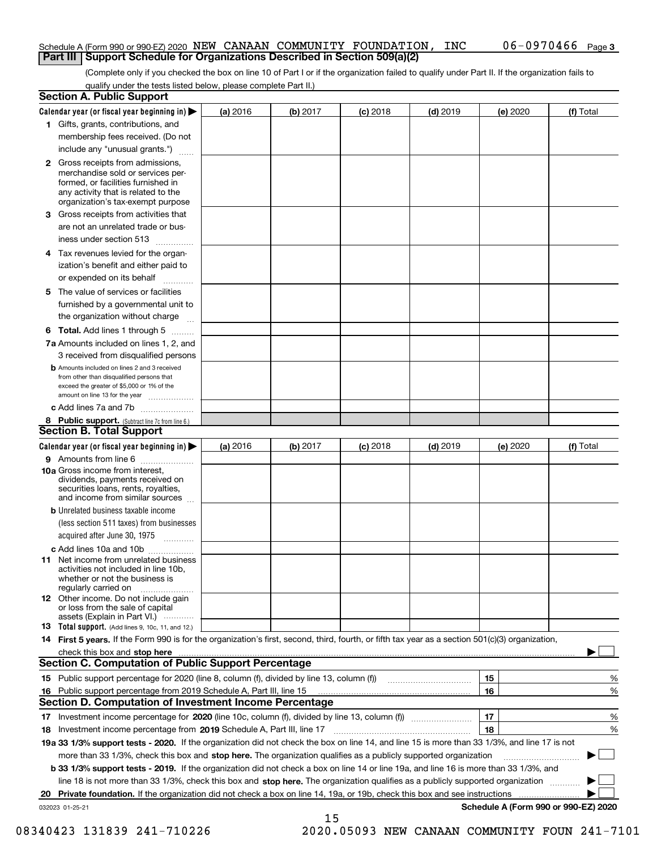## Schedule A (Form 990 or 990-EZ) 2020  $\, {\rm NEW\,}$   $\,$  CANAAN  $\,$  COMMUNITY  $\,$  FOUNDATION ,  $\,$  INC  $\,$   $\,$   $\,$  0.6  $-$  0.970.46.6  $\,$   $\,$   $\,$  Page **Part III Support Schedule for Organizations Described in Section 509(a)(2)**

(Complete only if you checked the box on line 10 of Part I or if the organization failed to qualify under Part II. If the organization fails to qualify under the tests listed below, please complete Part II.)

|    | <b>Section A. Public Support</b>                                                                                                                                                                |          |          |            |            |          |                                      |
|----|-------------------------------------------------------------------------------------------------------------------------------------------------------------------------------------------------|----------|----------|------------|------------|----------|--------------------------------------|
|    | Calendar year (or fiscal year beginning in) $\blacktriangleright$                                                                                                                               | (a) 2016 | (b) 2017 | $(c)$ 2018 | $(d)$ 2019 | (e) 2020 | (f) Total                            |
|    | 1 Gifts, grants, contributions, and                                                                                                                                                             |          |          |            |            |          |                                      |
|    | membership fees received. (Do not                                                                                                                                                               |          |          |            |            |          |                                      |
|    | include any "unusual grants.")                                                                                                                                                                  |          |          |            |            |          |                                      |
|    | <b>2</b> Gross receipts from admissions,<br>merchandise sold or services per-<br>formed, or facilities furnished in<br>any activity that is related to the<br>organization's tax-exempt purpose |          |          |            |            |          |                                      |
|    | 3 Gross receipts from activities that<br>are not an unrelated trade or bus-                                                                                                                     |          |          |            |            |          |                                      |
|    | iness under section 513                                                                                                                                                                         |          |          |            |            |          |                                      |
|    | 4 Tax revenues levied for the organ-<br>ization's benefit and either paid to                                                                                                                    |          |          |            |            |          |                                      |
|    | or expended on its behalf                                                                                                                                                                       |          |          |            |            |          |                                      |
|    | 5 The value of services or facilities<br>furnished by a governmental unit to                                                                                                                    |          |          |            |            |          |                                      |
|    | the organization without charge                                                                                                                                                                 |          |          |            |            |          |                                      |
|    | <b>6 Total.</b> Add lines 1 through 5                                                                                                                                                           |          |          |            |            |          |                                      |
|    | 7a Amounts included on lines 1, 2, and<br>3 received from disqualified persons                                                                                                                  |          |          |            |            |          |                                      |
|    | <b>b</b> Amounts included on lines 2 and 3 received<br>from other than disqualified persons that<br>exceed the greater of \$5,000 or 1% of the<br>amount on line 13 for the year                |          |          |            |            |          |                                      |
|    | c Add lines 7a and 7b                                                                                                                                                                           |          |          |            |            |          |                                      |
|    | 8 Public support. (Subtract line 7c from line 6.)<br><b>Section B. Total Support</b>                                                                                                            |          |          |            |            |          |                                      |
|    | Calendar year (or fiscal year beginning in)                                                                                                                                                     | (a) 2016 | (b) 2017 | $(c)$ 2018 | $(d)$ 2019 | (e) 2020 | (f) Total                            |
|    | 9 Amounts from line 6                                                                                                                                                                           |          |          |            |            |          |                                      |
|    | <b>10a</b> Gross income from interest,<br>dividends, payments received on<br>securities loans, rents, royalties,<br>and income from similar sources                                             |          |          |            |            |          |                                      |
|    | <b>b</b> Unrelated business taxable income<br>(less section 511 taxes) from businesses                                                                                                          |          |          |            |            |          |                                      |
|    | acquired after June 30, 1975                                                                                                                                                                    |          |          |            |            |          |                                      |
|    | c Add lines 10a and 10b                                                                                                                                                                         |          |          |            |            |          |                                      |
|    | 11 Net income from unrelated business<br>activities not included in line 10b,<br>whether or not the business is<br>regularly carried on                                                         |          |          |            |            |          |                                      |
|    | 12 Other income. Do not include gain<br>or loss from the sale of capital<br>assets (Explain in Part VI.)                                                                                        |          |          |            |            |          |                                      |
|    | 13 Total support. (Add lines 9, 10c, 11, and 12.)                                                                                                                                               |          |          |            |            |          |                                      |
|    | 14 First 5 years. If the Form 990 is for the organization's first, second, third, fourth, or fifth tax year as a section 501(c)(3) organization,                                                |          |          |            |            |          |                                      |
|    |                                                                                                                                                                                                 |          |          |            |            |          |                                      |
|    | <b>Section C. Computation of Public Support Percentage</b>                                                                                                                                      |          |          |            |            |          |                                      |
|    |                                                                                                                                                                                                 |          |          |            |            | 15       | %                                    |
| 16 | Public support percentage from 2019 Schedule A, Part III, line 15                                                                                                                               |          |          |            |            | 16       | %                                    |
|    | Section D. Computation of Investment Income Percentage                                                                                                                                          |          |          |            |            |          |                                      |
|    | 17 Investment income percentage for 2020 (line 10c, column (f), divided by line 13, column (f))<br>18 Investment income percentage from 2019 Schedule A, Part III, line 17                      |          |          |            |            | 17<br>18 | %<br>%                               |
|    | 19a 33 1/3% support tests - 2020. If the organization did not check the box on line 14, and line 15 is more than 33 1/3%, and line 17 is not                                                    |          |          |            |            |          |                                      |
|    | more than 33 1/3%, check this box and stop here. The organization qualifies as a publicly supported organization                                                                                |          |          |            |            |          |                                      |
|    | b 33 1/3% support tests - 2019. If the organization did not check a box on line 14 or line 19a, and line 16 is more than 33 1/3%, and                                                           |          |          |            |            |          |                                      |
|    | line 18 is not more than 33 1/3%, check this box and stop here. The organization qualifies as a publicly supported organization                                                                 |          |          |            |            |          |                                      |
| 20 | <b>Private foundation.</b> If the organization did not check a box on line 14, 19a, or 19b, check this box and see instructions                                                                 |          |          |            |            |          | .                                    |
|    | 032023 01-25-21                                                                                                                                                                                 |          |          |            |            |          | Schedule A (Form 990 or 990-EZ) 2020 |
|    |                                                                                                                                                                                                 |          | 15       |            |            |          |                                      |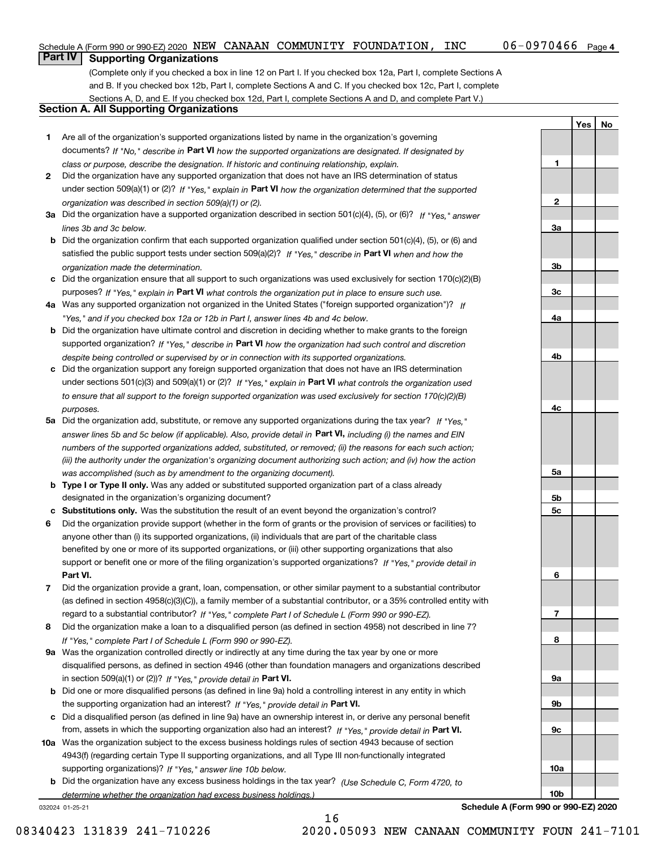## Schedule A (Form 990 or 990-EZ) 2020  $\, {\rm NEW\,}$   $\,$  CANAAN  $\,$  COMMUNITY  $\,$  FOUNDATION ,  $\,$  INC  $\,$   $\,$   $\,$  0.6  $-$  0.970.46.6  $\,$   $\,$   $\,$  Page

**1**

**2**

**3a**

**3b**

**3c**

**4a**

**4b**

**4c**

**5a**

**5b5c**

**6**

**7**

**8**

**9a**

**9b**

**9c**

**10a**

**10b**

**YesNo**

# **Part IV Supporting Organizations**

(Complete only if you checked a box in line 12 on Part I. If you checked box 12a, Part I, complete Sections A and B. If you checked box 12b, Part I, complete Sections A and C. If you checked box 12c, Part I, complete Sections A, D, and E. If you checked box 12d, Part I, complete Sections A and D, and complete Part V.)

## **Section A. All Supporting Organizations**

- **1** Are all of the organization's supported organizations listed by name in the organization's governing documents? If "No," describe in **Part VI** how the supported organizations are designated. If designated by *class or purpose, describe the designation. If historic and continuing relationship, explain.*
- **2** Did the organization have any supported organization that does not have an IRS determination of status under section 509(a)(1) or (2)? If "Yes," explain in Part VI how the organization determined that the supported *organization was described in section 509(a)(1) or (2).*
- **3a** Did the organization have a supported organization described in section 501(c)(4), (5), or (6)? If "Yes," answer *lines 3b and 3c below.*
- **b** Did the organization confirm that each supported organization qualified under section 501(c)(4), (5), or (6) and satisfied the public support tests under section 509(a)(2)? If "Yes," describe in **Part VI** when and how the *organization made the determination.*
- **c**Did the organization ensure that all support to such organizations was used exclusively for section 170(c)(2)(B) purposes? If "Yes," explain in **Part VI** what controls the organization put in place to ensure such use.
- **4a***If* Was any supported organization not organized in the United States ("foreign supported organization")? *"Yes," and if you checked box 12a or 12b in Part I, answer lines 4b and 4c below.*
- **b** Did the organization have ultimate control and discretion in deciding whether to make grants to the foreign supported organization? If "Yes," describe in **Part VI** how the organization had such control and discretion *despite being controlled or supervised by or in connection with its supported organizations.*
- **c** Did the organization support any foreign supported organization that does not have an IRS determination under sections 501(c)(3) and 509(a)(1) or (2)? If "Yes," explain in **Part VI** what controls the organization used *to ensure that all support to the foreign supported organization was used exclusively for section 170(c)(2)(B) purposes.*
- **5a** Did the organization add, substitute, or remove any supported organizations during the tax year? If "Yes," answer lines 5b and 5c below (if applicable). Also, provide detail in **Part VI,** including (i) the names and EIN *numbers of the supported organizations added, substituted, or removed; (ii) the reasons for each such action; (iii) the authority under the organization's organizing document authorizing such action; and (iv) how the action was accomplished (such as by amendment to the organizing document).*
- **b** Type I or Type II only. Was any added or substituted supported organization part of a class already designated in the organization's organizing document?
- **cSubstitutions only.**  Was the substitution the result of an event beyond the organization's control?
- **6** Did the organization provide support (whether in the form of grants or the provision of services or facilities) to **Part VI.** *If "Yes," provide detail in* support or benefit one or more of the filing organization's supported organizations? anyone other than (i) its supported organizations, (ii) individuals that are part of the charitable class benefited by one or more of its supported organizations, or (iii) other supporting organizations that also
- **7**Did the organization provide a grant, loan, compensation, or other similar payment to a substantial contributor *If "Yes," complete Part I of Schedule L (Form 990 or 990-EZ).* regard to a substantial contributor? (as defined in section 4958(c)(3)(C)), a family member of a substantial contributor, or a 35% controlled entity with
- **8** Did the organization make a loan to a disqualified person (as defined in section 4958) not described in line 7? *If "Yes," complete Part I of Schedule L (Form 990 or 990-EZ).*
- **9a** Was the organization controlled directly or indirectly at any time during the tax year by one or more in section 509(a)(1) or (2))? If "Yes," *provide detail in* <code>Part VI.</code> disqualified persons, as defined in section 4946 (other than foundation managers and organizations described
- **b** Did one or more disqualified persons (as defined in line 9a) hold a controlling interest in any entity in which the supporting organization had an interest? If "Yes," provide detail in P**art VI**.
- **c**Did a disqualified person (as defined in line 9a) have an ownership interest in, or derive any personal benefit from, assets in which the supporting organization also had an interest? If "Yes," provide detail in P**art VI.**
- **10a** Was the organization subject to the excess business holdings rules of section 4943 because of section supporting organizations)? If "Yes," answer line 10b below. 4943(f) (regarding certain Type II supporting organizations, and all Type III non-functionally integrated
- **b** Did the organization have any excess business holdings in the tax year? (Use Schedule C, Form 4720, to *determine whether the organization had excess business holdings.)*

16

032024 01-25-21

**Schedule A (Form 990 or 990-EZ) 2020**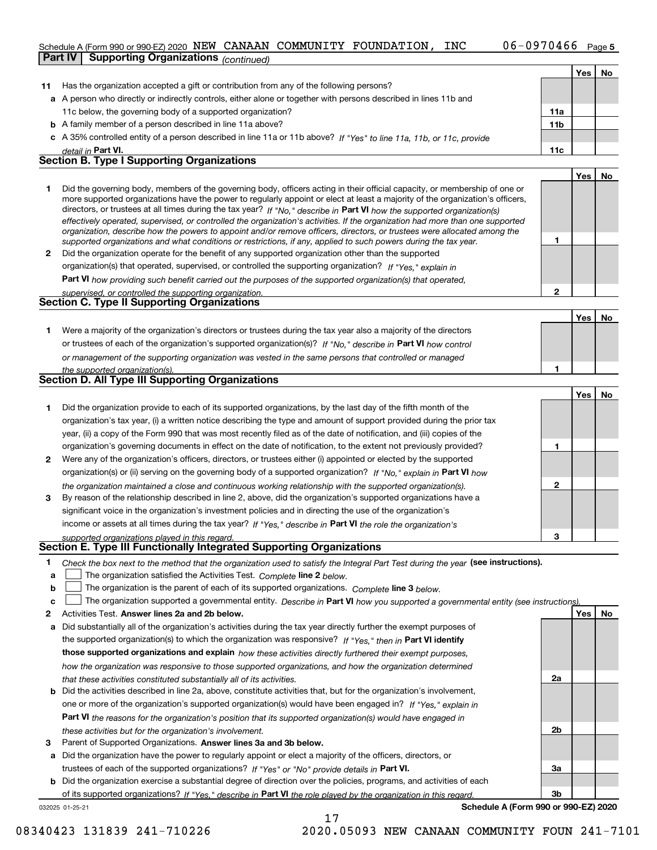## Schedule A (Form 990 or 990-EZ) 2020  $\, {\rm NEW\,}$   $\,$  CANAAN  $\,$  COMMUNITY  $\,$  FOUNDATION ,  $\,$  INC  $\,$   $\,$   $\,$  0.6  $-$  0.970.46.6  $\,$   $\,$   $\,$  Page

|    | <b>Part IV</b><br><b>Supporting Organizations (continued)</b>                                                                                                                                                                                               |     |     |    |
|----|-------------------------------------------------------------------------------------------------------------------------------------------------------------------------------------------------------------------------------------------------------------|-----|-----|----|
|    |                                                                                                                                                                                                                                                             |     | Yes | No |
| 11 | Has the organization accepted a gift or contribution from any of the following persons?                                                                                                                                                                     |     |     |    |
|    | a A person who directly or indirectly controls, either alone or together with persons described in lines 11b and                                                                                                                                            |     |     |    |
|    | 11c below, the governing body of a supported organization?                                                                                                                                                                                                  | 11a |     |    |
|    | <b>b</b> A family member of a person described in line 11a above?                                                                                                                                                                                           | 11b |     |    |
|    | c A 35% controlled entity of a person described in line 11a or 11b above? If "Yes" to line 11a, 11b, or 11c, provide                                                                                                                                        |     |     |    |
|    | detail in Part VI.                                                                                                                                                                                                                                          | 11c |     |    |
|    | <b>Section B. Type I Supporting Organizations</b>                                                                                                                                                                                                           |     |     |    |
|    |                                                                                                                                                                                                                                                             |     | Yes | No |
| 1  | Did the governing body, members of the governing body, officers acting in their official capacity, or membership of one or<br>more supported organizations have the power to regularly appoint or elect at least a majority of the organization's officers, |     |     |    |
|    | directors, or trustees at all times during the tax year? If "No," describe in Part VI how the supported organization(s)<br>effectively operated, supervised, or controlled the organization's activities. If the organization had more than one supported   |     |     |    |
|    | organization, describe how the powers to appoint and/or remove officers, directors, or trustees were allocated among the<br>supported organizations and what conditions or restrictions, if any, applied to such powers during the tax year.                | 1   |     |    |
| 2  | Did the organization operate for the benefit of any supported organization other than the supported                                                                                                                                                         |     |     |    |
|    | organization(s) that operated, supervised, or controlled the supporting organization? If "Yes," explain in                                                                                                                                                  |     |     |    |
|    | <b>Part VI</b> how providing such benefit carried out the purposes of the supported organization(s) that operated.                                                                                                                                          |     |     |    |
|    | supervised, or controlled the supporting organization.                                                                                                                                                                                                      | 2   |     |    |
|    | Section C. Type II Supporting Organizations                                                                                                                                                                                                                 |     |     |    |
|    |                                                                                                                                                                                                                                                             |     | Yes | No |
| 1. | Were a majority of the organization's directors or trustees during the tax year also a majority of the directors                                                                                                                                            |     |     |    |
|    | or trustees of each of the organization's supported organization(s)? If "No." describe in Part VI how control                                                                                                                                               |     |     |    |
|    | or management of the supporting organization was vested in the same persons that controlled or managed                                                                                                                                                      |     |     |    |
|    | the supported organization(s).                                                                                                                                                                                                                              | 1   |     |    |
|    | Section D. All Type III Supporting Organizations                                                                                                                                                                                                            |     |     |    |
|    |                                                                                                                                                                                                                                                             |     | Yes | No |
| 1. | Did the organization provide to each of its supported organizations, by the last day of the fifth month of the                                                                                                                                              |     |     |    |
|    | organization's tax year, (i) a written notice describing the type and amount of support provided during the prior tax                                                                                                                                       |     |     |    |
|    | year, (ii) a copy of the Form 990 that was most recently filed as of the date of notification, and (iii) copies of the                                                                                                                                      |     |     |    |
|    | organization's governing documents in effect on the date of notification, to the extent not previously provided?                                                                                                                                            | 1   |     |    |
| 2  | Were any of the organization's officers, directors, or trustees either (i) appointed or elected by the supported                                                                                                                                            |     |     |    |
|    | organization(s) or (ii) serving on the governing body of a supported organization? If "No," explain in Part VI how                                                                                                                                          |     |     |    |
|    | the organization maintained a close and continuous working relationship with the supported organization(s).                                                                                                                                                 | 2   |     |    |
| 3  | By reason of the relationship described in line 2, above, did the organization's supported organizations have a                                                                                                                                             |     |     |    |
|    | significant voice in the organization's investment policies and in directing the use of the organization's                                                                                                                                                  |     |     |    |
|    | income or assets at all times during the tax year? If "Yes," describe in Part VI the role the organization's                                                                                                                                                |     |     |    |
|    | supported organizations played in this regard.                                                                                                                                                                                                              | 3   |     |    |
|    | Section E. Type III Functionally Integrated Supporting Organizations                                                                                                                                                                                        |     |     |    |
| 1  | Check the box next to the method that the organization used to satisfy the Integral Part Test during the year (see instructions).                                                                                                                           |     |     |    |
| a  | The organization satisfied the Activities Test. Complete line 2 below.                                                                                                                                                                                      |     |     |    |
| b  | The organization is the parent of each of its supported organizations. Complete line 3 below.                                                                                                                                                               |     |     |    |
| c  | The organization supported a governmental entity. Describe in Part VI how you supported a governmental entity (see instructions)                                                                                                                            |     |     |    |
| 2  | Activities Test. Answer lines 2a and 2b below.                                                                                                                                                                                                              |     | Yes | No |
| a  | Did substantially all of the organization's activities during the tax year directly further the exempt purposes of                                                                                                                                          |     |     |    |
|    | the supported organization(s) to which the organization was responsive? If "Yes," then in Part VI identify                                                                                                                                                  |     |     |    |
|    | those supported organizations and explain how these activities directly furthered their exempt purposes,                                                                                                                                                    |     |     |    |
|    | how the organization was responsive to those supported organizations, and how the organization determined                                                                                                                                                   |     |     |    |

- *that these activities constituted substantially all of its activities.*
- **b** Did the activities described in line 2a, above, constitute activities that, but for the organization's involvement, **Part VI**  *the reasons for the organization's position that its supported organization(s) would have engaged in* one or more of the organization's supported organization(s) would have been engaged in? If "Yes," e*xplain in these activities but for the organization's involvement.*
- **3** Parent of Supported Organizations. Answer lines 3a and 3b below.

**a** Did the organization have the power to regularly appoint or elect a majority of the officers, directors, or trustees of each of the supported organizations? If "Yes" or "No" provide details in **Part VI.** 

**b** Did the organization exercise a substantial degree of direction over the policies, programs, and activities of each of its supported organizations? If "Yes," describe in Part VI the role played by the organization in this regard.

17

032025 01-25-21

**Schedule A (Form 990 or 990-EZ) 2020**

**2a**

**2b**

**3a**

**3b**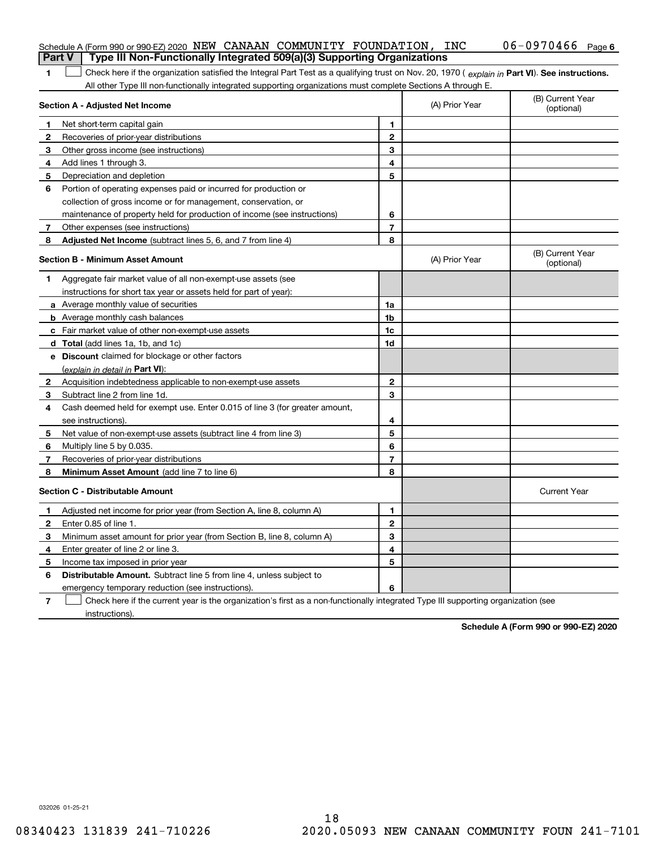|              | Schedule A (Form 990 or 990-EZ) 2020 NEW CANAAN COMMUNITY FOUNDATION, INC<br>Type III Non-Functionally Integrated 509(a)(3) Supporting Organizations<br><b>Part V</b> |                |                | $06 - 0970466$ Page 6          |
|--------------|-----------------------------------------------------------------------------------------------------------------------------------------------------------------------|----------------|----------------|--------------------------------|
| 1.           | Check here if the organization satisfied the Integral Part Test as a qualifying trust on Nov. 20, 1970 (explain in Part VI). See instructions.                        |                |                |                                |
|              | All other Type III non-functionally integrated supporting organizations must complete Sections A through E.                                                           |                |                |                                |
|              | Section A - Adjusted Net Income                                                                                                                                       |                | (A) Prior Year | (B) Current Year<br>(optional) |
| 1            | Net short-term capital gain                                                                                                                                           | 1              |                |                                |
| $\mathbf{2}$ | Recoveries of prior-year distributions                                                                                                                                | $\mathbf{2}$   |                |                                |
| 3            | Other gross income (see instructions)                                                                                                                                 | 3              |                |                                |
| 4            | Add lines 1 through 3.                                                                                                                                                | 4              |                |                                |
| 5            | Depreciation and depletion                                                                                                                                            | 5              |                |                                |
| 6            | Portion of operating expenses paid or incurred for production or                                                                                                      |                |                |                                |
|              | collection of gross income or for management, conservation, or                                                                                                        |                |                |                                |
|              | maintenance of property held for production of income (see instructions)                                                                                              | 6              |                |                                |
| $7^{\circ}$  | Other expenses (see instructions)                                                                                                                                     | $\overline{7}$ |                |                                |
| 8            | Adjusted Net Income (subtract lines 5, 6, and 7 from line 4)                                                                                                          | 8              |                |                                |
|              | Section B - Minimum Asset Amount                                                                                                                                      |                | (A) Prior Year | (B) Current Year<br>(optional) |
| 1            | Aggregate fair market value of all non-exempt-use assets (see                                                                                                         |                |                |                                |
|              | instructions for short tax year or assets held for part of year):                                                                                                     |                |                |                                |
|              | <b>a</b> Average monthly value of securities                                                                                                                          | 1a             |                |                                |
|              | <b>b</b> Average monthly cash balances                                                                                                                                | 1b             |                |                                |
|              | c Fair market value of other non-exempt-use assets                                                                                                                    | 1c             |                |                                |
|              | <b>d</b> Total (add lines 1a, 1b, and 1c)                                                                                                                             | 1d             |                |                                |
|              | <b>e</b> Discount claimed for blockage or other factors                                                                                                               |                |                |                                |
|              | (explain in detail in Part VI):                                                                                                                                       |                |                |                                |
| 2            | Acquisition indebtedness applicable to non-exempt-use assets                                                                                                          | $\mathbf{2}$   |                |                                |
| З            | Subtract line 2 from line 1d.                                                                                                                                         | 3              |                |                                |
| 4            | Cash deemed held for exempt use. Enter 0.015 of line 3 (for greater amount,                                                                                           |                |                |                                |
|              | see instructions).                                                                                                                                                    | 4              |                |                                |
| 5            | Net value of non-exempt-use assets (subtract line 4 from line 3)                                                                                                      | 5              |                |                                |
| 6            | Multiply line 5 by 0.035.                                                                                                                                             | 6              |                |                                |
| 7            | Recoveries of prior-year distributions                                                                                                                                | $\overline{7}$ |                |                                |
| 8            | Minimum Asset Amount (add line 7 to line 6)                                                                                                                           | 8              |                |                                |
|              | <b>Section C - Distributable Amount</b>                                                                                                                               |                |                | <b>Current Year</b>            |
|              | Adjusted net income for prior year (from Section A, line 8, column A)                                                                                                 | 1              |                |                                |
|              | Enter 0.85 of line 1.                                                                                                                                                 | 2              |                |                                |
| 3.           | Minimum asset amount for prior year (from Section B, line 8, column A)                                                                                                | 3              |                |                                |
| 4            | Enter greater of line 2 or line 3.                                                                                                                                    | 4              |                |                                |
|              | 5 Income tax imposed in prior year                                                                                                                                    | 5              |                |                                |
| 6            | <b>Distributable Amount.</b> Subtract line 5 from line 4, unless subject to                                                                                           |                |                |                                |
|              | emergency temporary reduction (see instructions).                                                                                                                     | 6              |                |                                |
| 7            | Check here if the current year is the organization's first as a non-functionally integrated Type III supporting organization (see                                     |                |                |                                |

instructions).

**Schedule A (Form 990 or 990-EZ) 2020**

032026 01-25-21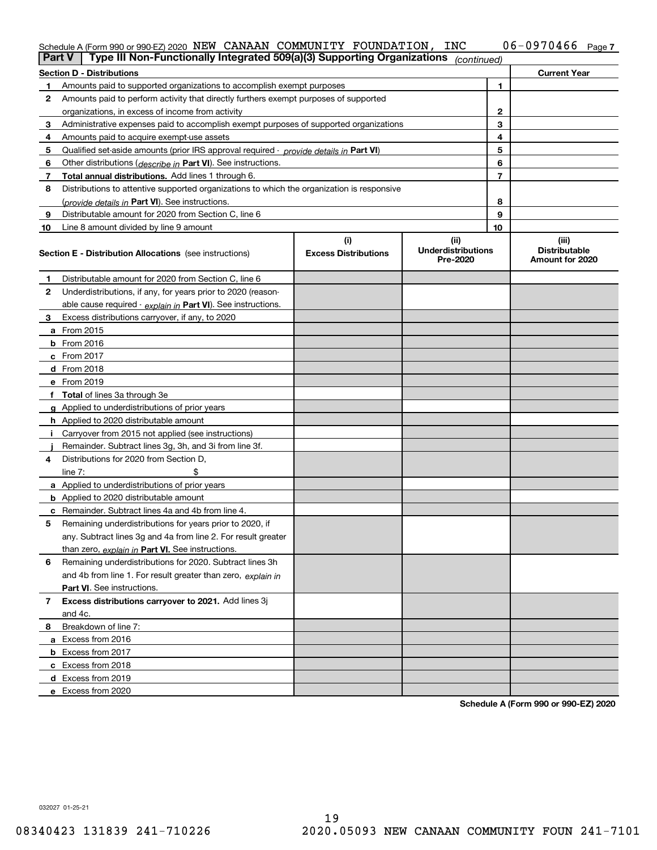| Schedule A (Form 990 or 990-EZ) 2020 NEW CANAAN COMMUNITY FOUNDATION, $\Box$                                      |  |  | INC | $06 - 0970466$ Page 7 |  |
|-------------------------------------------------------------------------------------------------------------------|--|--|-----|-----------------------|--|
| $\Box$ Part V $\Box$ Type III Non-Functionally Integrated 509(a)(3) Supporting Organizations $\Diamond$ continued |  |  |     |                       |  |

| <b>Part V</b> | Type III Non-Functionally Integrated 509(a)(3) Supporting Organizations                    |                                    | (continued)                       |              |                               |
|---------------|--------------------------------------------------------------------------------------------|------------------------------------|-----------------------------------|--------------|-------------------------------|
|               | <b>Section D - Distributions</b>                                                           |                                    |                                   |              | <b>Current Year</b>           |
| 1             | Amounts paid to supported organizations to accomplish exempt purposes                      |                                    | 1                                 |              |                               |
| 2             | Amounts paid to perform activity that directly furthers exempt purposes of supported       |                                    |                                   |              |                               |
|               | organizations, in excess of income from activity                                           |                                    |                                   | $\mathbf{2}$ |                               |
| 3             | Administrative expenses paid to accomplish exempt purposes of supported organizations      |                                    |                                   | 3            |                               |
| 4             | Amounts paid to acquire exempt-use assets                                                  |                                    |                                   | 4            |                               |
| 5             | Qualified set-aside amounts (prior IRS approval required - provide details in Part VI)     |                                    |                                   | 5            |                               |
| 6             | Other distributions ( <i>describe in</i> Part VI). See instructions.                       |                                    |                                   | 6            |                               |
| 7             | Total annual distributions. Add lines 1 through 6.                                         |                                    |                                   | 7            |                               |
| 8             | Distributions to attentive supported organizations to which the organization is responsive |                                    |                                   |              |                               |
|               | (provide details in Part VI). See instructions.                                            |                                    |                                   | 8            |                               |
| 9             | Distributable amount for 2020 from Section C, line 6                                       |                                    |                                   | 9            |                               |
| 10            | Line 8 amount divided by line 9 amount                                                     |                                    |                                   | 10           |                               |
|               | Section E - Distribution Allocations (see instructions)                                    | (i)<br><b>Excess Distributions</b> | (ii)<br><b>Underdistributions</b> |              | (iii)<br><b>Distributable</b> |
|               |                                                                                            |                                    | Pre-2020                          |              | Amount for 2020               |
| 1             | Distributable amount for 2020 from Section C, line 6                                       |                                    |                                   |              |                               |
| 2             | Underdistributions, if any, for years prior to 2020 (reason-                               |                                    |                                   |              |                               |
|               | able cause required - explain in Part VI). See instructions.                               |                                    |                                   |              |                               |
| 3             | Excess distributions carryover, if any, to 2020                                            |                                    |                                   |              |                               |
|               | <b>a</b> From 2015                                                                         |                                    |                                   |              |                               |
|               | <b>b</b> From 2016                                                                         |                                    |                                   |              |                               |
|               | c From 2017                                                                                |                                    |                                   |              |                               |
|               | <b>d</b> From 2018                                                                         |                                    |                                   |              |                               |
|               | e From 2019                                                                                |                                    |                                   |              |                               |
|               | f Total of lines 3a through 3e                                                             |                                    |                                   |              |                               |
|               | g Applied to underdistributions of prior years                                             |                                    |                                   |              |                               |
|               | <b>h</b> Applied to 2020 distributable amount                                              |                                    |                                   |              |                               |
|               | Carryover from 2015 not applied (see instructions)                                         |                                    |                                   |              |                               |
|               | Remainder. Subtract lines 3g, 3h, and 3i from line 3f.                                     |                                    |                                   |              |                               |
| 4             | Distributions for 2020 from Section D,                                                     |                                    |                                   |              |                               |
|               | line $7:$                                                                                  |                                    |                                   |              |                               |
|               | a Applied to underdistributions of prior years                                             |                                    |                                   |              |                               |
|               | <b>b</b> Applied to 2020 distributable amount                                              |                                    |                                   |              |                               |
|               | c Remainder. Subtract lines 4a and 4b from line 4.                                         |                                    |                                   |              |                               |
| 5             | Remaining underdistributions for years prior to 2020, if                                   |                                    |                                   |              |                               |
|               | any. Subtract lines 3g and 4a from line 2. For result greater                              |                                    |                                   |              |                               |
|               | than zero, explain in Part VI. See instructions.                                           |                                    |                                   |              |                               |
| 6             | Remaining underdistributions for 2020. Subtract lines 3h                                   |                                    |                                   |              |                               |
|               | and 4b from line 1. For result greater than zero, explain in                               |                                    |                                   |              |                               |
|               | Part VI. See instructions.                                                                 |                                    |                                   |              |                               |
| 7             | Excess distributions carryover to 2021. Add lines 3j                                       |                                    |                                   |              |                               |
|               | and 4c.                                                                                    |                                    |                                   |              |                               |
| 8             | Breakdown of line 7:                                                                       |                                    |                                   |              |                               |
|               | a Excess from 2016                                                                         |                                    |                                   |              |                               |
|               | <b>b</b> Excess from 2017                                                                  |                                    |                                   |              |                               |
|               | c Excess from 2018                                                                         |                                    |                                   |              |                               |
|               | d Excess from 2019                                                                         |                                    |                                   |              |                               |
|               | e Excess from 2020                                                                         |                                    |                                   |              |                               |

**Schedule A (Form 990 or 990-EZ) 2020**

032027 01-25-21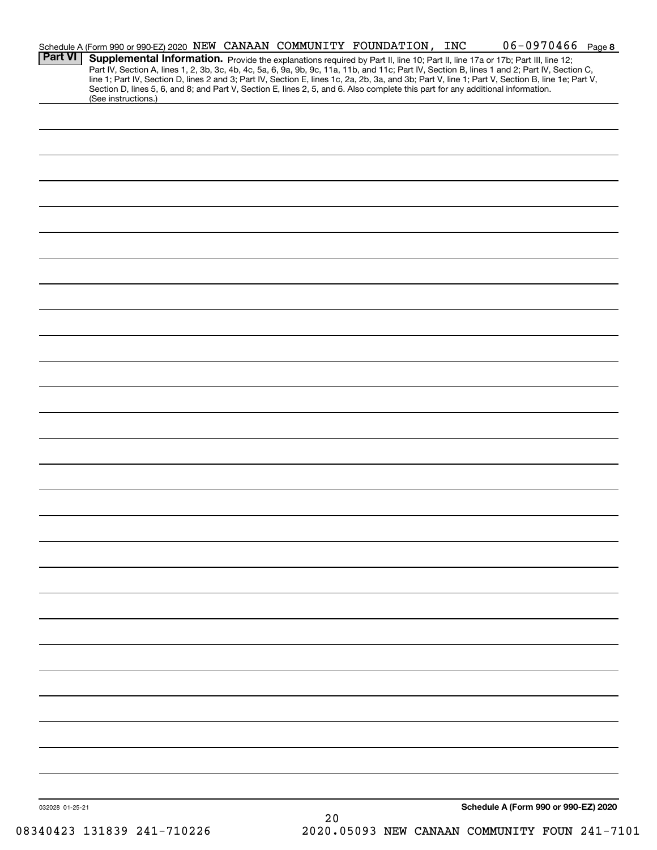| <b>Part VI</b>  | Schedule A (Form 990 or 990-EZ) 2020 NEW CANAAN COMMUNITY FOUNDATION, INC<br>Supplemental Information. Provide the explanations required by Part II, line 10; Part II, line 17a or 17b; Part III, line 12;<br>Part IV, Section A, lines 1, 2, 3b, 3c, 4b, 4c, 5a, 6, 9a, 9b, 9c, 11a, 11b, and 11c; Part IV, Section B, lines 1 and 2; Part IV, Section C, |    |  | $06 - 0970466$ Page 8                |  |
|-----------------|------------------------------------------------------------------------------------------------------------------------------------------------------------------------------------------------------------------------------------------------------------------------------------------------------------------------------------------------------------|----|--|--------------------------------------|--|
|                 | line 1; Part IV, Section D, lines 2 and 3; Part IV, Section E, lines 1c, 2a, 2b, 3a, and 3b; Part V, line 1; Part V, Section B, line 1e; Part V,<br>Section D, lines 5, 6, and 8; and Part V, Section E, lines 2, 5, and 6. Also complete this part for any additional information.<br>(See instructions.)                                                 |    |  |                                      |  |
|                 |                                                                                                                                                                                                                                                                                                                                                            |    |  |                                      |  |
|                 |                                                                                                                                                                                                                                                                                                                                                            |    |  |                                      |  |
|                 |                                                                                                                                                                                                                                                                                                                                                            |    |  |                                      |  |
|                 |                                                                                                                                                                                                                                                                                                                                                            |    |  |                                      |  |
|                 |                                                                                                                                                                                                                                                                                                                                                            |    |  |                                      |  |
|                 |                                                                                                                                                                                                                                                                                                                                                            |    |  |                                      |  |
|                 |                                                                                                                                                                                                                                                                                                                                                            |    |  |                                      |  |
|                 |                                                                                                                                                                                                                                                                                                                                                            |    |  |                                      |  |
|                 |                                                                                                                                                                                                                                                                                                                                                            |    |  |                                      |  |
|                 |                                                                                                                                                                                                                                                                                                                                                            |    |  |                                      |  |
|                 |                                                                                                                                                                                                                                                                                                                                                            |    |  |                                      |  |
|                 |                                                                                                                                                                                                                                                                                                                                                            |    |  |                                      |  |
|                 |                                                                                                                                                                                                                                                                                                                                                            |    |  |                                      |  |
|                 |                                                                                                                                                                                                                                                                                                                                                            |    |  |                                      |  |
|                 |                                                                                                                                                                                                                                                                                                                                                            |    |  |                                      |  |
|                 |                                                                                                                                                                                                                                                                                                                                                            |    |  |                                      |  |
|                 |                                                                                                                                                                                                                                                                                                                                                            |    |  |                                      |  |
|                 |                                                                                                                                                                                                                                                                                                                                                            |    |  |                                      |  |
|                 |                                                                                                                                                                                                                                                                                                                                                            |    |  |                                      |  |
|                 |                                                                                                                                                                                                                                                                                                                                                            |    |  |                                      |  |
|                 |                                                                                                                                                                                                                                                                                                                                                            |    |  |                                      |  |
|                 |                                                                                                                                                                                                                                                                                                                                                            |    |  |                                      |  |
|                 |                                                                                                                                                                                                                                                                                                                                                            |    |  |                                      |  |
|                 |                                                                                                                                                                                                                                                                                                                                                            |    |  |                                      |  |
|                 |                                                                                                                                                                                                                                                                                                                                                            |    |  |                                      |  |
|                 |                                                                                                                                                                                                                                                                                                                                                            |    |  |                                      |  |
|                 |                                                                                                                                                                                                                                                                                                                                                            |    |  |                                      |  |
| 032028 01-25-21 |                                                                                                                                                                                                                                                                                                                                                            | 20 |  | Schedule A (Form 990 or 990-EZ) 2020 |  |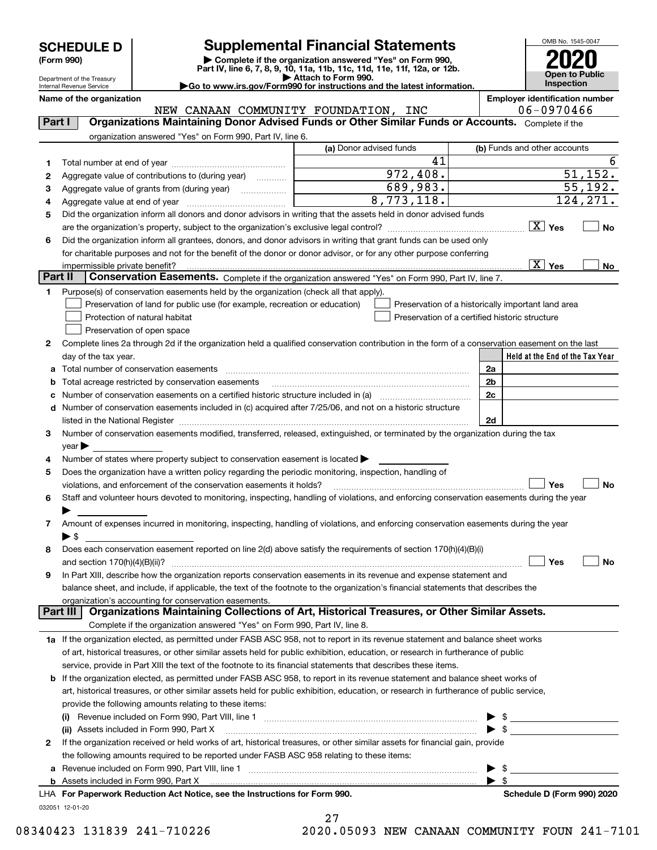| <b>SCHEDULE D</b> |
|-------------------|
|-------------------|

Department of the Treasury Internal Revenue Service

# **Supplemental Financial Statements**

(Form 990)<br>
Pepartment of the Treasury<br>
Department of the Treasury<br>
Department of the Treasury<br>
Department of the Treasury<br> **Co to www.irs.gov/Form990 for instructions and the latest information.**<br> **Co to www.irs.gov/Form9** 

OMB No. 1545-0047 **Open to Public Inspection2020**

| Internal Revenue Service | $\blacktriangleright$ Go to www.irs.gov/Form990 for instructions and the latest information. | <b>Inspection</b>                     |
|--------------------------|----------------------------------------------------------------------------------------------|---------------------------------------|
| Name of the organization |                                                                                              | <b>Employer identification number</b> |

032051 12-01-20 **Held at the End of the Tax Year** (a) Donor advised funds **123456X** Yes  $\Box$  **No Yes No 12**Complete lines 2a through 2d if the organization held a qualified conservation contribution in the form of a conservation easement on the last **3456789abc** Number of conservation easements on a certified historic structure included in (a) www.communically **d2a2b2c2dYes No Yes No 1a** If the organization elected, as permitted under FASB ASC 958, not to report in its revenue statement and balance sheet works **2b** If the organization elected, as permitted under FASB ASC 958, to report in its revenue statement and balance sheet works of **(i)** Revenue included on Form 990, Part VIII, line 1 ~~~~~~~~~~~~~~~~~~~~~~~~~~~~ | \$ **(ii)** Assets included in Form 990, Part X ~~~~~~~~~~~~~~~~~~~~~~~~~~~~~~~~~ | \$ **a**Revenue included on Form 990, Part VIII, line 1 ~~~~~~~~~~~~~~~~~~~~~~~~~~~~~~**bFor Paperwork Reduction Act Notice, see the Instructions for Form 990. Schedule D (Form 990) 2020** LHA<code>Part I</code>  $|$   $|$  Organizations Maintaining Donor Advised Funds or Other Similar Funds or Accounts.  $\,$  <code>Complete</code> if the organization answered "Yes" on Form 990, Part IV, line 6. (b) Funds and other accounts Total number at end of year ~~~~~~~~~~~~~~~Aggregate value of contributions to (during year)  $\quad \quad \ldots \ldots \ldots$ Aggregate value of grants from (during year) www.community Aggregate value at end of year ~~~~~~~~~~~~~ Did the organization inform all donors and donor advisors in writing that the assets held in donor advised funds are the organization's property, subject to the organization's exclusive legal control? ~~~~~~~~~~~~~~~~~~ Did the organization inform all grantees, donors, and donor advisors in writing that grant funds can be used only for charitable purposes and not for the benefit of the donor or donor advisor, or for any other purpose conferring impermissible private benefit? **Part II | Conservation Easements.** Complete if the organization answered "Yes" on Form 990, Part IV, line 7. Purpose(s) of conservation easements held by the organization (check all that apply). Preservation of land for public use (for example, recreation or education) **Protection of natural habitat Example 2014** Preservation of open space Preservation of a historically important land area Preservation of a certified historic structure day of the tax year. Total number of conservation easements ~~~~~~~~~~~~~~~~~~~~~~~~~~~~~~~~Total acreage restricted by conservation easements ~~~~~~~~~~~~~~~~~~~~~~~~~~Number of conservation easements included in (c) acquired after 7/25/06, and not on a historic structure listed in the National Register ~~~~~~~~~~~~~~~~~~~~~~~~~~~~~~~~~~~~~~ Number of conservation easements modified, transferred, released, extinguished, or terminated by the organization during the tax  $vear \blacktriangleright$ Number of states where property subject to conservation easement is located  $\blacktriangleright$ Does the organization have a written policy regarding the periodic monitoring, inspection, handling of violations, and enforcement of the conservation easements it holds?  $\Box$   $\Box$   $\Box$   $\Box$ Staff and volunteer hours devoted to monitoring, inspecting, handling of violations, and enforcing conservation easements during the year  $\blacktriangleright$ Amount of expenses incurred in monitoring, inspecting, handling of violations, and enforcing conservation easements during the year  $\blacktriangleright$  \$ Does each conservation easement reported on line 2(d) above satisfy the requirements of section 170(h)(4)(B)(i) and section 170(h)(4)(B)(ii)? ~~~~~~~~~~~~~~~~~~~~~~~~~~~~~~~~~~~~~~~~~~~~~~ In Part XIII, describe how the organization reports conservation easements in its revenue and expense statement and balance sheet, and include, if applicable, the text of the footnote to the organization's financial statements that describes the organization's accounting for conservation easements. Complete if the organization answered "Yes" on Form 990, Part IV, line 8. of art, historical treasures, or other similar assets held for public exhibition, education, or research in furtherance of public service, provide in Part XIII the text of the footnote to its financial statements that describes these items. art, historical treasures, or other similar assets held for public exhibition, education, or research in furtherance of public service, provide the following amounts relating to these items: If the organization received or held works of art, historical treasures, or other similar assets for financial gain, provide the following amounts required to be reported under FASB ASC 958 relating to these items: Assets included in Form 990, Part X  $\blacktriangleright$  \$  $\ldots$   $\blacktriangleright$  \$ **Part III Organizations Maintaining Collections of Art, Historical Treasures, or Other Similar Assets.**  $\boxed{\text{X}}$  $\overline{X}$  Yes  $\overline{X}$  $\mathcal{L}^{\text{max}}$  $\mathcal{L}^{\text{max}}$  $\mathcal{L}^{\text{max}}$ 41 6 972,408. 689,983. 8,773,118. 55,192. 124,271. X NEW CANAAN COMMUNITY FOUNDATION, INC  $\vert$  06-0970466

27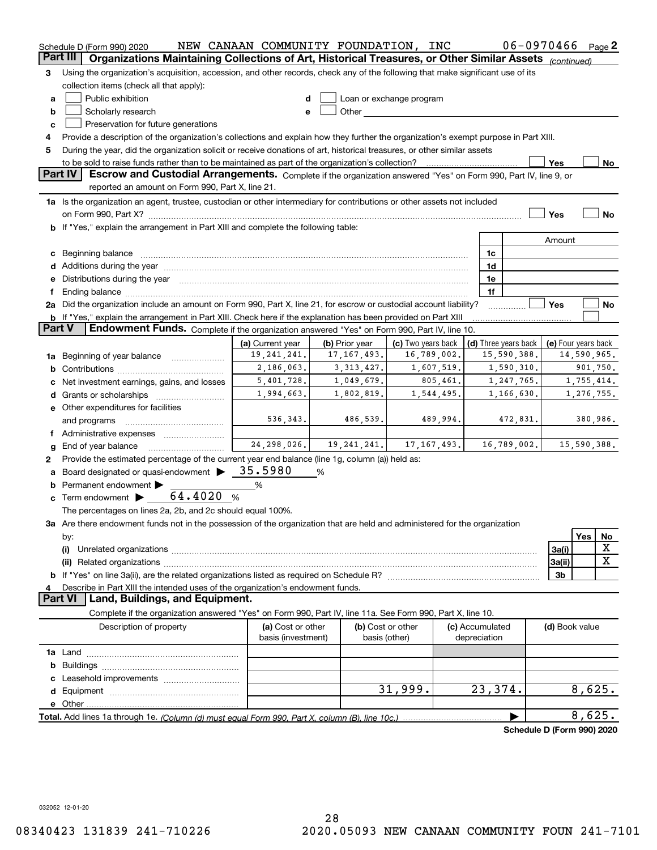|          | Schedule D (Form 990) 2020                                                                                                                                                                                                     | NEW CANAAN COMMUNITY FOUNDATION, INC |                |                          |  |                 | 06-0970466                 |                     |             | Page $2$  |
|----------|--------------------------------------------------------------------------------------------------------------------------------------------------------------------------------------------------------------------------------|--------------------------------------|----------------|--------------------------|--|-----------------|----------------------------|---------------------|-------------|-----------|
| Part III | Organizations Maintaining Collections of Art, Historical Treasures, or Other Similar Assets (continued)                                                                                                                        |                                      |                |                          |  |                 |                            |                     |             |           |
| З        | Using the organization's acquisition, accession, and other records, check any of the following that make significant use of its                                                                                                |                                      |                |                          |  |                 |                            |                     |             |           |
|          | collection items (check all that apply):                                                                                                                                                                                       |                                      |                |                          |  |                 |                            |                     |             |           |
| a        | Public exhibition                                                                                                                                                                                                              |                                      |                | Loan or exchange program |  |                 |                            |                     |             |           |
| b        | Scholarly research                                                                                                                                                                                                             | e                                    |                |                          |  |                 |                            |                     |             |           |
| c        | Preservation for future generations                                                                                                                                                                                            |                                      |                |                          |  |                 |                            |                     |             |           |
| 4        | Provide a description of the organization's collections and explain how they further the organization's exempt purpose in Part XIII.                                                                                           |                                      |                |                          |  |                 |                            |                     |             |           |
| 5        | During the year, did the organization solicit or receive donations of art, historical treasures, or other similar assets                                                                                                       |                                      |                |                          |  |                 |                            |                     |             |           |
|          | to be sold to raise funds rather than to be maintained as part of the organization's collection?                                                                                                                               |                                      |                |                          |  |                 |                            | Yes                 |             | No        |
|          | Part IV<br>Escrow and Custodial Arrangements. Complete if the organization answered "Yes" on Form 990, Part IV, line 9, or                                                                                                     |                                      |                |                          |  |                 |                            |                     |             |           |
|          | reported an amount on Form 990, Part X, line 21.                                                                                                                                                                               |                                      |                |                          |  |                 |                            |                     |             |           |
|          | 1a Is the organization an agent, trustee, custodian or other intermediary for contributions or other assets not included                                                                                                       |                                      |                |                          |  |                 |                            |                     |             |           |
|          | on Form 990, Part X? [11] matter contracts and contracts and contracts are contracted as a form 990, Part X?                                                                                                                   |                                      |                |                          |  |                 |                            | Yes                 |             | <b>No</b> |
|          | If "Yes," explain the arrangement in Part XIII and complete the following table:                                                                                                                                               |                                      |                |                          |  |                 |                            |                     |             |           |
|          |                                                                                                                                                                                                                                |                                      |                |                          |  |                 |                            | Amount              |             |           |
|          |                                                                                                                                                                                                                                |                                      |                |                          |  | 1c              |                            |                     |             |           |
| c        | Beginning balance                                                                                                                                                                                                              |                                      |                |                          |  | 1d              |                            |                     |             |           |
| d        | Additions during the year manufactured and an account of the state of the state of the state of the state of the state of the state of the state of the state of the state of the state of the state of the state of the state |                                      |                |                          |  | 1e              |                            |                     |             |           |
| е        | Distributions during the year manufactured and an account of the state of the state of the state of the state o                                                                                                                |                                      |                |                          |  | 1f              |                            |                     |             |           |
|          | 2a Did the organization include an amount on Form 990, Part X, line 21, for escrow or custodial account liability?                                                                                                             |                                      |                |                          |  |                 |                            | Yes                 |             | No        |
|          |                                                                                                                                                                                                                                |                                      |                |                          |  |                 |                            |                     |             |           |
| Part V   | <b>b</b> If "Yes," explain the arrangement in Part XIII. Check here if the explanation has been provided on Part XIII<br>Endowment Funds. Complete if the organization answered "Yes" on Form 990, Part IV, line 10.           |                                      |                |                          |  |                 |                            |                     |             |           |
|          |                                                                                                                                                                                                                                | (a) Current year                     | (b) Prior year | (c) Two years back       |  |                 | (d) Three years back       |                     |             |           |
|          |                                                                                                                                                                                                                                | 19, 241, 241.                        | 17, 167, 493.  | 16,789,002.              |  |                 | 15,590,388.                | (e) Four years back | 14,590,965. |           |
| 1a       | Beginning of year balance                                                                                                                                                                                                      |                                      |                |                          |  |                 |                            |                     |             |           |
|          | 2,186,063.<br>3, 313, 427.<br>1,607,519.<br>1,590,310.<br>901,750.<br>b<br>5,401,728.<br>1,049,679.<br>805,461.<br>1,247,765.<br>1,755,414.                                                                                    |                                      |                |                          |  |                 |                            |                     |             |           |
|          | Net investment earnings, gains, and losses                                                                                                                                                                                     | 1,994,663.                           | 1,802,819.     | 1,544,495.               |  |                 | 1,166,630.                 |                     | 1,276,755.  |           |
| d        | Grants or scholarships                                                                                                                                                                                                         |                                      |                |                          |  |                 |                            |                     |             |           |
|          | e Other expenditures for facilities                                                                                                                                                                                            |                                      |                |                          |  |                 |                            |                     |             |           |
|          | and programs                                                                                                                                                                                                                   | 536,343.                             | 486,539.       | 489,994.                 |  |                 | 472,831.                   |                     | 380,986.    |           |
|          | f Administrative expenses                                                                                                                                                                                                      |                                      |                |                          |  |                 |                            |                     |             |           |
| g        | End of year balance                                                                                                                                                                                                            | 24, 298, 026.                        | 19,241,241.    | 17, 167, 493.            |  |                 | 16,789,002.                |                     | 15,590,388. |           |
| 2        | Provide the estimated percentage of the current year end balance (line 1g, column (a)) held as:                                                                                                                                |                                      |                |                          |  |                 |                            |                     |             |           |
| а        | Board designated or quasi-endowment                                                                                                                                                                                            | 35.5980                              | %              |                          |  |                 |                            |                     |             |           |
|          | Permanent endowment                                                                                                                                                                                                            | %                                    |                |                          |  |                 |                            |                     |             |           |
| c        | Term endowment $\blacktriangleright$ ___ 64.4020 %                                                                                                                                                                             |                                      |                |                          |  |                 |                            |                     |             |           |
|          | The percentages on lines 2a, 2b, and 2c should equal 100%.                                                                                                                                                                     |                                      |                |                          |  |                 |                            |                     |             |           |
|          | 3a Are there endowment funds not in the possession of the organization that are held and administered for the organization                                                                                                     |                                      |                |                          |  |                 |                            |                     |             |           |
|          | by:                                                                                                                                                                                                                            |                                      |                |                          |  |                 |                            |                     | Yes         | No        |
|          | (i)                                                                                                                                                                                                                            |                                      |                |                          |  |                 |                            | 3a(i)               |             | х         |
|          |                                                                                                                                                                                                                                |                                      |                |                          |  |                 |                            | 3a(ii)              |             | X         |
| b        |                                                                                                                                                                                                                                |                                      |                |                          |  |                 |                            | 3b                  |             |           |
|          | Describe in Part XIII the intended uses of the organization's endowment funds.                                                                                                                                                 |                                      |                |                          |  |                 |                            |                     |             |           |
|          | Land, Buildings, and Equipment.<br><b>Part VI</b>                                                                                                                                                                              |                                      |                |                          |  |                 |                            |                     |             |           |
|          | Complete if the organization answered "Yes" on Form 990, Part IV, line 11a. See Form 990, Part X, line 10.                                                                                                                     |                                      |                |                          |  |                 |                            |                     |             |           |
|          | Description of property                                                                                                                                                                                                        | (a) Cost or other                    |                | (b) Cost or other        |  | (c) Accumulated |                            | (d) Book value      |             |           |
|          |                                                                                                                                                                                                                                | basis (investment)                   |                | basis (other)            |  | depreciation    |                            |                     |             |           |
|          |                                                                                                                                                                                                                                |                                      |                |                          |  |                 |                            |                     |             |           |
| b        |                                                                                                                                                                                                                                |                                      |                |                          |  |                 |                            |                     |             |           |
|          |                                                                                                                                                                                                                                |                                      |                |                          |  |                 |                            |                     |             |           |
| d        |                                                                                                                                                                                                                                |                                      |                | 31,999.                  |  | 23,374.         |                            |                     | 8,625.      |           |
|          | e Other                                                                                                                                                                                                                        |                                      |                |                          |  |                 |                            |                     |             |           |
|          | Total. Add lines 1a through 1e. (Column (d) must equal Form 990. Part X, column (B), line 10c.)                                                                                                                                |                                      |                |                          |  |                 |                            |                     | 8,625.      |           |
|          |                                                                                                                                                                                                                                |                                      |                |                          |  |                 | Schedule D (Form 990) 2020 |                     |             |           |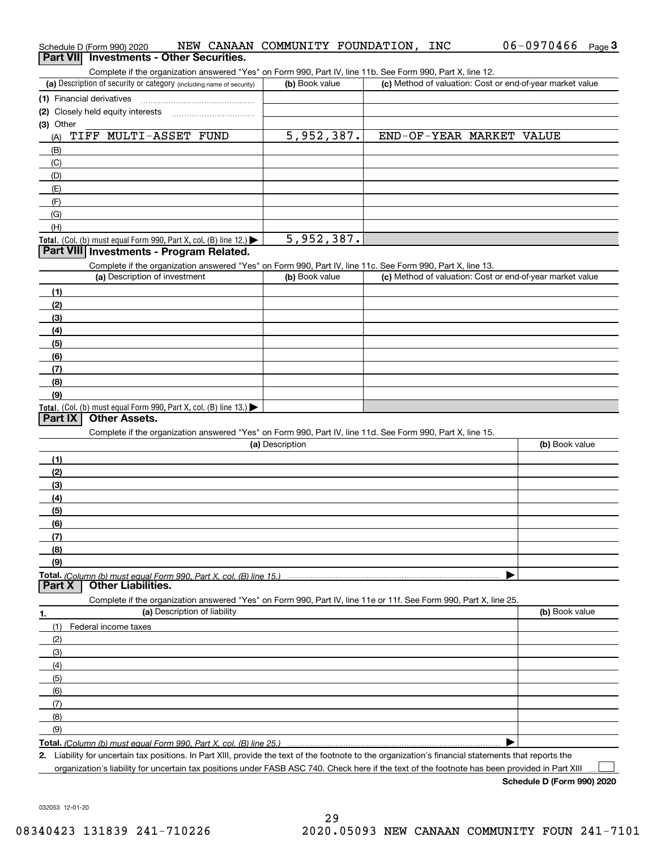| Schedule D (Form 990) 2020                                                                                                                           | NEW CANAAN COMMUNITY FOUNDATION, | INC                                                       | $06 - 0970466$ Page 3 |
|------------------------------------------------------------------------------------------------------------------------------------------------------|----------------------------------|-----------------------------------------------------------|-----------------------|
| Part VII Investments - Other Securities.                                                                                                             |                                  |                                                           |                       |
| Complete if the organization answered "Yes" on Form 990, Part IV, line 11b. See Form 990, Part X, line 12.                                           |                                  |                                                           |                       |
| (a) Description of security or category (including name of security)                                                                                 | (b) Book value                   | (c) Method of valuation: Cost or end-of-year market value |                       |
| (1) Financial derivatives                                                                                                                            |                                  |                                                           |                       |
| (2) Closely held equity interests                                                                                                                    |                                  |                                                           |                       |
| (3) Other<br>TIFF MULTI-ASSET FUND                                                                                                                   | 5,952,387.                       | END-OF-YEAR MARKET VALUE                                  |                       |
| (A)                                                                                                                                                  |                                  |                                                           |                       |
| (B)<br>(C)                                                                                                                                           |                                  |                                                           |                       |
| (D)                                                                                                                                                  |                                  |                                                           |                       |
| (E)                                                                                                                                                  |                                  |                                                           |                       |
| (F)                                                                                                                                                  |                                  |                                                           |                       |
| (G)                                                                                                                                                  |                                  |                                                           |                       |
| (H)                                                                                                                                                  |                                  |                                                           |                       |
| Total. (Col. (b) must equal Form 990, Part X, col. (B) line 12.)                                                                                     | 5,952,387.                       |                                                           |                       |
| Part VIII Investments - Program Related.                                                                                                             |                                  |                                                           |                       |
| Complete if the organization answered "Yes" on Form 990, Part IV, line 11c. See Form 990, Part X, line 13.                                           |                                  |                                                           |                       |
| (a) Description of investment                                                                                                                        | (b) Book value                   | (c) Method of valuation: Cost or end-of-year market value |                       |
| (1)                                                                                                                                                  |                                  |                                                           |                       |
| (2)                                                                                                                                                  |                                  |                                                           |                       |
| (3)                                                                                                                                                  |                                  |                                                           |                       |
| (4)                                                                                                                                                  |                                  |                                                           |                       |
| (5)                                                                                                                                                  |                                  |                                                           |                       |
| (6)                                                                                                                                                  |                                  |                                                           |                       |
| (7)                                                                                                                                                  |                                  |                                                           |                       |
| (8)                                                                                                                                                  |                                  |                                                           |                       |
| (9)                                                                                                                                                  |                                  |                                                           |                       |
| Total. (Col. (b) must equal Form 990, Part X, col. (B) line 13.)<br><b>Other Assets.</b>                                                             |                                  |                                                           |                       |
| Part IX                                                                                                                                              |                                  |                                                           |                       |
| Complete if the organization answered "Yes" on Form 990, Part IV, line 11d. See Form 990, Part X, line 15.                                           | (a) Description                  |                                                           | (b) Book value        |
|                                                                                                                                                      |                                  |                                                           |                       |
| (1)                                                                                                                                                  |                                  |                                                           |                       |
| (2)                                                                                                                                                  |                                  |                                                           |                       |
| (3)<br>(4)                                                                                                                                           |                                  |                                                           |                       |
| (5)                                                                                                                                                  |                                  |                                                           |                       |
| (6)                                                                                                                                                  |                                  |                                                           |                       |
| (7)                                                                                                                                                  |                                  |                                                           |                       |
| (8)                                                                                                                                                  |                                  |                                                           |                       |
| (9)                                                                                                                                                  |                                  |                                                           |                       |
| Total. (Column (b) must equal Form 990. Part X, col. (B) line 15.)                                                                                   |                                  |                                                           |                       |
| <b>Other Liabilities.</b><br>Part X                                                                                                                  |                                  |                                                           |                       |
| Complete if the organization answered "Yes" on Form 990, Part IV, line 11e or 11f. See Form 990, Part X, line 25.                                    |                                  |                                                           |                       |
| (a) Description of liability<br>1.                                                                                                                   |                                  |                                                           | (b) Book value        |
| (1)<br>Federal income taxes                                                                                                                          |                                  |                                                           |                       |
| (2)                                                                                                                                                  |                                  |                                                           |                       |
| (3)                                                                                                                                                  |                                  |                                                           |                       |
| (4)                                                                                                                                                  |                                  |                                                           |                       |
| (5)                                                                                                                                                  |                                  |                                                           |                       |
| (6)                                                                                                                                                  |                                  |                                                           |                       |
| (7)                                                                                                                                                  |                                  |                                                           |                       |
| (8)                                                                                                                                                  |                                  |                                                           |                       |
| (9)                                                                                                                                                  |                                  |                                                           |                       |
| Total. (Column (b) must equal Form 990. Part X, col. (B) line 25.)                                                                                   |                                  |                                                           |                       |
| 2. Liability for uncertain tax positions. In Part XIII, provide the text of the footnote to the organization's financial statements that reports the |                                  |                                                           |                       |
| organization's liability for uncertain tax positions under FASB ASC 740. Check here if the text of the footnote has been provided in Part XIII       |                                  |                                                           |                       |

**Schedule D (Form 990) 2020**

032053 12-01-20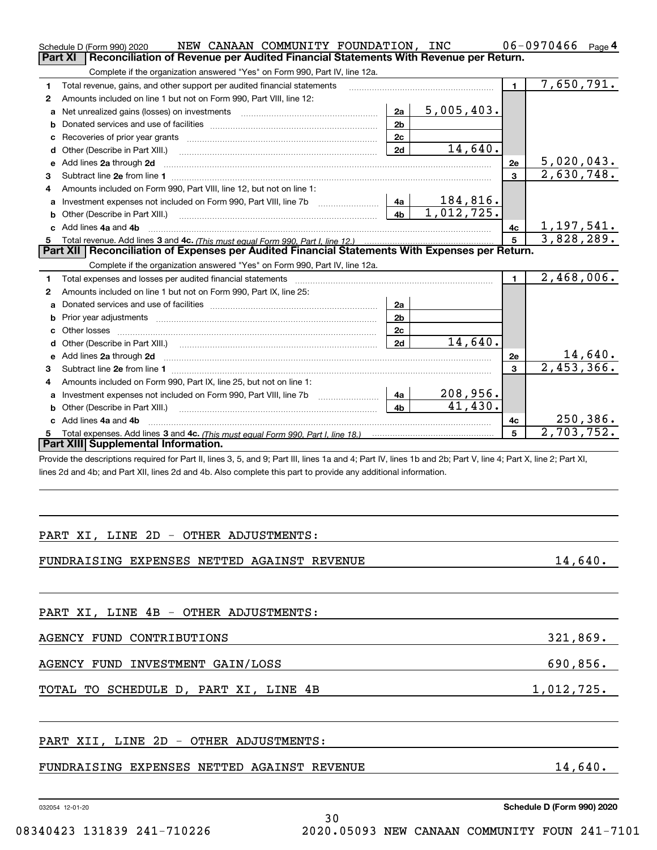|   | NEW CANAAN COMMUNITY FOUNDATION, INC<br>Schedule D (Form 990) 2020                                                                                                                                                                 |                |                  |              | 06-0970466<br>Page 4            |
|---|------------------------------------------------------------------------------------------------------------------------------------------------------------------------------------------------------------------------------------|----------------|------------------|--------------|---------------------------------|
|   | Reconciliation of Revenue per Audited Financial Statements With Revenue per Return.<br><b>Part XI</b>                                                                                                                              |                |                  |              |                                 |
|   | Complete if the organization answered "Yes" on Form 990, Part IV, line 12a.                                                                                                                                                        |                |                  |              |                                 |
| 1 | Total revenue, gains, and other support per audited financial statements                                                                                                                                                           |                |                  | 1.           | 7,650,791.                      |
| 2 | Amounts included on line 1 but not on Form 990, Part VIII, line 12:                                                                                                                                                                |                |                  |              |                                 |
| a | Net unrealized gains (losses) on investments [11] matter contracts and the unrealized gains (losses) on investments                                                                                                                | 2a             | 5,005,403.       |              |                                 |
| b |                                                                                                                                                                                                                                    | 2 <sub>b</sub> |                  |              |                                 |
| c |                                                                                                                                                                                                                                    | 2c             |                  |              |                                 |
| d | Other (Describe in Part XIII.)                                                                                                                                                                                                     | 2d             | 14,640.          |              |                                 |
| е | Add lines 2a through 2d                                                                                                                                                                                                            |                |                  | 2e           | $\frac{5,020,043.}{2,630,748.}$ |
| З |                                                                                                                                                                                                                                    |                |                  | 3            |                                 |
| 4 | Amounts included on Form 990. Part VIII. line 12, but not on line 1:                                                                                                                                                               |                |                  |              |                                 |
| a | Investment expenses not included on Form 990, Part VIII, line 7b [111] [11] Investment expenses not included on Form 990, Part VIII, line 7b                                                                                       | 4a             | <u> 184,816.</u> |              |                                 |
| b |                                                                                                                                                                                                                                    | 4 <sub>b</sub> | 1,012,725.       |              |                                 |
| c | Add lines 4a and 4b                                                                                                                                                                                                                |                |                  | 4с           | <u>1,197,541.</u><br>3,828,289. |
| 5 |                                                                                                                                                                                                                                    |                |                  | 5            |                                 |
|   | Part XII   Reconciliation of Expenses per Audited Financial Statements With Expenses per Return.                                                                                                                                   |                |                  |              |                                 |
|   | Complete if the organization answered "Yes" on Form 990, Part IV, line 12a.                                                                                                                                                        |                |                  |              |                                 |
| 1 |                                                                                                                                                                                                                                    |                |                  | $\mathbf{1}$ | 2,468,006.                      |
| 2 | Amounts included on line 1 but not on Form 990, Part IX, line 25:                                                                                                                                                                  |                |                  |              |                                 |
| a |                                                                                                                                                                                                                                    | 2a             |                  |              |                                 |
| b |                                                                                                                                                                                                                                    | 2 <sub>b</sub> |                  |              |                                 |
| c |                                                                                                                                                                                                                                    | 2c             |                  |              |                                 |
| d |                                                                                                                                                                                                                                    | 2d             | 14,640.          |              |                                 |
| е | Add lines 2a through 2d <b>manufactures</b> and contained the state of the state of the state of the state of the state of the state of the state of the state of the state of the state of the state of the state of the state of |                |                  | 2e           | $\frac{14,640}{2,453,366}$      |
| З |                                                                                                                                                                                                                                    |                |                  | 3            |                                 |
| 4 | Amounts included on Form 990, Part IX, line 25, but not on line 1:                                                                                                                                                                 |                |                  |              |                                 |
| a |                                                                                                                                                                                                                                    | 4a             | 208,956.         |              |                                 |
| b |                                                                                                                                                                                                                                    | 4b             | 41,430.          |              |                                 |
|   | c Add lines 4a and 4b                                                                                                                                                                                                              |                |                  | 4с           | 250,386.                        |
| 5 | Part XIII Supplemental Information.                                                                                                                                                                                                |                |                  | 5            | 2,703,752.                      |
|   |                                                                                                                                                                                                                                    |                |                  |              |                                 |
|   | Provide the descriptions required for Part II, lines 3, 5, and 9; Part III, lines 1a and 4; Part IV, lines 1b and 2b; Part V, line 4; Part X, line 2; Part XI,                                                                     |                |                  |              |                                 |
|   | lines 2d and 4b; and Part XII, lines 2d and 4b. Also complete this part to provide any additional information.                                                                                                                     |                |                  |              |                                 |
|   |                                                                                                                                                                                                                                    |                |                  |              |                                 |
|   |                                                                                                                                                                                                                                    |                |                  |              |                                 |
|   |                                                                                                                                                                                                                                    |                |                  |              |                                 |
|   | PART XI, LINE 2D - OTHER ADJUSTMENTS:                                                                                                                                                                                              |                |                  |              |                                 |
|   |                                                                                                                                                                                                                                    |                |                  |              |                                 |
|   | FUNDRAISING EXPENSES NETTED AGAINST REVENUE                                                                                                                                                                                        |                |                  |              | $14,640$ .                      |
|   |                                                                                                                                                                                                                                    |                |                  |              |                                 |
|   |                                                                                                                                                                                                                                    |                |                  |              |                                 |
|   |                                                                                                                                                                                                                                    |                |                  |              |                                 |
|   | PART XI, LINE 4B - OTHER ADJUSTMENTS:                                                                                                                                                                                              |                |                  |              |                                 |
|   |                                                                                                                                                                                                                                    |                |                  |              |                                 |
|   | AGENCY FUND CONTRIBUTIONS                                                                                                                                                                                                          |                |                  |              | 321,869.                        |
|   |                                                                                                                                                                                                                                    |                |                  |              |                                 |
|   | AGENCY FUND INVESTMENT GAIN/LOSS                                                                                                                                                                                                   |                |                  |              |                                 |
|   |                                                                                                                                                                                                                                    |                |                  |              | $\overline{690,856}$ .          |
|   | TOTAL TO SCHEDULE D, PART XI, LINE 4B                                                                                                                                                                                              |                |                  |              |                                 |
|   |                                                                                                                                                                                                                                    |                |                  |              | $\frac{1,012,725}{\ldots}$      |
|   |                                                                                                                                                                                                                                    |                |                  |              |                                 |
|   |                                                                                                                                                                                                                                    |                |                  |              |                                 |
|   | PART XII, LINE 2D - OTHER ADJUSTMENTS:                                                                                                                                                                                             |                |                  |              |                                 |
|   |                                                                                                                                                                                                                                    |                |                  |              |                                 |
|   |                                                                                                                                                                                                                                    |                |                  |              |                                 |

FUNDRAISING EXPENSES NETTED AGAINST REVENUE 14,640.

032054 12-01-20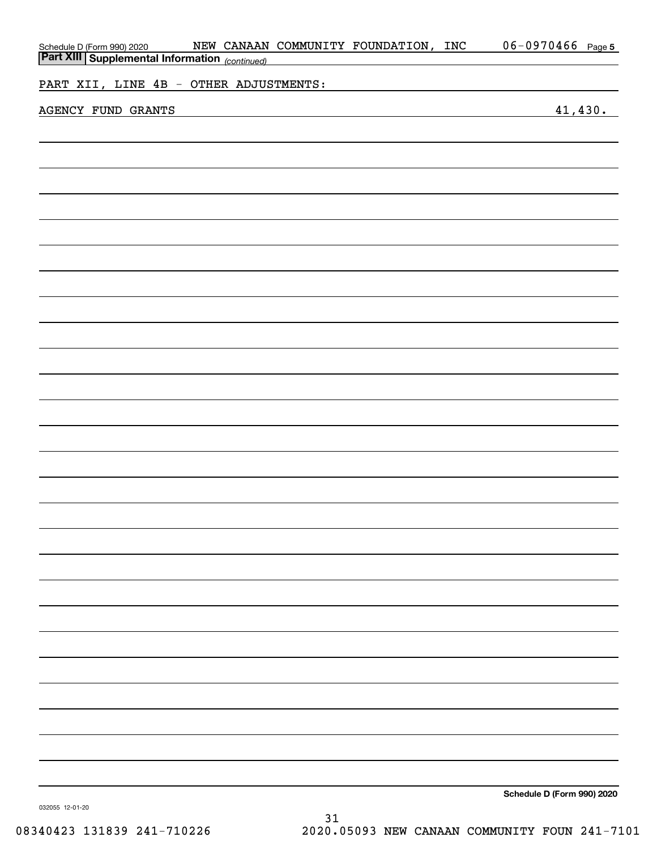| Schedule D (Form 990) 2020 NEW CANAAN<br>Part XIII Supplemental Information (continued) |  | NEW CANAAN COMMUNITY FOUNDATION, INC<br><u> 1989 - Johann Stein, mars an de Brasilia (b. 1989)</u> | 06-0970466 Page 5          |
|-----------------------------------------------------------------------------------------|--|----------------------------------------------------------------------------------------------------|----------------------------|
| PART XII, LINE 4B - OTHER ADJUSTMENTS:                                                  |  | the control of the control of the control of the control of the control of the control of          |                            |
| AGENCY FUND GRANTS                                                                      |  |                                                                                                    | 41, 430.                   |
|                                                                                         |  |                                                                                                    |                            |
|                                                                                         |  |                                                                                                    |                            |
|                                                                                         |  |                                                                                                    |                            |
|                                                                                         |  |                                                                                                    |                            |
|                                                                                         |  |                                                                                                    |                            |
|                                                                                         |  |                                                                                                    |                            |
|                                                                                         |  |                                                                                                    |                            |
|                                                                                         |  |                                                                                                    |                            |
|                                                                                         |  |                                                                                                    |                            |
|                                                                                         |  |                                                                                                    |                            |
|                                                                                         |  |                                                                                                    |                            |
|                                                                                         |  |                                                                                                    |                            |
|                                                                                         |  |                                                                                                    |                            |
|                                                                                         |  |                                                                                                    |                            |
|                                                                                         |  |                                                                                                    |                            |
|                                                                                         |  |                                                                                                    |                            |
|                                                                                         |  |                                                                                                    |                            |
|                                                                                         |  |                                                                                                    |                            |
|                                                                                         |  |                                                                                                    |                            |
|                                                                                         |  |                                                                                                    |                            |
|                                                                                         |  |                                                                                                    |                            |
|                                                                                         |  |                                                                                                    |                            |
|                                                                                         |  |                                                                                                    |                            |
|                                                                                         |  |                                                                                                    | Schedule D (Form 990) 2020 |

**Schedule D (Form 990) 2020**

032055 12-01-20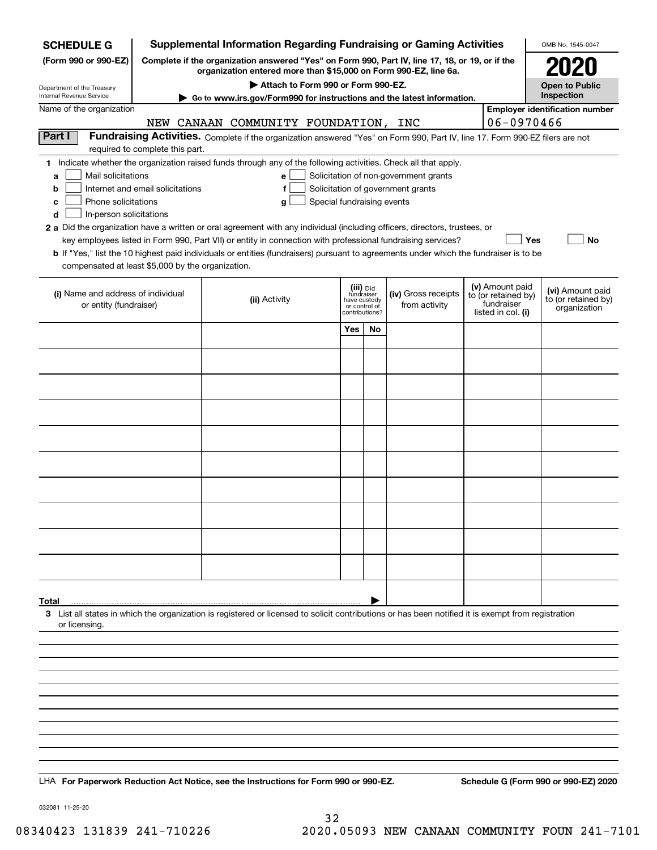| <b>SCHEDULE G</b>                                                                                                                             |                                                                                                 | <b>Supplemental Information Regarding Fundraising or Gaming Activities</b>                                                                                                                                                                                                                                                                                                                                                                                                                                                                         |                                                                            |    |                                                                            |  |                                                                            | OMB No. 1545-0047                                       |
|-----------------------------------------------------------------------------------------------------------------------------------------------|-------------------------------------------------------------------------------------------------|----------------------------------------------------------------------------------------------------------------------------------------------------------------------------------------------------------------------------------------------------------------------------------------------------------------------------------------------------------------------------------------------------------------------------------------------------------------------------------------------------------------------------------------------------|----------------------------------------------------------------------------|----|----------------------------------------------------------------------------|--|----------------------------------------------------------------------------|---------------------------------------------------------|
| (Form 990 or 990-EZ)                                                                                                                          | Complete if the organization answered "Yes" on Form 990, Part IV, line 17, 18, or 19, or if the | <b>2020</b>                                                                                                                                                                                                                                                                                                                                                                                                                                                                                                                                        |                                                                            |    |                                                                            |  |                                                                            |                                                         |
|                                                                                                                                               |                                                                                                 | <b>Open to Public</b>                                                                                                                                                                                                                                                                                                                                                                                                                                                                                                                              |                                                                            |    |                                                                            |  |                                                                            |                                                         |
| Department of the Treasury<br>Internal Revenue Service                                                                                        |                                                                                                 | Inspection                                                                                                                                                                                                                                                                                                                                                                                                                                                                                                                                         |                                                                            |    |                                                                            |  |                                                                            |                                                         |
| Name of the organization                                                                                                                      | NEW                                                                                             | ► Go to www.irs.gov/Form990 for instructions and the latest information.<br>CANAAN COMMUNITY FOUNDATION, INC                                                                                                                                                                                                                                                                                                                                                                                                                                       |                                                                            |    |                                                                            |  | 06-0970466                                                                 | <b>Employer identification number</b>                   |
| Part I                                                                                                                                        |                                                                                                 | Fundraising Activities. Complete if the organization answered "Yes" on Form 990, Part IV, line 17. Form 990-EZ filers are not                                                                                                                                                                                                                                                                                                                                                                                                                      |                                                                            |    |                                                                            |  |                                                                            |                                                         |
|                                                                                                                                               | required to complete this part.                                                                 |                                                                                                                                                                                                                                                                                                                                                                                                                                                                                                                                                    |                                                                            |    |                                                                            |  |                                                                            |                                                         |
| Mail solicitations<br>a<br>b<br>Phone solicitations<br>c<br>In-person solicitations<br>d<br>compensated at least \$5,000 by the organization. | Internet and email solicitations                                                                | 1 Indicate whether the organization raised funds through any of the following activities. Check all that apply.<br>e<br>f<br>Special fundraising events<br>g<br>2 a Did the organization have a written or oral agreement with any individual (including officers, directors, trustees, or<br>key employees listed in Form 990, Part VII) or entity in connection with professional fundraising services?<br>b If "Yes," list the 10 highest paid individuals or entities (fundraisers) pursuant to agreements under which the fundraiser is to be |                                                                            |    | Solicitation of non-government grants<br>Solicitation of government grants |  | <b>Yes</b>                                                                 | No                                                      |
| (i) Name and address of individual<br>or entity (fundraiser)                                                                                  |                                                                                                 | (ii) Activity                                                                                                                                                                                                                                                                                                                                                                                                                                                                                                                                      | (iii) Did<br>fundraiser<br>have custody<br>or control of<br>contributions? |    | (iv) Gross receipts<br>from activity                                       |  | (v) Amount paid<br>to (or retained by)<br>fundraiser<br>listed in col. (i) | (vi) Amount paid<br>to (or retained by)<br>organization |
|                                                                                                                                               |                                                                                                 |                                                                                                                                                                                                                                                                                                                                                                                                                                                                                                                                                    | Yes                                                                        | No |                                                                            |  |                                                                            |                                                         |
|                                                                                                                                               |                                                                                                 |                                                                                                                                                                                                                                                                                                                                                                                                                                                                                                                                                    |                                                                            |    |                                                                            |  |                                                                            |                                                         |
|                                                                                                                                               |                                                                                                 |                                                                                                                                                                                                                                                                                                                                                                                                                                                                                                                                                    |                                                                            |    |                                                                            |  |                                                                            |                                                         |
|                                                                                                                                               |                                                                                                 |                                                                                                                                                                                                                                                                                                                                                                                                                                                                                                                                                    |                                                                            |    |                                                                            |  |                                                                            |                                                         |
|                                                                                                                                               |                                                                                                 |                                                                                                                                                                                                                                                                                                                                                                                                                                                                                                                                                    |                                                                            |    |                                                                            |  |                                                                            |                                                         |
|                                                                                                                                               |                                                                                                 |                                                                                                                                                                                                                                                                                                                                                                                                                                                                                                                                                    |                                                                            |    |                                                                            |  |                                                                            |                                                         |
|                                                                                                                                               |                                                                                                 |                                                                                                                                                                                                                                                                                                                                                                                                                                                                                                                                                    |                                                                            |    |                                                                            |  |                                                                            |                                                         |
|                                                                                                                                               |                                                                                                 |                                                                                                                                                                                                                                                                                                                                                                                                                                                                                                                                                    |                                                                            |    |                                                                            |  |                                                                            |                                                         |
|                                                                                                                                               |                                                                                                 |                                                                                                                                                                                                                                                                                                                                                                                                                                                                                                                                                    |                                                                            |    |                                                                            |  |                                                                            |                                                         |
|                                                                                                                                               |                                                                                                 |                                                                                                                                                                                                                                                                                                                                                                                                                                                                                                                                                    |                                                                            |    |                                                                            |  |                                                                            |                                                         |
|                                                                                                                                               |                                                                                                 |                                                                                                                                                                                                                                                                                                                                                                                                                                                                                                                                                    |                                                                            |    |                                                                            |  |                                                                            |                                                         |
|                                                                                                                                               |                                                                                                 |                                                                                                                                                                                                                                                                                                                                                                                                                                                                                                                                                    |                                                                            |    |                                                                            |  |                                                                            |                                                         |
|                                                                                                                                               |                                                                                                 |                                                                                                                                                                                                                                                                                                                                                                                                                                                                                                                                                    |                                                                            |    |                                                                            |  |                                                                            |                                                         |
|                                                                                                                                               |                                                                                                 |                                                                                                                                                                                                                                                                                                                                                                                                                                                                                                                                                    |                                                                            |    |                                                                            |  |                                                                            |                                                         |
|                                                                                                                                               |                                                                                                 |                                                                                                                                                                                                                                                                                                                                                                                                                                                                                                                                                    |                                                                            |    |                                                                            |  |                                                                            |                                                         |
| Total                                                                                                                                         |                                                                                                 |                                                                                                                                                                                                                                                                                                                                                                                                                                                                                                                                                    |                                                                            |    |                                                                            |  |                                                                            |                                                         |
|                                                                                                                                               |                                                                                                 | 3 List all states in which the organization is registered or licensed to solicit contributions or has been notified it is exempt from registration                                                                                                                                                                                                                                                                                                                                                                                                 |                                                                            |    |                                                                            |  |                                                                            |                                                         |
| or licensing.                                                                                                                                 |                                                                                                 |                                                                                                                                                                                                                                                                                                                                                                                                                                                                                                                                                    |                                                                            |    |                                                                            |  |                                                                            |                                                         |
|                                                                                                                                               |                                                                                                 |                                                                                                                                                                                                                                                                                                                                                                                                                                                                                                                                                    |                                                                            |    |                                                                            |  |                                                                            |                                                         |
|                                                                                                                                               |                                                                                                 |                                                                                                                                                                                                                                                                                                                                                                                                                                                                                                                                                    |                                                                            |    |                                                                            |  |                                                                            |                                                         |
|                                                                                                                                               |                                                                                                 |                                                                                                                                                                                                                                                                                                                                                                                                                                                                                                                                                    |                                                                            |    |                                                                            |  |                                                                            |                                                         |
|                                                                                                                                               |                                                                                                 |                                                                                                                                                                                                                                                                                                                                                                                                                                                                                                                                                    |                                                                            |    |                                                                            |  |                                                                            |                                                         |
|                                                                                                                                               |                                                                                                 |                                                                                                                                                                                                                                                                                                                                                                                                                                                                                                                                                    |                                                                            |    |                                                                            |  |                                                                            |                                                         |
|                                                                                                                                               |                                                                                                 |                                                                                                                                                                                                                                                                                                                                                                                                                                                                                                                                                    |                                                                            |    |                                                                            |  |                                                                            |                                                         |
|                                                                                                                                               |                                                                                                 |                                                                                                                                                                                                                                                                                                                                                                                                                                                                                                                                                    |                                                                            |    |                                                                            |  |                                                                            |                                                         |
|                                                                                                                                               |                                                                                                 |                                                                                                                                                                                                                                                                                                                                                                                                                                                                                                                                                    |                                                                            |    |                                                                            |  |                                                                            |                                                         |
|                                                                                                                                               |                                                                                                 | LHA For Paperwork Reduction Act Notice, see the Instructions for Form 990 or 990-EZ.                                                                                                                                                                                                                                                                                                                                                                                                                                                               |                                                                            |    |                                                                            |  |                                                                            | Schedule G (Form 990 or 990-EZ) 2020                    |

032081 11-25-20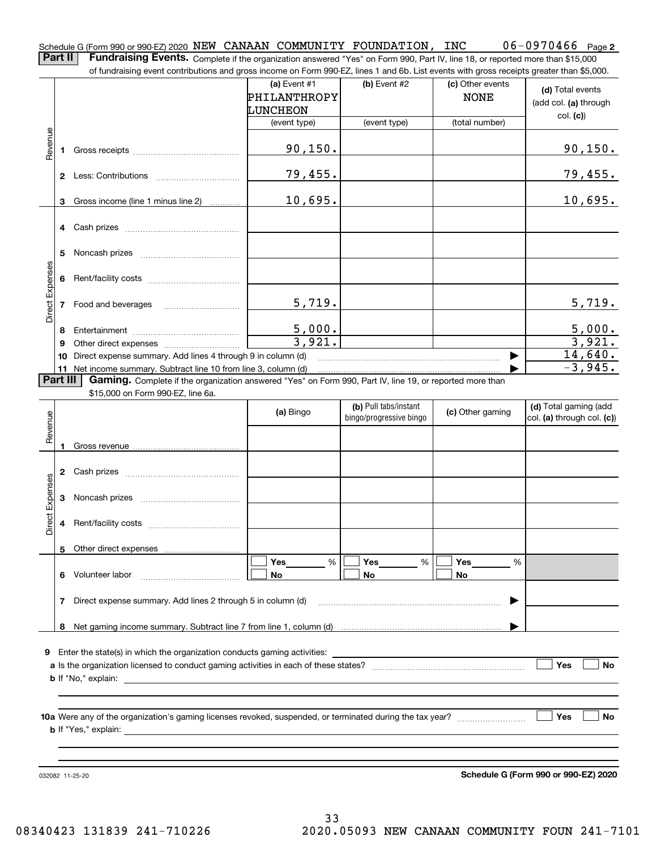**2** Schedule G (Form 990 or 990-EZ) 2020  $\, {\rm NEW\,}$   $\,$  CANAAN  $\,$  COMMUNITY  $\,$  FOUNDATION ,  $\,$  INC  $\,$   $\,$   $\,$  0.6  $-$  0.970.46.6  $\,$   $\,$   $\,$  Page **Part II** | Fundraising Events. Complete if the organization answered "Yes" on Form 990, Part IV, line 18, or reported more than \$15,000

of fundraising event contributions and gross income on Form 990-EZ, lines 1 and 6b. List events with gross receipts greater than \$5,000.

|                 |              | 01 lungasing event contributions and gross income on Form 990-EZ, inles T and OD. Elst events with gross receipts greater than \$0,000.                                     |                                            |                                                  |                                 |                                                         |
|-----------------|--------------|-----------------------------------------------------------------------------------------------------------------------------------------------------------------------------|--------------------------------------------|--------------------------------------------------|---------------------------------|---------------------------------------------------------|
|                 |              |                                                                                                                                                                             | (a) Event $#1$<br>PHILANTHROPY<br>LUNCHEON | $(b)$ Event #2                                   | (c) Other events<br><b>NONE</b> | (d) Total events<br>(add col. (a) through               |
|                 |              |                                                                                                                                                                             | (event type)                               | (event type)                                     | (total number)                  | col. (c)                                                |
| Revenue         |              |                                                                                                                                                                             | 90, 150.                                   |                                                  |                                 | 90, 150.                                                |
|                 |              |                                                                                                                                                                             | 79,455.                                    |                                                  |                                 | <u>79,455.</u>                                          |
|                 |              | 3 Gross income (line 1 minus line 2)                                                                                                                                        | 10,695.                                    |                                                  |                                 | 10,695.                                                 |
|                 |              |                                                                                                                                                                             |                                            |                                                  |                                 |                                                         |
|                 | 5            |                                                                                                                                                                             |                                            |                                                  |                                 |                                                         |
|                 | 6            |                                                                                                                                                                             |                                            |                                                  |                                 |                                                         |
| Direct Expenses |              | 7 Food and beverages                                                                                                                                                        | 5,719.                                     |                                                  |                                 | 5,719.                                                  |
|                 | 8            |                                                                                                                                                                             | 5,000.                                     |                                                  |                                 | $\frac{5,000}{3,921}$                                   |
|                 | 9            |                                                                                                                                                                             | 3,921.                                     |                                                  |                                 |                                                         |
|                 |              | 10 Direct expense summary. Add lines 4 through 9 in column (d)                                                                                                              |                                            |                                                  |                                 | 14,640.<br>$-3,945.$                                    |
|                 | Part III     | 11 Net income summary. Subtract line 10 from line 3, column (d)<br>Gaming. Complete if the organization answered "Yes" on Form 990, Part IV, line 19, or reported more than |                                            |                                                  |                                 |                                                         |
|                 |              | \$15,000 on Form 990-EZ, line 6a.                                                                                                                                           |                                            |                                                  |                                 |                                                         |
| Revenue         |              |                                                                                                                                                                             | (a) Bingo                                  | (b) Pull tabs/instant<br>bingo/progressive bingo | (c) Other gaming                | (d) Total gaming (add<br>$ col. (a)$ through col. $(c)$ |
|                 | $\mathbf{1}$ |                                                                                                                                                                             |                                            |                                                  |                                 |                                                         |
|                 |              |                                                                                                                                                                             |                                            |                                                  |                                 |                                                         |
| Direct Expenses |              |                                                                                                                                                                             |                                            |                                                  |                                 |                                                         |
|                 |              |                                                                                                                                                                             |                                            |                                                  |                                 |                                                         |
|                 |              | 5 Other direct expenses                                                                                                                                                     |                                            |                                                  |                                 |                                                         |
|                 | 6            | Volunteer labor                                                                                                                                                             | Yes<br>%<br>No                             | Yes<br>%<br>No                                   | Yes<br>%<br>No                  |                                                         |
|                 | 7            | Direct expense summary. Add lines 2 through 5 in column (d)                                                                                                                 |                                            |                                                  |                                 |                                                         |
|                 | 8            |                                                                                                                                                                             |                                            |                                                  |                                 |                                                         |
|                 |              | 9 Enter the state(s) in which the organization conducts gaming activities:                                                                                                  |                                            |                                                  |                                 |                                                         |
|                 |              | <b>b</b> If "No," explain:                                                                                                                                                  |                                            |                                                  |                                 | Yes<br><b>No</b>                                        |
|                 |              | <b>b</b> If "Yes," explain:                                                                                                                                                 |                                            |                                                  |                                 | Yes<br><b>No</b>                                        |
|                 |              |                                                                                                                                                                             |                                            |                                                  |                                 |                                                         |

**Schedule G (Form 990 or 990-EZ) 2020**

032082 11-25-20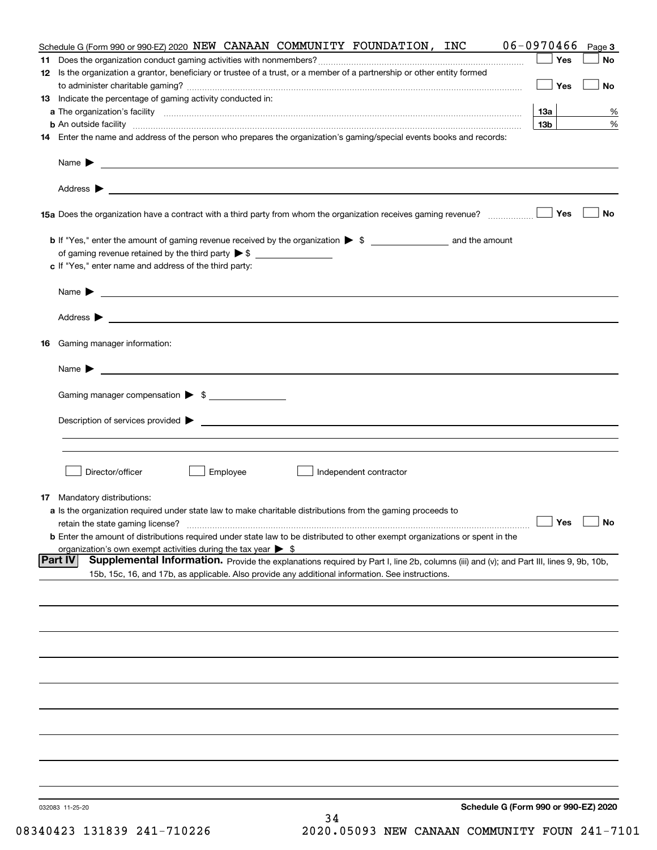|    | Schedule G (Form 990 or 990-EZ) 2020 NEW CANAAN COMMUNITY FOUNDATION, INC                                                                                                                                                                                    | 06-0970466      | Page 3    |
|----|--------------------------------------------------------------------------------------------------------------------------------------------------------------------------------------------------------------------------------------------------------------|-----------------|-----------|
|    |                                                                                                                                                                                                                                                              | Yes             | No        |
|    | 12 Is the organization a grantor, beneficiary or trustee of a trust, or a member of a partnership or other entity formed                                                                                                                                     | Yes             | No        |
|    | 13 Indicate the percentage of gaming activity conducted in:                                                                                                                                                                                                  |                 |           |
|    |                                                                                                                                                                                                                                                              | 13а             | %         |
|    |                                                                                                                                                                                                                                                              | 13 <sub>b</sub> | %         |
|    | 14 Enter the name and address of the person who prepares the organization's gaming/special events books and records:                                                                                                                                         |                 |           |
|    |                                                                                                                                                                                                                                                              |                 |           |
|    |                                                                                                                                                                                                                                                              |                 |           |
|    |                                                                                                                                                                                                                                                              | Yes             | No        |
|    |                                                                                                                                                                                                                                                              |                 |           |
|    | of gaming revenue retained by the third party $\triangleright$ \$                                                                                                                                                                                            |                 |           |
|    | c If "Yes," enter name and address of the third party:                                                                                                                                                                                                       |                 |           |
|    | <u> 1989 - Andrea Stadt Britain, amerikansk politiker (d. 1989)</u><br>Name $\blacktriangleright$                                                                                                                                                            |                 |           |
|    | Address $\blacktriangleright$                                                                                                                                                                                                                                |                 |           |
| 16 | Gaming manager information:                                                                                                                                                                                                                                  |                 |           |
|    | $Name \rightarrow$                                                                                                                                                                                                                                           |                 |           |
|    | Gaming manager compensation > \$                                                                                                                                                                                                                             |                 |           |
|    |                                                                                                                                                                                                                                                              |                 |           |
|    |                                                                                                                                                                                                                                                              |                 |           |
|    |                                                                                                                                                                                                                                                              |                 |           |
|    | Director/officer<br>Employee<br>Independent contractor                                                                                                                                                                                                       |                 |           |
|    | <b>17</b> Mandatory distributions:                                                                                                                                                                                                                           |                 |           |
|    | a Is the organization required under state law to make charitable distributions from the gaming proceeds to                                                                                                                                                  |                 |           |
|    | retain the state gaming license?                                                                                                                                                                                                                             | $\Box$ Yes      | $\Box$ No |
|    | <b>b</b> Enter the amount of distributions required under state law to be distributed to other exempt organizations or spent in the                                                                                                                          |                 |           |
|    | organization's own exempt activities during the tax year $\triangleright$ \$                                                                                                                                                                                 |                 |           |
|    | <b>Part IV</b><br>Supplemental Information. Provide the explanations required by Part I, line 2b, columns (iii) and (v); and Part III, lines 9, 9b, 10b,<br>15b, 15c, 16, and 17b, as applicable. Also provide any additional information. See instructions. |                 |           |
|    |                                                                                                                                                                                                                                                              |                 |           |
|    |                                                                                                                                                                                                                                                              |                 |           |
|    |                                                                                                                                                                                                                                                              |                 |           |
|    |                                                                                                                                                                                                                                                              |                 |           |
|    |                                                                                                                                                                                                                                                              |                 |           |
|    |                                                                                                                                                                                                                                                              |                 |           |
|    |                                                                                                                                                                                                                                                              |                 |           |
|    |                                                                                                                                                                                                                                                              |                 |           |
|    |                                                                                                                                                                                                                                                              |                 |           |
|    | Schedule G (Form 990 or 990-EZ) 2020<br>032083 11-25-20<br>34                                                                                                                                                                                                |                 |           |
|    |                                                                                                                                                                                                                                                              |                 |           |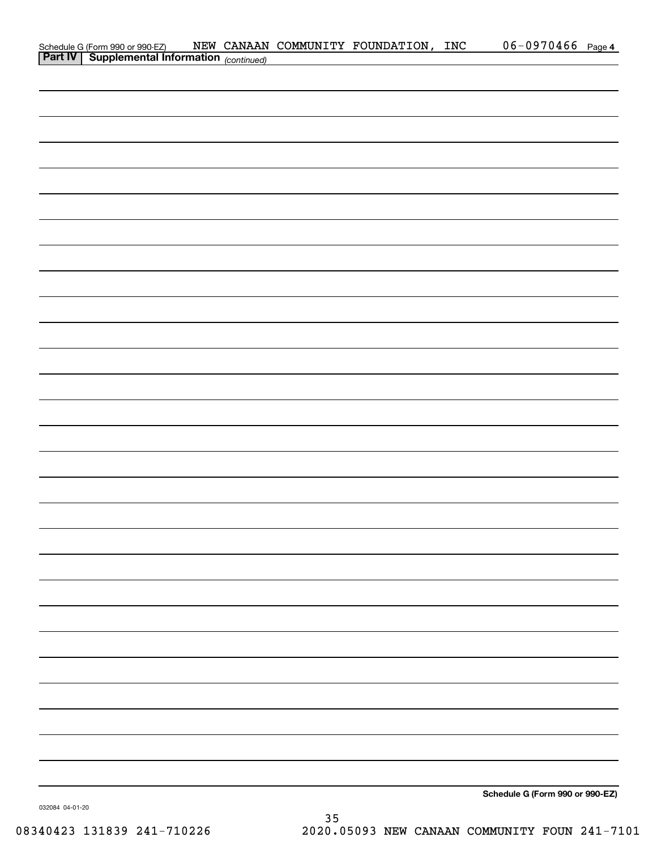| Schedule G (Form 990 or 990-EZ) NEW CANAAN<br><b>Part IV</b> Supplemental Information (continued) |  | NEW CANAAN COMMUNITY FOUNDATION, INC | $06 - 0970466$ Page 4           |  |
|---------------------------------------------------------------------------------------------------|--|--------------------------------------|---------------------------------|--|
|                                                                                                   |  |                                      |                                 |  |
|                                                                                                   |  |                                      |                                 |  |
|                                                                                                   |  |                                      |                                 |  |
|                                                                                                   |  |                                      |                                 |  |
|                                                                                                   |  |                                      |                                 |  |
|                                                                                                   |  |                                      |                                 |  |
|                                                                                                   |  |                                      |                                 |  |
|                                                                                                   |  |                                      |                                 |  |
|                                                                                                   |  |                                      |                                 |  |
|                                                                                                   |  |                                      |                                 |  |
|                                                                                                   |  |                                      |                                 |  |
|                                                                                                   |  |                                      |                                 |  |
|                                                                                                   |  |                                      |                                 |  |
|                                                                                                   |  |                                      |                                 |  |
|                                                                                                   |  |                                      |                                 |  |
|                                                                                                   |  |                                      |                                 |  |
|                                                                                                   |  |                                      |                                 |  |
|                                                                                                   |  |                                      |                                 |  |
|                                                                                                   |  |                                      |                                 |  |
|                                                                                                   |  |                                      |                                 |  |
|                                                                                                   |  |                                      |                                 |  |
|                                                                                                   |  |                                      |                                 |  |
|                                                                                                   |  |                                      |                                 |  |
|                                                                                                   |  |                                      |                                 |  |
|                                                                                                   |  |                                      |                                 |  |
|                                                                                                   |  |                                      |                                 |  |
|                                                                                                   |  |                                      |                                 |  |
|                                                                                                   |  |                                      |                                 |  |
|                                                                                                   |  |                                      |                                 |  |
|                                                                                                   |  |                                      |                                 |  |
|                                                                                                   |  |                                      |                                 |  |
|                                                                                                   |  |                                      |                                 |  |
|                                                                                                   |  |                                      |                                 |  |
|                                                                                                   |  |                                      |                                 |  |
|                                                                                                   |  |                                      |                                 |  |
|                                                                                                   |  |                                      |                                 |  |
|                                                                                                   |  |                                      | Schedule G (Form 990 or 990-EZ) |  |

**Schedule G (Form 990 or 990-EZ)**

032084 04-01-20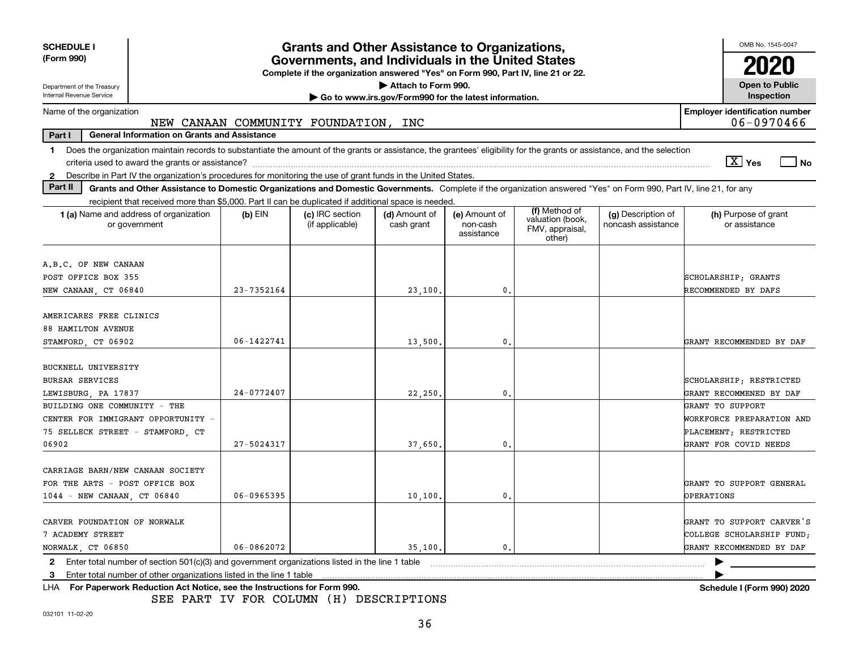| <b>SCHEDULE I</b>                                                                                                                                                              |                | <b>Grants and Other Assistance to Organizations,</b>                                                                                  |                                                       |                                         |                                               |                                          | OMB No. 1545-0047                                   |
|--------------------------------------------------------------------------------------------------------------------------------------------------------------------------------|----------------|---------------------------------------------------------------------------------------------------------------------------------------|-------------------------------------------------------|-----------------------------------------|-----------------------------------------------|------------------------------------------|-----------------------------------------------------|
| (Form 990)                                                                                                                                                                     |                | Governments, and Individuals in the United States<br>Complete if the organization answered "Yes" on Form 990, Part IV, line 21 or 22. |                                                       |                                         |                                               |                                          |                                                     |
| Department of the Treasury                                                                                                                                                     |                |                                                                                                                                       | Attach to Form 990.                                   |                                         |                                               |                                          | <b>Open to Public</b>                               |
| Internal Revenue Service                                                                                                                                                       |                |                                                                                                                                       | Go to www.irs.gov/Form990 for the latest information. |                                         |                                               |                                          | Inspection                                          |
| Name of the organization                                                                                                                                                       |                | NEW CANAAN COMMUNITY FOUNDATION, INC                                                                                                  |                                                       |                                         |                                               |                                          | <b>Employer identification number</b><br>06-0970466 |
| <b>General Information on Grants and Assistance</b><br>Part I                                                                                                                  |                |                                                                                                                                       |                                                       |                                         |                                               |                                          |                                                     |
| Does the organization maintain records to substantiate the amount of the grants or assistance, the grantees' eligibility for the grants or assistance, and the selection<br>1. |                |                                                                                                                                       |                                                       |                                         |                                               |                                          | $\boxed{\text{X}}$ Yes<br>l No                      |
| Describe in Part IV the organization's procedures for monitoring the use of grant funds in the United States.<br>2                                                             |                |                                                                                                                                       |                                                       |                                         |                                               |                                          |                                                     |
| Part II<br>Grants and Other Assistance to Domestic Organizations and Domestic Governments. Complete if the organization answered "Yes" on Form 990, Part IV, line 21, for any  |                |                                                                                                                                       |                                                       |                                         |                                               |                                          |                                                     |
| recipient that received more than \$5,000. Part II can be duplicated if additional space is needed.                                                                            |                |                                                                                                                                       |                                                       |                                         | (f) Method of                                 |                                          |                                                     |
| 1 (a) Name and address of organization<br>or government                                                                                                                        | $(b)$ EIN      | (c) IRC section<br>(if applicable)                                                                                                    | (d) Amount of<br>cash grant                           | (e) Amount of<br>non-cash<br>assistance | valuation (book,<br>FMV, appraisal,<br>other) | (g) Description of<br>noncash assistance | (h) Purpose of grant<br>or assistance               |
| A.B.C. OF NEW CANAAN                                                                                                                                                           |                |                                                                                                                                       |                                                       |                                         |                                               |                                          |                                                     |
| POST OFFICE BOX 355                                                                                                                                                            |                |                                                                                                                                       |                                                       |                                         |                                               |                                          | SCHOLARSHIP; GRANTS                                 |
| NEW CANAAN, CT 06840                                                                                                                                                           | 23-7352164     |                                                                                                                                       | 23,100.                                               | $\mathbf{0}$ .                          |                                               |                                          | RECOMMENDED BY DAFS                                 |
|                                                                                                                                                                                |                |                                                                                                                                       |                                                       |                                         |                                               |                                          |                                                     |
| AMERICARES FREE CLINICS                                                                                                                                                        |                |                                                                                                                                       |                                                       |                                         |                                               |                                          |                                                     |
| <b>88 HAMILTON AVENUE</b>                                                                                                                                                      |                |                                                                                                                                       |                                                       |                                         |                                               |                                          |                                                     |
| STAMFORD, CT 06902                                                                                                                                                             | 06-1422741     |                                                                                                                                       | 13,500.                                               | 0.                                      |                                               |                                          | GRANT RECOMMENDED BY DAF                            |
| BUCKNELL UNIVERSITY                                                                                                                                                            |                |                                                                                                                                       |                                                       |                                         |                                               |                                          |                                                     |
| <b>BURSAR SERVICES</b>                                                                                                                                                         |                |                                                                                                                                       |                                                       |                                         |                                               |                                          | SCHOLARSHIP; RESTRICTED                             |
| LEWISBURG, PA 17837                                                                                                                                                            | $24 - 0772407$ |                                                                                                                                       | 22,250                                                | 0.                                      |                                               |                                          | GRANT RECOMMENED BY DAF                             |
| BUILDING ONE COMMUNITY - THE                                                                                                                                                   |                |                                                                                                                                       |                                                       |                                         |                                               |                                          | GRANT TO SUPPORT                                    |
| CENTER FOR IMMIGRANT OPPORTUNITY -                                                                                                                                             |                |                                                                                                                                       |                                                       |                                         |                                               |                                          | WORKFORCE PREPARATION AND                           |
| 75 SELLECK STREET - STAMFORD, CT                                                                                                                                               |                |                                                                                                                                       |                                                       |                                         |                                               |                                          | PLACEMENT; RESTRICTED                               |
| 06902                                                                                                                                                                          | 27-5024317     |                                                                                                                                       | 37,650                                                | 0.                                      |                                               |                                          | GRANT FOR COVID NEEDS                               |
| CARRIAGE BARN/NEW CANAAN SOCIETY                                                                                                                                               |                |                                                                                                                                       |                                                       |                                         |                                               |                                          |                                                     |
| FOR THE ARTS - POST OFFICE BOX                                                                                                                                                 |                |                                                                                                                                       |                                                       |                                         |                                               |                                          | GRANT TO SUPPORT GENERAL                            |
| 1044 - NEW CANAAN, CT 06840                                                                                                                                                    | 06-0965395     |                                                                                                                                       | 10, 100,                                              | 0.                                      |                                               |                                          | <b>OPERATIONS</b>                                   |
|                                                                                                                                                                                |                |                                                                                                                                       |                                                       |                                         |                                               |                                          |                                                     |
| CARVER FOUNDATION OF NORWALK                                                                                                                                                   |                |                                                                                                                                       |                                                       |                                         |                                               |                                          | GRANT TO SUPPORT CARVER'S                           |
| 7 ACADEMY STREET                                                                                                                                                               |                |                                                                                                                                       |                                                       |                                         |                                               |                                          | COLLEGE SCHOLARSHIP FUND;                           |
| NORWALK, CT 06850                                                                                                                                                              | 06-0862072     |                                                                                                                                       | 35,100.                                               | 0.                                      |                                               |                                          | GRANT RECOMMENDED BY DAF                            |
| Enter total number of section 501(c)(3) and government organizations listed in the line 1 table<br>2                                                                           |                |                                                                                                                                       |                                                       |                                         |                                               |                                          |                                                     |
| Enter total number of other organizations listed in the line 1 table<br>3                                                                                                      |                |                                                                                                                                       |                                                       |                                         |                                               |                                          |                                                     |
| For Paperwork Reduction Act Notice, see the Instructions for Form 990.<br>LHA.                                                                                                 |                |                                                                                                                                       |                                                       |                                         |                                               |                                          | Schedule I (Form 990) 2020                          |

SEE PART IV FOR COLUMN (H) DESCRIPTIONS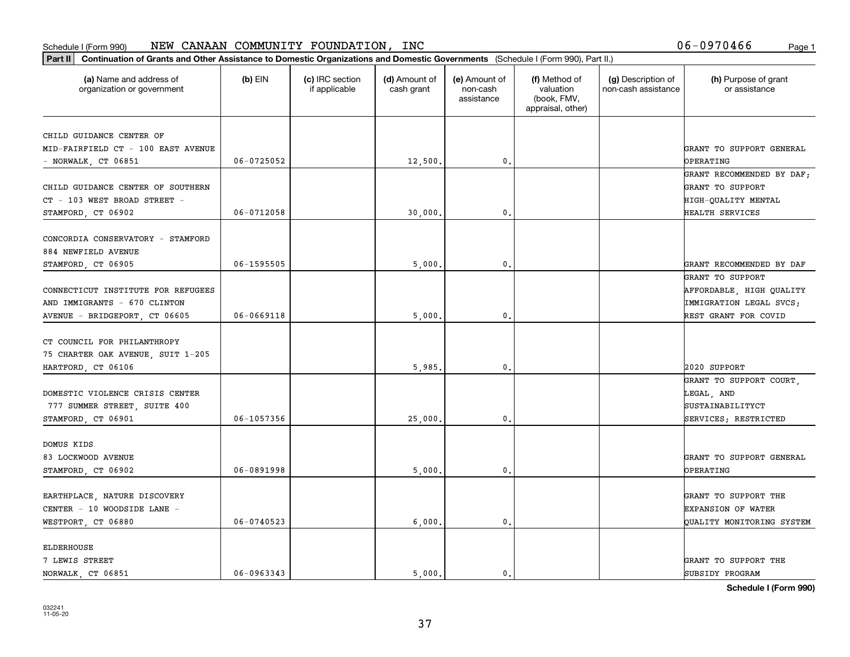| Part II   Continuation of Grants and Other Assistance to Domestic Organizations and Domestic Governments (Schedule I (Form 990), Part II.) |                |                                  |                             |                                         |                                                                |                                           |                                                 |
|--------------------------------------------------------------------------------------------------------------------------------------------|----------------|----------------------------------|-----------------------------|-----------------------------------------|----------------------------------------------------------------|-------------------------------------------|-------------------------------------------------|
| (a) Name and address of<br>organization or government                                                                                      | $(b)$ EIN      | (c) IRC section<br>if applicable | (d) Amount of<br>cash grant | (e) Amount of<br>non-cash<br>assistance | (f) Method of<br>valuation<br>(book, FMV,<br>appraisal, other) | (g) Description of<br>non-cash assistance | (h) Purpose of grant<br>or assistance           |
| CHILD GUIDANCE CENTER OF                                                                                                                   |                |                                  |                             |                                         |                                                                |                                           |                                                 |
| MID-FAIRFIELD CT - 100 EAST AVENUE                                                                                                         |                |                                  |                             |                                         |                                                                |                                           | GRANT TO SUPPORT GENERAL                        |
| $-$ NORWALK, CT 06851                                                                                                                      | $06 - 0725052$ |                                  | 12,500.                     | 0.                                      |                                                                |                                           | <b>OPERATING</b>                                |
|                                                                                                                                            |                |                                  |                             |                                         |                                                                |                                           | GRANT RECOMMENDED BY DAF;                       |
| CHILD GUIDANCE CENTER OF SOUTHERN                                                                                                          |                |                                  |                             |                                         |                                                                |                                           | GRANT TO SUPPORT                                |
| CT - 103 WEST BROAD STREET -                                                                                                               |                |                                  |                             |                                         |                                                                |                                           | HIGH-QUALITY MENTAL                             |
| STAMFORD, CT 06902                                                                                                                         | 06-0712058     |                                  | 30,000                      | $\mathfrak{o}$ .                        |                                                                |                                           | HEALTH SERVICES                                 |
|                                                                                                                                            |                |                                  |                             |                                         |                                                                |                                           |                                                 |
| CONCORDIA CONSERVATORY - STAMFORD                                                                                                          |                |                                  |                             |                                         |                                                                |                                           |                                                 |
| 884 NEWFIELD AVENUE                                                                                                                        |                |                                  |                             |                                         |                                                                |                                           |                                                 |
| STAMFORD, CT 06905                                                                                                                         | 06-1595505     |                                  | 5,000                       | $\mathfrak{o}$ .                        |                                                                |                                           | GRANT RECOMMENDED BY DAF                        |
|                                                                                                                                            |                |                                  |                             |                                         |                                                                |                                           | GRANT TO SUPPORT                                |
| CONNECTICUT INSTITUTE FOR REFUGEES                                                                                                         |                |                                  |                             |                                         |                                                                |                                           | AFFORDABLE, HIGH QUALITY                        |
| AND IMMIGRANTS - 670 CLINTON                                                                                                               | $06 - 0669118$ |                                  | 5,000                       | $\mathfrak{o}$ .                        |                                                                |                                           | IMMIGRATION LEGAL SVCS;<br>REST GRANT FOR COVID |
| AVENUE - BRIDGEPORT, CT 06605                                                                                                              |                |                                  |                             |                                         |                                                                |                                           |                                                 |
| CT COUNCIL FOR PHILANTHROPY                                                                                                                |                |                                  |                             |                                         |                                                                |                                           |                                                 |
| 75 CHARTER OAK AVENUE, SUIT 1-205                                                                                                          |                |                                  |                             |                                         |                                                                |                                           |                                                 |
| HARTFORD, CT 06106                                                                                                                         |                |                                  | 5,985,                      | 0.                                      |                                                                |                                           | 2020 SUPPORT                                    |
|                                                                                                                                            |                |                                  |                             |                                         |                                                                |                                           | GRANT TO SUPPORT COURT,                         |
| DOMESTIC VIOLENCE CRISIS CENTER                                                                                                            |                |                                  |                             |                                         |                                                                |                                           | LEGAL, AND                                      |
| 777 SUMMER STREET, SUITE 400                                                                                                               |                |                                  |                             |                                         |                                                                |                                           | SUSTAINABILITYCT                                |
| STAMFORD, CT 06901                                                                                                                         | 06-1057356     |                                  | 25,000                      | 0.                                      |                                                                |                                           | SERVICES; RESTRICTED                            |
|                                                                                                                                            |                |                                  |                             |                                         |                                                                |                                           |                                                 |
| DOMUS KIDS                                                                                                                                 |                |                                  |                             |                                         |                                                                |                                           |                                                 |
| 83 LOCKWOOD AVENUE                                                                                                                         |                |                                  |                             |                                         |                                                                |                                           | GRANT TO SUPPORT GENERAL                        |
| STAMFORD, CT 06902                                                                                                                         | 06-0891998     |                                  | 5,000                       | $\mathfrak{o}$ .                        |                                                                |                                           | OPERATING                                       |
| EARTHPLACE, NATURE DISCOVERY                                                                                                               |                |                                  |                             |                                         |                                                                |                                           | GRANT TO SUPPORT THE                            |
| CENTER - 10 WOODSIDE LANE -                                                                                                                |                |                                  |                             |                                         |                                                                |                                           | <b>EXPANSION OF WATER</b>                       |
| WESTPORT, CT 06880                                                                                                                         | $06 - 0740523$ |                                  | 6,000                       | $\mathfrak{o}$ .                        |                                                                |                                           | QUALITY MONITORING SYSTEM                       |
|                                                                                                                                            |                |                                  |                             |                                         |                                                                |                                           |                                                 |
| <b>ELDERHOUSE</b>                                                                                                                          |                |                                  |                             |                                         |                                                                |                                           |                                                 |
| 7 LEWIS STREET                                                                                                                             |                |                                  |                             |                                         |                                                                |                                           | GRANT TO SUPPORT THE                            |
| NORWALK CT 06851                                                                                                                           | $06 - 0963343$ |                                  | 5000.                       | $\mathbf{0}$ .                          |                                                                |                                           | SUBSIDY PROGRAM                                 |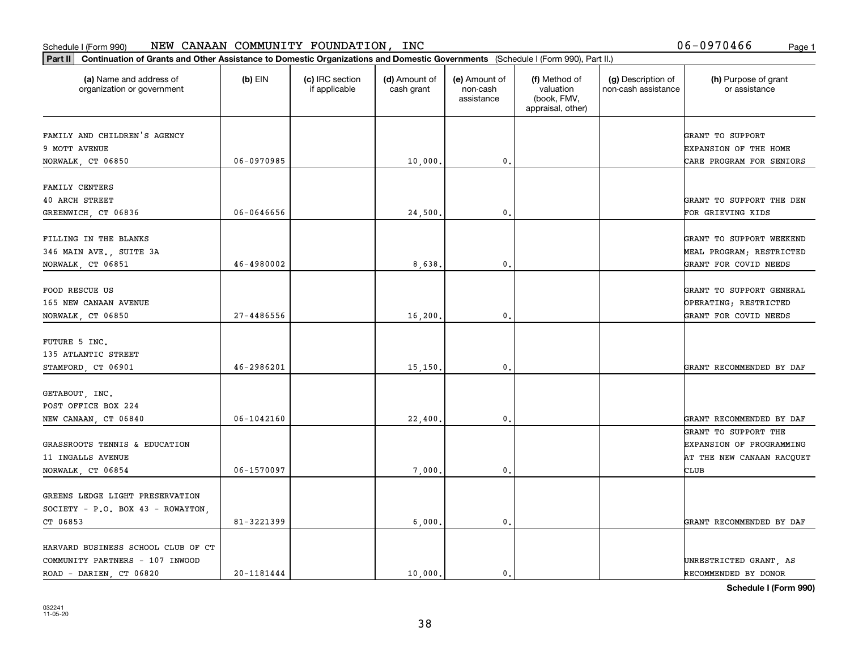| (a) Name and address of<br>$(b)$ EIN<br>(c) IRC section<br>(d) Amount of<br>(e) Amount of<br>(f) Method of<br>(g) Description of<br>(h) Purpose of grant<br>valuation<br>non-cash assistance<br>organization or government<br>if applicable<br>cash grant<br>non-cash<br>or assistance<br>(book, FMV,<br>assistance<br>appraisal, other)<br>FAMILY AND CHILDREN'S AGENCY<br>GRANT TO SUPPORT<br>9 MOTT AVENUE<br><b>EXPANSION OF THE HOME</b><br>06-0970985<br>10,000.<br>0.<br>NORWALK, CT 06850<br>CARE PROGRAM FOR SENIORS<br>FAMILY CENTERS<br><b>40 ARCH STREET</b><br>GREENWICH, CT 06836<br>06-0646656<br>24,500<br>$\mathbf{0}$<br>FOR GRIEVING KIDS<br>FILLING IN THE BLANKS<br>346 MAIN AVE., SUITE 3A<br>46-4980002<br>8,638<br>$\mathbf{0}$ .<br>NORWALK, CT 06851<br>GRANT FOR COVID NEEDS<br>FOOD RESCUE US<br>GRANT TO SUPPORT GENERAL<br>OPERATING; RESTRICTED<br>165 NEW CANAAN AVENUE<br>$27 - 4486556$<br>NORWALK, CT 06850<br>16, 200.<br>0.<br>GRANT FOR COVID NEEDS<br>FUTURE 5 INC.<br>135 ATLANTIC STREET<br>46-2986201<br>15, 150.<br>$\mathbf{0}$<br>STAMFORD, CT 06901<br>GETABOUT, INC.<br>POST OFFICE BOX 224<br>06-1042160<br>22,400.<br>0.<br>NEW CANAAN, CT 06840<br>GRANT TO SUPPORT THE<br>GRASSROOTS TENNIS & EDUCATION<br>11 INGALLS AVENUE<br>06-1570097<br>NORWALK, CT 06854<br>7,000.<br>$\mathfrak{o}$ .<br>CLUB<br>GREENS LEDGE LIGHT PRESERVATION<br>SOCIETY - P.O. BOX 43 - ROWAYTON,<br>81-3221399<br>6,000.<br>$\mathbf{0}$ .<br>CT 06853<br>HARVARD BUSINESS SCHOOL CLUB OF CT | Part II   Continuation of Grants and Other Assistance to Domestic Organizations and Domestic Governments (Schedule I (Form 990), Part II.) |  |  |  |                                 |
|------------------------------------------------------------------------------------------------------------------------------------------------------------------------------------------------------------------------------------------------------------------------------------------------------------------------------------------------------------------------------------------------------------------------------------------------------------------------------------------------------------------------------------------------------------------------------------------------------------------------------------------------------------------------------------------------------------------------------------------------------------------------------------------------------------------------------------------------------------------------------------------------------------------------------------------------------------------------------------------------------------------------------------------------------------------------------------------------------------------------------------------------------------------------------------------------------------------------------------------------------------------------------------------------------------------------------------------------------------------------------------------------------------------------------------------------------------------------------------------------------------------------------|--------------------------------------------------------------------------------------------------------------------------------------------|--|--|--|---------------------------------|
|                                                                                                                                                                                                                                                                                                                                                                                                                                                                                                                                                                                                                                                                                                                                                                                                                                                                                                                                                                                                                                                                                                                                                                                                                                                                                                                                                                                                                                                                                                                              |                                                                                                                                            |  |  |  |                                 |
|                                                                                                                                                                                                                                                                                                                                                                                                                                                                                                                                                                                                                                                                                                                                                                                                                                                                                                                                                                                                                                                                                                                                                                                                                                                                                                                                                                                                                                                                                                                              |                                                                                                                                            |  |  |  |                                 |
|                                                                                                                                                                                                                                                                                                                                                                                                                                                                                                                                                                                                                                                                                                                                                                                                                                                                                                                                                                                                                                                                                                                                                                                                                                                                                                                                                                                                                                                                                                                              |                                                                                                                                            |  |  |  |                                 |
|                                                                                                                                                                                                                                                                                                                                                                                                                                                                                                                                                                                                                                                                                                                                                                                                                                                                                                                                                                                                                                                                                                                                                                                                                                                                                                                                                                                                                                                                                                                              |                                                                                                                                            |  |  |  |                                 |
|                                                                                                                                                                                                                                                                                                                                                                                                                                                                                                                                                                                                                                                                                                                                                                                                                                                                                                                                                                                                                                                                                                                                                                                                                                                                                                                                                                                                                                                                                                                              |                                                                                                                                            |  |  |  |                                 |
|                                                                                                                                                                                                                                                                                                                                                                                                                                                                                                                                                                                                                                                                                                                                                                                                                                                                                                                                                                                                                                                                                                                                                                                                                                                                                                                                                                                                                                                                                                                              |                                                                                                                                            |  |  |  |                                 |
|                                                                                                                                                                                                                                                                                                                                                                                                                                                                                                                                                                                                                                                                                                                                                                                                                                                                                                                                                                                                                                                                                                                                                                                                                                                                                                                                                                                                                                                                                                                              |                                                                                                                                            |  |  |  | GRANT TO SUPPORT THE DEN        |
|                                                                                                                                                                                                                                                                                                                                                                                                                                                                                                                                                                                                                                                                                                                                                                                                                                                                                                                                                                                                                                                                                                                                                                                                                                                                                                                                                                                                                                                                                                                              |                                                                                                                                            |  |  |  |                                 |
|                                                                                                                                                                                                                                                                                                                                                                                                                                                                                                                                                                                                                                                                                                                                                                                                                                                                                                                                                                                                                                                                                                                                                                                                                                                                                                                                                                                                                                                                                                                              |                                                                                                                                            |  |  |  |                                 |
|                                                                                                                                                                                                                                                                                                                                                                                                                                                                                                                                                                                                                                                                                                                                                                                                                                                                                                                                                                                                                                                                                                                                                                                                                                                                                                                                                                                                                                                                                                                              |                                                                                                                                            |  |  |  | GRANT TO SUPPORT WEEKEND        |
|                                                                                                                                                                                                                                                                                                                                                                                                                                                                                                                                                                                                                                                                                                                                                                                                                                                                                                                                                                                                                                                                                                                                                                                                                                                                                                                                                                                                                                                                                                                              |                                                                                                                                            |  |  |  | MEAL PROGRAM; RESTRICTED        |
|                                                                                                                                                                                                                                                                                                                                                                                                                                                                                                                                                                                                                                                                                                                                                                                                                                                                                                                                                                                                                                                                                                                                                                                                                                                                                                                                                                                                                                                                                                                              |                                                                                                                                            |  |  |  |                                 |
|                                                                                                                                                                                                                                                                                                                                                                                                                                                                                                                                                                                                                                                                                                                                                                                                                                                                                                                                                                                                                                                                                                                                                                                                                                                                                                                                                                                                                                                                                                                              |                                                                                                                                            |  |  |  |                                 |
|                                                                                                                                                                                                                                                                                                                                                                                                                                                                                                                                                                                                                                                                                                                                                                                                                                                                                                                                                                                                                                                                                                                                                                                                                                                                                                                                                                                                                                                                                                                              |                                                                                                                                            |  |  |  |                                 |
|                                                                                                                                                                                                                                                                                                                                                                                                                                                                                                                                                                                                                                                                                                                                                                                                                                                                                                                                                                                                                                                                                                                                                                                                                                                                                                                                                                                                                                                                                                                              |                                                                                                                                            |  |  |  |                                 |
|                                                                                                                                                                                                                                                                                                                                                                                                                                                                                                                                                                                                                                                                                                                                                                                                                                                                                                                                                                                                                                                                                                                                                                                                                                                                                                                                                                                                                                                                                                                              |                                                                                                                                            |  |  |  |                                 |
|                                                                                                                                                                                                                                                                                                                                                                                                                                                                                                                                                                                                                                                                                                                                                                                                                                                                                                                                                                                                                                                                                                                                                                                                                                                                                                                                                                                                                                                                                                                              |                                                                                                                                            |  |  |  |                                 |
|                                                                                                                                                                                                                                                                                                                                                                                                                                                                                                                                                                                                                                                                                                                                                                                                                                                                                                                                                                                                                                                                                                                                                                                                                                                                                                                                                                                                                                                                                                                              |                                                                                                                                            |  |  |  |                                 |
|                                                                                                                                                                                                                                                                                                                                                                                                                                                                                                                                                                                                                                                                                                                                                                                                                                                                                                                                                                                                                                                                                                                                                                                                                                                                                                                                                                                                                                                                                                                              |                                                                                                                                            |  |  |  | GRANT RECOMMENDED BY DAF        |
|                                                                                                                                                                                                                                                                                                                                                                                                                                                                                                                                                                                                                                                                                                                                                                                                                                                                                                                                                                                                                                                                                                                                                                                                                                                                                                                                                                                                                                                                                                                              |                                                                                                                                            |  |  |  |                                 |
|                                                                                                                                                                                                                                                                                                                                                                                                                                                                                                                                                                                                                                                                                                                                                                                                                                                                                                                                                                                                                                                                                                                                                                                                                                                                                                                                                                                                                                                                                                                              |                                                                                                                                            |  |  |  |                                 |
|                                                                                                                                                                                                                                                                                                                                                                                                                                                                                                                                                                                                                                                                                                                                                                                                                                                                                                                                                                                                                                                                                                                                                                                                                                                                                                                                                                                                                                                                                                                              |                                                                                                                                            |  |  |  |                                 |
|                                                                                                                                                                                                                                                                                                                                                                                                                                                                                                                                                                                                                                                                                                                                                                                                                                                                                                                                                                                                                                                                                                                                                                                                                                                                                                                                                                                                                                                                                                                              |                                                                                                                                            |  |  |  | GRANT RECOMMENDED BY DAF        |
|                                                                                                                                                                                                                                                                                                                                                                                                                                                                                                                                                                                                                                                                                                                                                                                                                                                                                                                                                                                                                                                                                                                                                                                                                                                                                                                                                                                                                                                                                                                              |                                                                                                                                            |  |  |  |                                 |
|                                                                                                                                                                                                                                                                                                                                                                                                                                                                                                                                                                                                                                                                                                                                                                                                                                                                                                                                                                                                                                                                                                                                                                                                                                                                                                                                                                                                                                                                                                                              |                                                                                                                                            |  |  |  | <b>EXPANSION OF PROGRAMMING</b> |
|                                                                                                                                                                                                                                                                                                                                                                                                                                                                                                                                                                                                                                                                                                                                                                                                                                                                                                                                                                                                                                                                                                                                                                                                                                                                                                                                                                                                                                                                                                                              |                                                                                                                                            |  |  |  | AT THE NEW CANAAN RACQUET       |
|                                                                                                                                                                                                                                                                                                                                                                                                                                                                                                                                                                                                                                                                                                                                                                                                                                                                                                                                                                                                                                                                                                                                                                                                                                                                                                                                                                                                                                                                                                                              |                                                                                                                                            |  |  |  |                                 |
|                                                                                                                                                                                                                                                                                                                                                                                                                                                                                                                                                                                                                                                                                                                                                                                                                                                                                                                                                                                                                                                                                                                                                                                                                                                                                                                                                                                                                                                                                                                              |                                                                                                                                            |  |  |  |                                 |
|                                                                                                                                                                                                                                                                                                                                                                                                                                                                                                                                                                                                                                                                                                                                                                                                                                                                                                                                                                                                                                                                                                                                                                                                                                                                                                                                                                                                                                                                                                                              |                                                                                                                                            |  |  |  |                                 |
|                                                                                                                                                                                                                                                                                                                                                                                                                                                                                                                                                                                                                                                                                                                                                                                                                                                                                                                                                                                                                                                                                                                                                                                                                                                                                                                                                                                                                                                                                                                              |                                                                                                                                            |  |  |  |                                 |
|                                                                                                                                                                                                                                                                                                                                                                                                                                                                                                                                                                                                                                                                                                                                                                                                                                                                                                                                                                                                                                                                                                                                                                                                                                                                                                                                                                                                                                                                                                                              |                                                                                                                                            |  |  |  | GRANT RECOMMENDED BY DAF        |
|                                                                                                                                                                                                                                                                                                                                                                                                                                                                                                                                                                                                                                                                                                                                                                                                                                                                                                                                                                                                                                                                                                                                                                                                                                                                                                                                                                                                                                                                                                                              |                                                                                                                                            |  |  |  |                                 |
|                                                                                                                                                                                                                                                                                                                                                                                                                                                                                                                                                                                                                                                                                                                                                                                                                                                                                                                                                                                                                                                                                                                                                                                                                                                                                                                                                                                                                                                                                                                              | COMMUNITY PARTNERS - 107 INWOOD                                                                                                            |  |  |  | UNRESTRICTED GRANT, AS          |
| ROAD - DARIEN, CT 06820<br>20-1181444<br>10,000.<br>$\mathbf{0}$ .<br>RECOMMENDED BY DONOR                                                                                                                                                                                                                                                                                                                                                                                                                                                                                                                                                                                                                                                                                                                                                                                                                                                                                                                                                                                                                                                                                                                                                                                                                                                                                                                                                                                                                                   |                                                                                                                                            |  |  |  |                                 |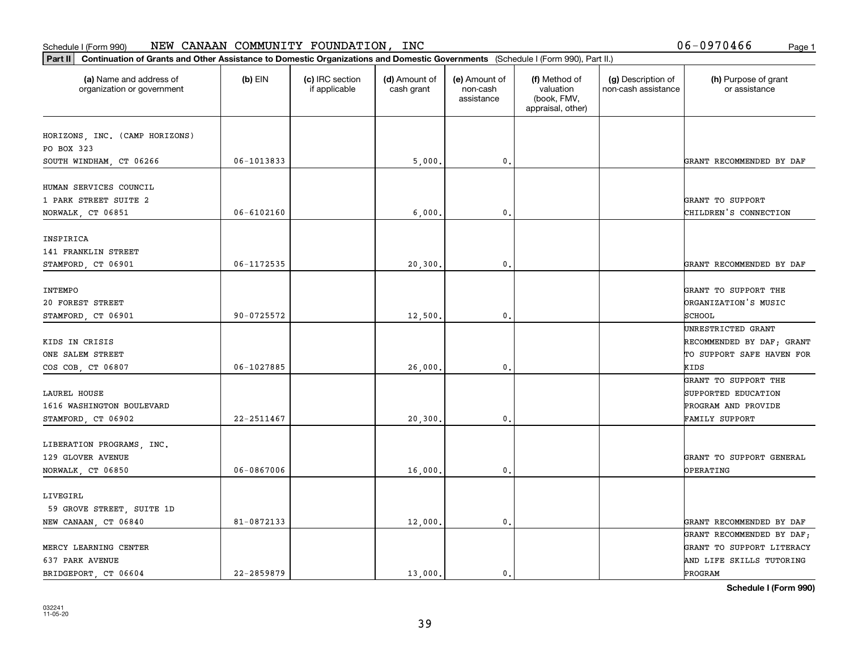| Part II   Continuation of Grants and Other Assistance to Domestic Organizations and Domestic Governments (Schedule I (Form 990), Part II.) |                |                                  |                             |                                         |                                                                |                                           |                                       |
|--------------------------------------------------------------------------------------------------------------------------------------------|----------------|----------------------------------|-----------------------------|-----------------------------------------|----------------------------------------------------------------|-------------------------------------------|---------------------------------------|
| (a) Name and address of<br>organization or government                                                                                      | $(b)$ EIN      | (c) IRC section<br>if applicable | (d) Amount of<br>cash grant | (e) Amount of<br>non-cash<br>assistance | (f) Method of<br>valuation<br>(book, FMV,<br>appraisal, other) | (g) Description of<br>non-cash assistance | (h) Purpose of grant<br>or assistance |
|                                                                                                                                            |                |                                  |                             |                                         |                                                                |                                           |                                       |
| HORIZONS, INC. (CAMP HORIZONS)<br>PO BOX 323                                                                                               |                |                                  |                             |                                         |                                                                |                                           |                                       |
| SOUTH WINDHAM, CT 06266                                                                                                                    | 06-1013833     |                                  | 5,000.                      | $\mathbf{0}$ .                          |                                                                |                                           | GRANT RECOMMENDED BY DAF              |
|                                                                                                                                            |                |                                  |                             |                                         |                                                                |                                           |                                       |
| HUMAN SERVICES COUNCIL                                                                                                                     |                |                                  |                             |                                         |                                                                |                                           |                                       |
| 1 PARK STREET SUITE 2                                                                                                                      |                |                                  |                             |                                         |                                                                |                                           | GRANT TO SUPPORT                      |
| NORWALK, CT 06851                                                                                                                          | 06-6102160     |                                  | 6,000                       | $\mathbf{0}$                            |                                                                |                                           | CHILDREN'S CONNECTION                 |
|                                                                                                                                            |                |                                  |                             |                                         |                                                                |                                           |                                       |
| INSPIRICA                                                                                                                                  |                |                                  |                             |                                         |                                                                |                                           |                                       |
| 141 FRANKLIN STREET                                                                                                                        |                |                                  |                             |                                         |                                                                |                                           |                                       |
| STAMFORD, CT 06901                                                                                                                         | 06-1172535     |                                  | 20,300.                     | $\mathbf{0}$ .                          |                                                                |                                           | GRANT RECOMMENDED BY DAF              |
|                                                                                                                                            |                |                                  |                             |                                         |                                                                |                                           |                                       |
| INTEMPO                                                                                                                                    |                |                                  |                             |                                         |                                                                |                                           | GRANT TO SUPPORT THE                  |
| 20 FOREST STREET                                                                                                                           |                |                                  |                             |                                         |                                                                |                                           | ORGANIZATION'S MUSIC                  |
| STAMFORD, CT 06901                                                                                                                         | 90-0725572     |                                  | 12,500.                     | 0.                                      |                                                                |                                           | SCHOOL                                |
|                                                                                                                                            |                |                                  |                             |                                         |                                                                |                                           | UNRESTRICTED GRANT                    |
| KIDS IN CRISIS                                                                                                                             |                |                                  |                             |                                         |                                                                |                                           | RECOMMENDED BY DAF; GRANT             |
| ONE SALEM STREET                                                                                                                           |                |                                  |                             |                                         |                                                                |                                           | TO SUPPORT SAFE HAVEN FOR             |
| COS COB, CT 06807                                                                                                                          | 06-1027885     |                                  | 26,000                      | $\mathbf{0}$                            |                                                                |                                           | KIDS                                  |
|                                                                                                                                            |                |                                  |                             |                                         |                                                                |                                           | GRANT TO SUPPORT THE                  |
| LAUREL HOUSE                                                                                                                               |                |                                  |                             |                                         |                                                                |                                           | SUPPORTED EDUCATION                   |
| 1616 WASHINGTON BOULEVARD                                                                                                                  |                |                                  |                             |                                         |                                                                |                                           | PROGRAM AND PROVIDE                   |
| STAMFORD, CT 06902                                                                                                                         | 22-2511467     |                                  | 20,300.                     | 0.                                      |                                                                |                                           | FAMILY SUPPORT                        |
|                                                                                                                                            |                |                                  |                             |                                         |                                                                |                                           |                                       |
| LIBERATION PROGRAMS, INC.                                                                                                                  |                |                                  |                             |                                         |                                                                |                                           |                                       |
| 129 GLOVER AVENUE                                                                                                                          |                |                                  |                             |                                         |                                                                |                                           | GRANT TO SUPPORT GENERAL              |
| NORWALK, CT 06850                                                                                                                          | 06-0867006     |                                  | 16,000                      | $\mathbf{0}$ .                          |                                                                |                                           | <b>OPERATING</b>                      |
|                                                                                                                                            |                |                                  |                             |                                         |                                                                |                                           |                                       |
| LIVEGIRL                                                                                                                                   |                |                                  |                             |                                         |                                                                |                                           |                                       |
| 59 GROVE STREET, SUITE 1D                                                                                                                  |                |                                  |                             |                                         |                                                                |                                           |                                       |
| NEW CANAAN, CT 06840                                                                                                                       | 81-0872133     |                                  | 12,000.                     | $\mathbf{0}$ .                          |                                                                |                                           | GRANT RECOMMENDED BY DAF              |
|                                                                                                                                            |                |                                  |                             |                                         |                                                                |                                           | GRANT RECOMMENDED BY DAF;             |
| MERCY LEARNING CENTER                                                                                                                      |                |                                  |                             |                                         |                                                                |                                           | GRANT TO SUPPORT LITERACY             |
| 637 PARK AVENUE                                                                                                                            |                |                                  |                             |                                         |                                                                |                                           | AND LIFE SKILLS TUTORING              |
| BRIDGEPORT CT 06604                                                                                                                        | $22 - 2859879$ |                                  | 13,000.                     | $\mathbf{0}$ .                          |                                                                |                                           | PROGRAM                               |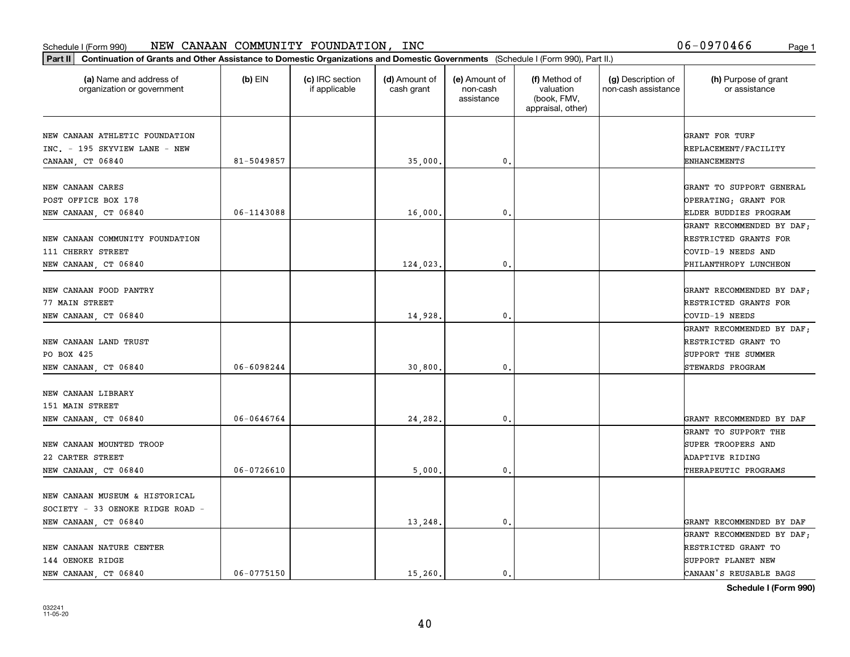| Part II   Continuation of Grants and Other Assistance to Domestic Organizations and Domestic Governments (Schedule I (Form 990), Part II.) |                |                                  |                             |                                         |                                                                |                                           |                                                    |
|--------------------------------------------------------------------------------------------------------------------------------------------|----------------|----------------------------------|-----------------------------|-----------------------------------------|----------------------------------------------------------------|-------------------------------------------|----------------------------------------------------|
| (a) Name and address of<br>organization or government                                                                                      | $(b)$ EIN      | (c) IRC section<br>if applicable | (d) Amount of<br>cash grant | (e) Amount of<br>non-cash<br>assistance | (f) Method of<br>valuation<br>(book, FMV,<br>appraisal, other) | (g) Description of<br>non-cash assistance | (h) Purpose of grant<br>or assistance              |
| NEW CANAAN ATHLETIC FOUNDATION                                                                                                             |                |                                  |                             |                                         |                                                                |                                           | GRANT FOR TURF                                     |
| INC. - 195 SKYVIEW LANE - NEW<br>CANAAN, CT 06840                                                                                          | 81-5049857     |                                  | 35,000.                     | 0.                                      |                                                                |                                           | REPLACEMENT/FACILITY<br>ENHANCEMENTS               |
|                                                                                                                                            |                |                                  |                             |                                         |                                                                |                                           |                                                    |
| NEW CANAAN CARES                                                                                                                           |                |                                  |                             |                                         |                                                                |                                           | GRANT TO SUPPORT GENERAL                           |
| POST OFFICE BOX 178                                                                                                                        |                |                                  |                             |                                         |                                                                |                                           | OPERATING; GRANT FOR                               |
| NEW CANAAN, CT 06840                                                                                                                       | 06-1143088     |                                  | 16,000                      | 0.                                      |                                                                |                                           | ELDER BUDDIES PROGRAM                              |
|                                                                                                                                            |                |                                  |                             |                                         |                                                                |                                           | GRANT RECOMMENDED BY DAF;                          |
| NEW CANAAN COMMUNITY FOUNDATION                                                                                                            |                |                                  |                             |                                         |                                                                |                                           | RESTRICTED GRANTS FOR                              |
| 111 CHERRY STREET                                                                                                                          |                |                                  |                             |                                         |                                                                |                                           | COVID-19 NEEDS AND                                 |
| NEW CANAAN, CT 06840                                                                                                                       |                |                                  | 124,023.                    | 0.                                      |                                                                |                                           | PHILANTHROPY LUNCHEON                              |
| NEW CANAAN FOOD PANTRY                                                                                                                     |                |                                  |                             |                                         |                                                                |                                           |                                                    |
| 77 MAIN STREET                                                                                                                             |                |                                  |                             |                                         |                                                                |                                           | GRANT RECOMMENDED BY DAF;<br>RESTRICTED GRANTS FOR |
| NEW CANAAN, CT 06840                                                                                                                       |                |                                  | 14,928                      | 0.                                      |                                                                |                                           | COVID-19 NEEDS                                     |
|                                                                                                                                            |                |                                  |                             |                                         |                                                                |                                           | GRANT RECOMMENDED BY DAF;                          |
| NEW CANAAN LAND TRUST                                                                                                                      |                |                                  |                             |                                         |                                                                |                                           | RESTRICTED GRANT TO                                |
| PO BOX 425                                                                                                                                 |                |                                  |                             |                                         |                                                                |                                           | SUPPORT THE SUMMER                                 |
| NEW CANAAN, CT 06840                                                                                                                       | $06 - 6098244$ |                                  | 30,800                      | 0.                                      |                                                                |                                           | STEWARDS PROGRAM                                   |
|                                                                                                                                            |                |                                  |                             |                                         |                                                                |                                           |                                                    |
| NEW CANAAN LIBRARY                                                                                                                         |                |                                  |                             |                                         |                                                                |                                           |                                                    |
| 151 MAIN STREET                                                                                                                            |                |                                  |                             |                                         |                                                                |                                           |                                                    |
| NEW CANAAN, CT 06840                                                                                                                       | 06-0646764     |                                  | 24,282.                     | 0.                                      |                                                                |                                           | GRANT RECOMMENDED BY DAF<br>GRANT TO SUPPORT THE   |
| NEW CANAAN MOUNTED TROOP                                                                                                                   |                |                                  |                             |                                         |                                                                |                                           | SUPER TROOPERS AND                                 |
| 22 CARTER STREET                                                                                                                           |                |                                  |                             |                                         |                                                                |                                           | ADAPTIVE RIDING                                    |
| NEW CANAAN, CT 06840                                                                                                                       | $06 - 0726610$ |                                  | 5,000                       | 0.                                      |                                                                |                                           | THERAPEUTIC PROGRAMS                               |
|                                                                                                                                            |                |                                  |                             |                                         |                                                                |                                           |                                                    |
| NEW CANAAN MUSEUM & HISTORICAL                                                                                                             |                |                                  |                             |                                         |                                                                |                                           |                                                    |
| SOCIETY - 33 OENOKE RIDGE ROAD -                                                                                                           |                |                                  |                             |                                         |                                                                |                                           |                                                    |
| NEW CANAAN, CT 06840                                                                                                                       |                |                                  | 13,248                      | 0.                                      |                                                                |                                           | GRANT RECOMMENDED BY DAF                           |
|                                                                                                                                            |                |                                  |                             |                                         |                                                                |                                           | GRANT RECOMMENDED BY DAF;                          |
| NEW CANAAN NATURE CENTER                                                                                                                   |                |                                  |                             |                                         |                                                                |                                           | RESTRICTED GRANT TO                                |
| 144 OENOKE RIDGE                                                                                                                           |                |                                  |                             |                                         |                                                                |                                           | SUPPORT PLANET NEW                                 |
| NEW CANAAN, CT 06840                                                                                                                       | $06 - 0775150$ |                                  | 15,260.                     | 0.                                      |                                                                |                                           | CANAAN'S REUSABLE BAGS                             |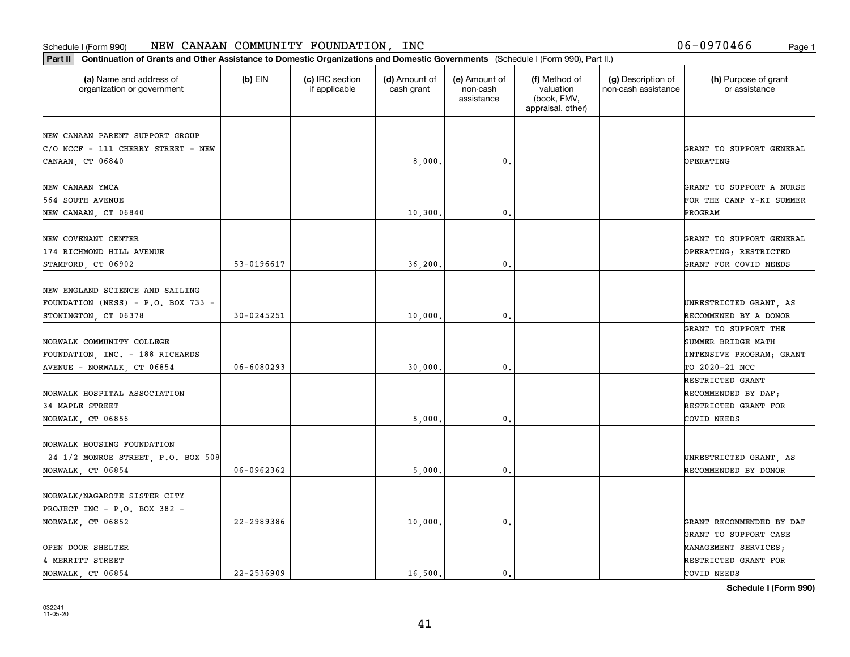#### Schedule I (Form 990) NEW CANAAN COMMUNITY FOUNDATILON, INC D D − U 9 7 U 4 b 6 Page 1 NEW CANAAN COMMUNITY FOUNDATION, INC 06-0970466

|  |  |  | 06-0970466 | Page 1 |
|--|--|--|------------|--------|
|--|--|--|------------|--------|

| (a) Name and address of<br>organization or government                                         | $(b)$ EIN      | (c) IRC section<br>if applicable | (d) Amount of<br>cash grant | (e) Amount of<br>non-cash<br>assistance | (f) Method of<br>valuation<br>(book, FMV,<br>appraisal, other) | (g) Description of<br>non-cash assistance | (h) Purpose of grant<br>or assistance                                                    |
|-----------------------------------------------------------------------------------------------|----------------|----------------------------------|-----------------------------|-----------------------------------------|----------------------------------------------------------------|-------------------------------------------|------------------------------------------------------------------------------------------|
| NEW CANAAN PARENT SUPPORT GROUP<br>C/O NCCF - 111 CHERRY STREET - NEW<br>CANAAN, CT 06840     |                |                                  | 8,000                       | 0.                                      |                                                                |                                           | GRANT TO SUPPORT GENERAL<br><b>OPERATING</b>                                             |
| NEW CANAAN YMCA<br>564 SOUTH AVENUE<br>NEW CANAAN, CT 06840                                   |                |                                  | 10,300                      | 0.                                      |                                                                |                                           | GRANT TO SUPPORT A NURSE<br>FOR THE CAMP Y-KI SUMMER<br>PROGRAM                          |
| NEW COVENANT CENTER<br>174 RICHMOND HILL AVENUE<br>STAMFORD, CT 06902                         | 53-0196617     |                                  | 36,200                      | $\mathbf{0}$ .                          |                                                                |                                           | GRANT TO SUPPORT GENERAL<br>OPERATING; RESTRICTED<br>GRANT FOR COVID NEEDS               |
| NEW ENGLAND SCIENCE AND SAILING<br>FOUNDATION (NESS) - P.O. BOX 733 -<br>STONINGTON, CT 06378 | 30-0245251     |                                  | 10,000                      | 0.                                      |                                                                |                                           | UNRESTRICTED GRANT, AS<br>RECOMMENED BY A DONOR                                          |
| NORWALK COMMUNITY COLLEGE<br>FOUNDATION, INC. - 188 RICHARDS<br>AVENUE - NORWALK, CT 06854    | $06 - 6080293$ |                                  | 30,000                      | 0.                                      |                                                                |                                           | GRANT TO SUPPORT THE<br>SUMMER BRIDGE MATH<br>INTENSIVE PROGRAM; GRANT<br>TO 2020-21 NCC |
| NORWALK HOSPITAL ASSOCIATION<br>34 MAPLE STREET<br>NORWALK, CT 06856                          |                |                                  | 5,000                       | 0.                                      |                                                                |                                           | RESTRICTED GRANT<br>RECOMMENDED BY DAF;<br>RESTRICTED GRANT FOR<br>COVID NEEDS           |
| NORWALK HOUSING FOUNDATION<br>24 1/2 MONROE STREET, P.O. BOX 508<br>NORWALK, CT 06854         | 06-0962362     |                                  | 5,000                       | $\mathbf{0}$ .                          |                                                                |                                           | UNRESTRICTED GRANT, AS<br>RECOMMENDED BY DONOR                                           |
| NORWALK/NAGAROTE SISTER CITY<br>PROJECT INC - P.O. BOX 382 -<br>NORWALK, CT 06852             | 22-2989386     |                                  | 10,000.                     | $\mathfrak o$ .                         |                                                                |                                           | GRANT RECOMMENDED BY DAF                                                                 |
| OPEN DOOR SHELTER<br>4 MERRITT STREET<br>NORWALK, CT 06854                                    | $22 - 2536909$ |                                  | 16,500.                     | $\mathbf{0}$ .                          |                                                                |                                           | GRANT TO SUPPORT CASE<br>MANAGEMENT SERVICES;<br>RESTRICTED GRANT FOR<br>COVID NEEDS     |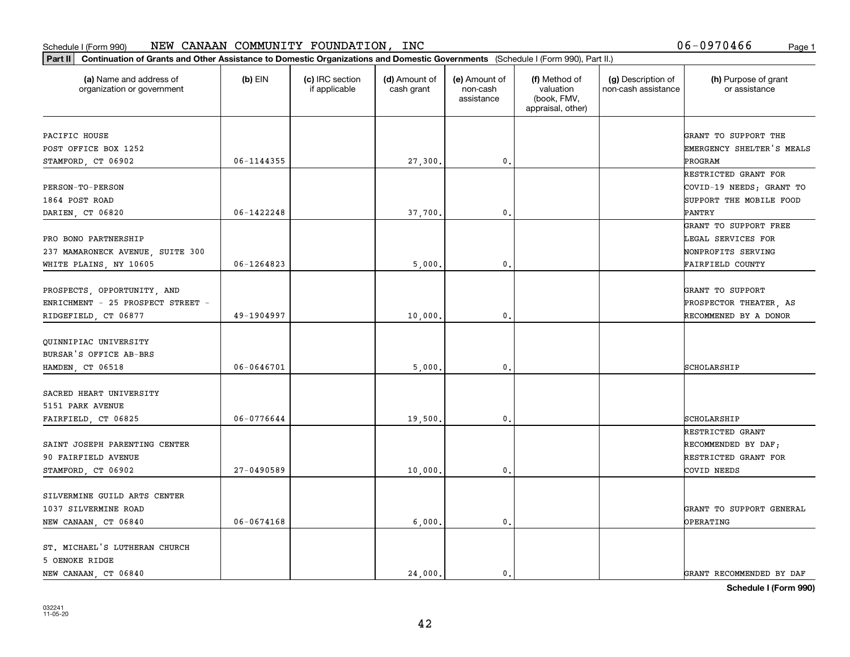| Part II   Continuation of Grants and Other Assistance to Domestic Organizations and Domestic Governments (Schedule I (Form 990), Part II.)<br>(a) Name and address of | $(b)$ EIN      | (c) IRC section | (d) Amount of | (e) Amount of          | (f) Method of                                 | (g) Description of  | (h) Purpose of grant      |
|-----------------------------------------------------------------------------------------------------------------------------------------------------------------------|----------------|-----------------|---------------|------------------------|-----------------------------------------------|---------------------|---------------------------|
| organization or government                                                                                                                                            |                | if applicable   | cash grant    | non-cash<br>assistance | valuation<br>(book, FMV,<br>appraisal, other) | non-cash assistance | or assistance             |
| PACIFIC HOUSE                                                                                                                                                         |                |                 |               |                        |                                               |                     | GRANT TO SUPPORT THE      |
| POST OFFICE BOX 1252                                                                                                                                                  |                |                 |               |                        |                                               |                     | EMERGENCY SHELTER'S MEALS |
| STAMFORD, CT 06902                                                                                                                                                    | $06 - 1144355$ |                 | 27,300.       | 0.                     |                                               |                     | PROGRAM                   |
|                                                                                                                                                                       |                |                 |               |                        |                                               |                     | RESTRICTED GRANT FOR      |
| <b>PERSON-TO-PERSON</b>                                                                                                                                               |                |                 |               |                        |                                               |                     | COVID-19 NEEDS; GRANT TO  |
| 1864 POST ROAD                                                                                                                                                        |                |                 |               |                        |                                               |                     | SUPPORT THE MOBILE FOOD   |
| DARIEN, CT 06820                                                                                                                                                      | 06-1422248     |                 | 37,700.       | 0.                     |                                               |                     | PANTRY                    |
|                                                                                                                                                                       |                |                 |               |                        |                                               |                     | GRANT TO SUPPORT FREE     |
| PRO BONO PARTNERSHIP                                                                                                                                                  |                |                 |               |                        |                                               |                     | LEGAL SERVICES FOR        |
| 237 MAMARONECK AVENUE, SUITE 300                                                                                                                                      |                |                 |               |                        |                                               |                     | NONPROFITS SERVING        |
| WHITE PLAINS, NY 10605                                                                                                                                                | 06-1264823     |                 | 5,000         | $\mathfrak{o}$ .       |                                               |                     | FAIRFIELD COUNTY          |
|                                                                                                                                                                       |                |                 |               |                        |                                               |                     |                           |
| PROSPECTS, OPPORTUNITY, AND                                                                                                                                           |                |                 |               |                        |                                               |                     | GRANT TO SUPPORT          |
| ENRICHMENT - 25 PROSPECT STREET -                                                                                                                                     |                |                 |               |                        |                                               |                     | PROSPECTOR THEATER, AS    |
| RIDGEFIELD, CT 06877                                                                                                                                                  | 49-1904997     |                 | 10,000        | 0.                     |                                               |                     | RECOMMENED BY A DONOR     |
|                                                                                                                                                                       |                |                 |               |                        |                                               |                     |                           |
| QUINNIPIAC UNIVERSITY                                                                                                                                                 |                |                 |               |                        |                                               |                     |                           |
| BURSAR'S OFFICE AB-BRS                                                                                                                                                |                |                 |               |                        |                                               |                     |                           |
| HAMDEN, CT 06518                                                                                                                                                      | $06 - 0646701$ |                 | 5,000         | 0.                     |                                               |                     | SCHOLARSHIP               |
| SACRED HEART UNIVERSITY                                                                                                                                               |                |                 |               |                        |                                               |                     |                           |
| 5151 PARK AVENUE                                                                                                                                                      |                |                 |               |                        |                                               |                     |                           |
| FAIRFIELD, CT 06825                                                                                                                                                   | 06-0776644     |                 | 19,500        | 0.                     |                                               |                     | SCHOLARSHIP               |
|                                                                                                                                                                       |                |                 |               |                        |                                               |                     | RESTRICTED GRANT          |
| SAINT JOSEPH PARENTING CENTER                                                                                                                                         |                |                 |               |                        |                                               |                     | RECOMMENDED BY DAF;       |
| 90 FAIRFIELD AVENUE                                                                                                                                                   |                |                 |               |                        |                                               |                     | RESTRICTED GRANT FOR      |
| STAMFORD, CT 06902                                                                                                                                                    | $27 - 0490589$ |                 | 10,000        | $\mathfrak{o}$ .       |                                               |                     | COVID NEEDS               |
|                                                                                                                                                                       |                |                 |               |                        |                                               |                     |                           |
| SILVERMINE GUILD ARTS CENTER                                                                                                                                          |                |                 |               |                        |                                               |                     |                           |
| 1037 SILVERMINE ROAD                                                                                                                                                  |                |                 |               |                        |                                               |                     | GRANT TO SUPPORT GENERAL  |
| NEW CANAAN, CT 06840                                                                                                                                                  | $06 - 0674168$ |                 | 6,000         | $\mathbf{0}$ .         |                                               |                     | <b>OPERATING</b>          |
|                                                                                                                                                                       |                |                 |               |                        |                                               |                     |                           |
| ST. MICHAEL'S LUTHERAN CHURCH                                                                                                                                         |                |                 |               |                        |                                               |                     |                           |
| 5 OENOKE RIDGE                                                                                                                                                        |                |                 |               |                        |                                               |                     |                           |
| NEW CANAAN, CT 06840                                                                                                                                                  |                |                 | 24.000.       | $\mathbf{0}$ .         |                                               |                     | GRANT RECOMMENDED BY DAF  |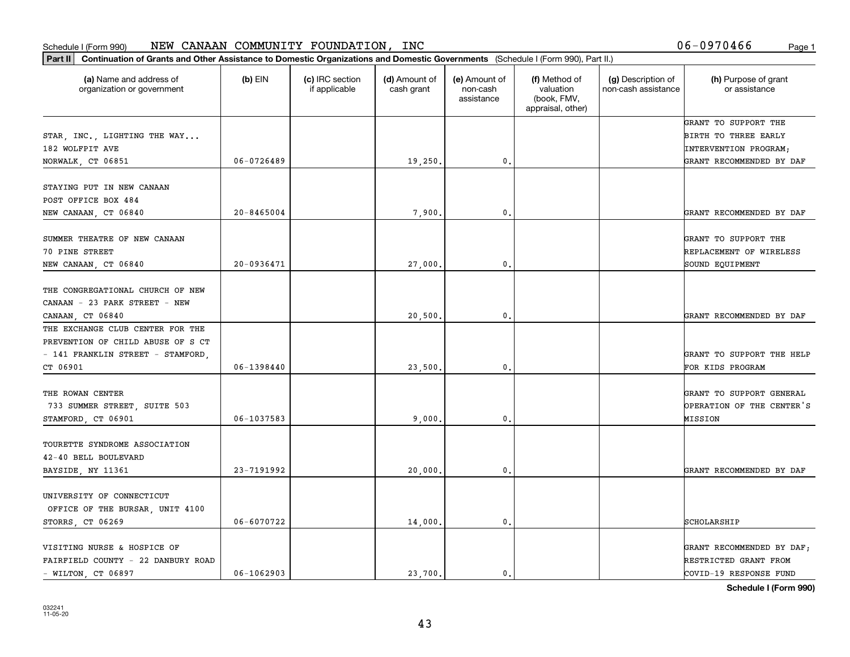| (a) Name and address of<br>organization or government                                                                  | $(b)$ EIN                        | (c) IRC section<br>if applicable | (d) Amount of<br>cash grant | (e) Amount of<br>non-cash<br>assistance | (f) Method of<br>valuation<br>(book, FMV,<br>appraisal, other) | (g) Description of<br>non-cash assistance | (h) Purpose of grant<br>or assistance                                                             |
|------------------------------------------------------------------------------------------------------------------------|----------------------------------|----------------------------------|-----------------------------|-----------------------------------------|----------------------------------------------------------------|-------------------------------------------|---------------------------------------------------------------------------------------------------|
| STAR, INC., LIGHTING THE WAY<br>182 WOLFPIT AVE<br>NORWALK, CT 06851                                                   | $06 - 0726489$                   |                                  | 19,250.                     | 0.                                      |                                                                |                                           | GRANT TO SUPPORT THE<br>BIRTH TO THREE EARLY<br>INTERVENTION PROGRAM;<br>GRANT RECOMMENDED BY DAF |
| STAYING PUT IN NEW CANAAN<br>POST OFFICE BOX 484                                                                       |                                  |                                  |                             |                                         |                                                                |                                           |                                                                                                   |
| NEW CANAAN, CT 06840<br>SUMMER THEATRE OF NEW CANAAN<br>70 PINE STREET<br>NEW CANAAN, CT 06840                         | $20 - 8465004$<br>$20 - 0936471$ |                                  | 7,900<br>27,000             | $\mathbf{0}$<br>$\mathbf{0}$ .          |                                                                |                                           | GRANT RECOMMENDED BY DAF<br>GRANT TO SUPPORT THE<br>REPLACEMENT OF WIRELESS<br>SOUND EQUIPMENT    |
| THE CONGREGATIONAL CHURCH OF NEW<br>CANAAN - 23 PARK STREET - NEW<br>CANAAN, CT 06840                                  |                                  |                                  | 20,500                      | 0.                                      |                                                                |                                           | GRANT RECOMMENDED BY DAF                                                                          |
| THE EXCHANGE CLUB CENTER FOR THE<br>PREVENTION OF CHILD ABUSE OF S CT<br>- 141 FRANKLIN STREET - STAMFORD,<br>CT 06901 | $06 - 1398440$                   |                                  | 23,500                      | $\mathbf{0}$                            |                                                                |                                           | GRANT TO SUPPORT THE HELP<br>FOR KIDS PROGRAM                                                     |
| THE ROWAN CENTER<br>733 SUMMER STREET, SUITE 503<br>STAMFORD, CT 06901                                                 | 06-1037583                       |                                  | 9.000                       | $\mathbf{0}$                            |                                                                |                                           | GRANT TO SUPPORT GENERAL<br>OPERATION OF THE CENTER'S<br>MISSION                                  |
| TOURETTE SYNDROME ASSOCIATION<br>42-40 BELL BOULEVARD<br>BAYSIDE, NY 11361                                             | 23-7191992                       |                                  | 20,000                      | $\mathsf{o}\,$ .                        |                                                                |                                           | GRANT RECOMMENDED BY DAF                                                                          |
| UNIVERSITY OF CONNECTICUT<br>OFFICE OF THE BURSAR, UNIT 4100<br>STORRS, CT 06269                                       | 06-6070722                       |                                  | 14,000                      | 0.                                      |                                                                |                                           | SCHOLARSHIP                                                                                       |
| VISITING NURSE & HOSPICE OF<br>FAIRFIELD COUNTY - 22 DANBURY ROAD<br>$-$ WILTON, CT 06897                              | $06 - 1062903$                   |                                  | 23.700.                     | 0.                                      |                                                                |                                           | GRANT RECOMMENDED BY DAF;<br>RESTRICTED GRANT FROM<br>COVID-19 RESPONSE FUND                      |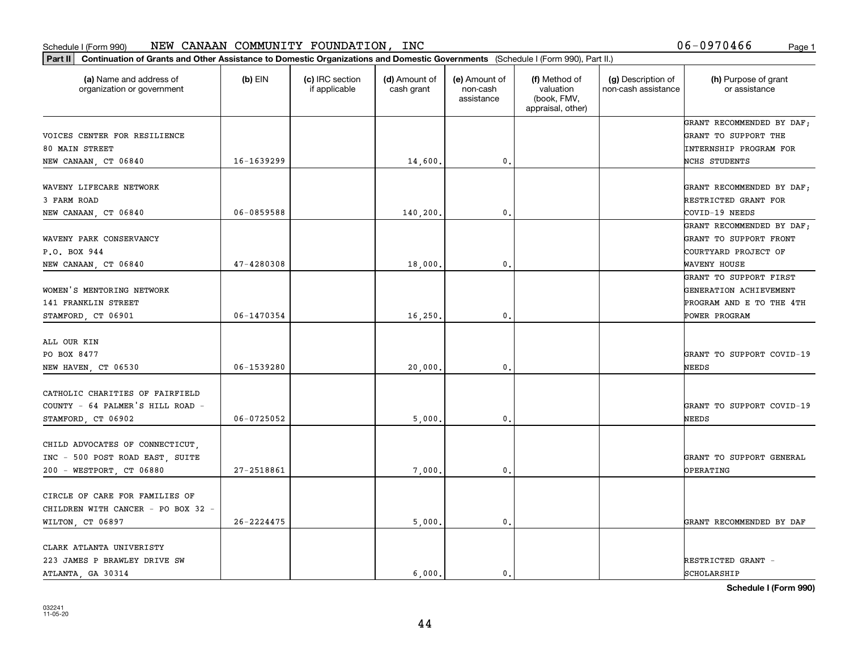| Part II   Continuation of Grants and Other Assistance to Domestic Organizations and Domestic Governments (Schedule I (Form 990), Part II.) |                |                                  |                             |                                         |                                                                |                                           |                                        |
|--------------------------------------------------------------------------------------------------------------------------------------------|----------------|----------------------------------|-----------------------------|-----------------------------------------|----------------------------------------------------------------|-------------------------------------------|----------------------------------------|
| (a) Name and address of<br>organization or government                                                                                      | $(b)$ EIN      | (c) IRC section<br>if applicable | (d) Amount of<br>cash grant | (e) Amount of<br>non-cash<br>assistance | (f) Method of<br>valuation<br>(book, FMV,<br>appraisal, other) | (g) Description of<br>non-cash assistance | (h) Purpose of grant<br>or assistance  |
|                                                                                                                                            |                |                                  |                             |                                         |                                                                |                                           | GRANT RECOMMENDED BY DAF;              |
| VOICES CENTER FOR RESILIENCE                                                                                                               |                |                                  |                             |                                         |                                                                |                                           | GRANT TO SUPPORT THE                   |
| 80 MAIN STREET                                                                                                                             |                |                                  |                             |                                         |                                                                |                                           | INTERNSHIP PROGRAM FOR                 |
| NEW CANAAN, CT 06840                                                                                                                       | 16-1639299     |                                  | 14,600.                     | 0.                                      |                                                                |                                           | NCHS STUDENTS                          |
| WAVENY LIFECARE NETWORK                                                                                                                    |                |                                  |                             |                                         |                                                                |                                           |                                        |
| 3 FARM ROAD                                                                                                                                |                |                                  |                             |                                         |                                                                |                                           | GRANT RECOMMENDED BY DAF;              |
|                                                                                                                                            | 06-0859588     |                                  |                             | 0.                                      |                                                                |                                           | RESTRICTED GRANT FOR<br>COVID-19 NEEDS |
| NEW CANAAN, CT 06840                                                                                                                       |                |                                  | 140,200                     |                                         |                                                                |                                           | GRANT RECOMMENDED BY DAF;              |
| WAVENY PARK CONSERVANCY                                                                                                                    |                |                                  |                             |                                         |                                                                |                                           | GRANT TO SUPPORT FRONT                 |
| P.O. BOX 944                                                                                                                               |                |                                  |                             |                                         |                                                                |                                           | COURTYARD PROJECT OF                   |
| NEW CANAAN, CT 06840                                                                                                                       | $47 - 4280308$ |                                  | 18,000                      | $\mathbf{0}$ .                          |                                                                |                                           | WAVENY HOUSE                           |
|                                                                                                                                            |                |                                  |                             |                                         |                                                                |                                           | GRANT TO SUPPORT FIRST                 |
| WOMEN'S MENTORING NETWORK                                                                                                                  |                |                                  |                             |                                         |                                                                |                                           | GENERATION ACHIEVEMENT                 |
| 141 FRANKLIN STREET                                                                                                                        |                |                                  |                             |                                         |                                                                |                                           | PROGRAM AND E TO THE 4TH               |
| STAMFORD, CT 06901                                                                                                                         | 06-1470354     |                                  | 16,250                      | 0.                                      |                                                                |                                           | POWER PROGRAM                          |
|                                                                                                                                            |                |                                  |                             |                                         |                                                                |                                           |                                        |
| ALL OUR KIN                                                                                                                                |                |                                  |                             |                                         |                                                                |                                           |                                        |
| PO BOX 8477                                                                                                                                |                |                                  |                             |                                         |                                                                |                                           | GRANT TO SUPPORT COVID-19              |
| NEW HAVEN, CT 06530                                                                                                                        | $06 - 1539280$ |                                  | 20,000                      | 0.                                      |                                                                |                                           | NEEDS                                  |
|                                                                                                                                            |                |                                  |                             |                                         |                                                                |                                           |                                        |
| CATHOLIC CHARITIES OF FAIRFIELD                                                                                                            |                |                                  |                             |                                         |                                                                |                                           |                                        |
| COUNTY - 64 PALMER'S HILL ROAD -                                                                                                           |                |                                  |                             |                                         |                                                                |                                           | GRANT TO SUPPORT COVID-19              |
| STAMFORD, CT 06902                                                                                                                         | $06 - 0725052$ |                                  | 5,000                       | 0.                                      |                                                                |                                           | NEEDS                                  |
|                                                                                                                                            |                |                                  |                             |                                         |                                                                |                                           |                                        |
| CHILD ADVOCATES OF CONNECTICUT,                                                                                                            |                |                                  |                             |                                         |                                                                |                                           |                                        |
| INC - 500 POST ROAD EAST, SUITE                                                                                                            |                |                                  |                             |                                         |                                                                |                                           | GRANT TO SUPPORT GENERAL               |
| 200 - WESTPORT, CT 06880                                                                                                                   | $27 - 2518861$ |                                  | 7,000                       | $\mathbf{0}$ .                          |                                                                |                                           | <b>OPERATING</b>                       |
|                                                                                                                                            |                |                                  |                             |                                         |                                                                |                                           |                                        |
| CIRCLE OF CARE FOR FAMILIES OF                                                                                                             |                |                                  |                             |                                         |                                                                |                                           |                                        |
| CHILDREN WITH CANCER - PO BOX 32 -                                                                                                         |                |                                  |                             |                                         |                                                                |                                           |                                        |
| WILTON, CT 06897                                                                                                                           | $26 - 2224475$ |                                  | 5,000                       | $\mathbf{0}$ .                          |                                                                |                                           | GRANT RECOMMENDED BY DAF               |
|                                                                                                                                            |                |                                  |                             |                                         |                                                                |                                           |                                        |
| CLARK ATLANTA UNIVERISTY                                                                                                                   |                |                                  |                             |                                         |                                                                |                                           |                                        |
| 223 JAMES P BRAWLEY DRIVE SW<br>ATLANTA, GA 30314                                                                                          |                |                                  | 6.000.                      | 0.                                      |                                                                |                                           | RESTRICTED GRANT -<br>SCHOLARSHIP      |
|                                                                                                                                            |                |                                  |                             |                                         |                                                                |                                           |                                        |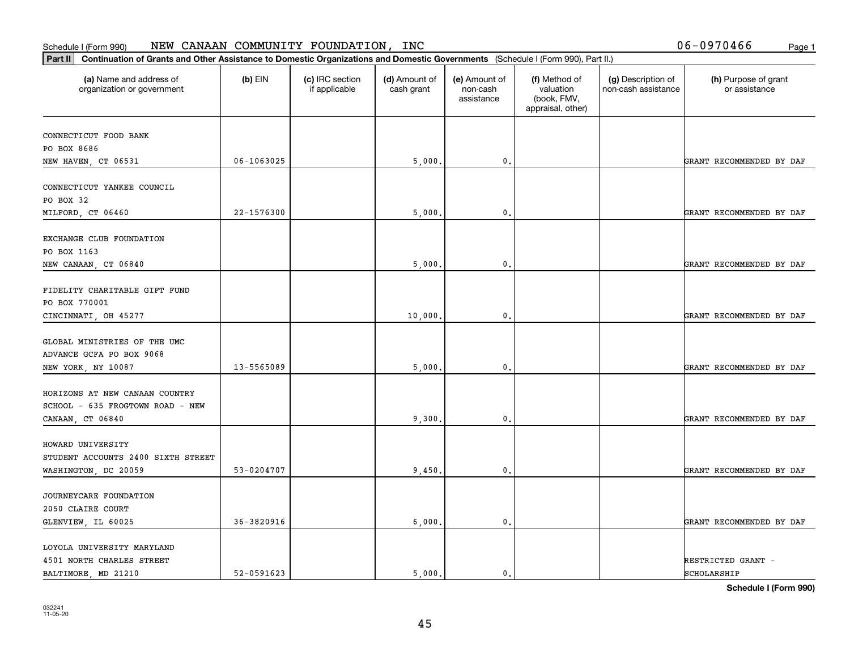#### Schedule I (Form 990) NEW CANAAN COMMUNITY FOUNDATILON, INC D D − U 9 7 U 4 b 6 Page 1 NEW CANAAN COMMUNITY FOUNDATION, INC 06-0970466

| Part II   Continuation of Grants and Other Assistance to Domestic Organizations and Domestic Governments (Schedule I (Form 990), Part II.) |                |                                  |                             |                                         |                                                                |                                           |                                       |
|--------------------------------------------------------------------------------------------------------------------------------------------|----------------|----------------------------------|-----------------------------|-----------------------------------------|----------------------------------------------------------------|-------------------------------------------|---------------------------------------|
| (a) Name and address of<br>organization or government                                                                                      | $(b)$ EIN      | (c) IRC section<br>if applicable | (d) Amount of<br>cash grant | (e) Amount of<br>non-cash<br>assistance | (f) Method of<br>valuation<br>(book, FMV,<br>appraisal, other) | (g) Description of<br>non-cash assistance | (h) Purpose of grant<br>or assistance |
| CONNECTICUT FOOD BANK                                                                                                                      |                |                                  |                             |                                         |                                                                |                                           |                                       |
| PO BOX 8686                                                                                                                                |                |                                  |                             |                                         |                                                                |                                           |                                       |
| NEW HAVEN, CT 06531                                                                                                                        | 06-1063025     |                                  | 5,000                       | 0.                                      |                                                                |                                           | GRANT RECOMMENDED BY DAF              |
|                                                                                                                                            |                |                                  |                             |                                         |                                                                |                                           |                                       |
| CONNECTICUT YANKEE COUNCIL                                                                                                                 |                |                                  |                             |                                         |                                                                |                                           |                                       |
| PO BOX 32                                                                                                                                  |                |                                  |                             |                                         |                                                                |                                           |                                       |
| MILFORD, CT 06460                                                                                                                          | 22-1576300     |                                  | 5,000                       | 0.                                      |                                                                |                                           | GRANT RECOMMENDED BY DAF              |
| EXCHANGE CLUB FOUNDATION                                                                                                                   |                |                                  |                             |                                         |                                                                |                                           |                                       |
| PO BOX 1163                                                                                                                                |                |                                  |                             |                                         |                                                                |                                           |                                       |
| NEW CANAAN, CT 06840                                                                                                                       |                |                                  | 5,000                       | $\mathbf{0}$ .                          |                                                                |                                           | GRANT RECOMMENDED BY DAF              |
|                                                                                                                                            |                |                                  |                             |                                         |                                                                |                                           |                                       |
| FIDELITY CHARITABLE GIFT FUND                                                                                                              |                |                                  |                             |                                         |                                                                |                                           |                                       |
| PO BOX 770001                                                                                                                              |                |                                  |                             |                                         |                                                                |                                           |                                       |
| CINCINNATI, OH 45277                                                                                                                       |                |                                  | 10,000                      | 0.                                      |                                                                |                                           | GRANT RECOMMENDED BY DAF              |
| GLOBAL MINISTRIES OF THE UMC                                                                                                               |                |                                  |                             |                                         |                                                                |                                           |                                       |
| ADVANCE GCFA PO BOX 9068                                                                                                                   |                |                                  |                             |                                         |                                                                |                                           |                                       |
| NEW YORK, NY 10087                                                                                                                         | 13-5565089     |                                  | 5,000                       | 0.                                      |                                                                |                                           | GRANT RECOMMENDED BY DAF              |
|                                                                                                                                            |                |                                  |                             |                                         |                                                                |                                           |                                       |
| HORIZONS AT NEW CANAAN COUNTRY                                                                                                             |                |                                  |                             |                                         |                                                                |                                           |                                       |
| SCHOOL - 635 FROGTOWN ROAD - NEW                                                                                                           |                |                                  |                             |                                         |                                                                |                                           |                                       |
| CANAAN, CT 06840                                                                                                                           |                |                                  | 9,300                       | 0.                                      |                                                                |                                           | GRANT RECOMMENDED BY DAF              |
|                                                                                                                                            |                |                                  |                             |                                         |                                                                |                                           |                                       |
| HOWARD UNIVERSITY                                                                                                                          |                |                                  |                             |                                         |                                                                |                                           |                                       |
| STUDENT ACCOUNTS 2400 SIXTH STREET                                                                                                         |                |                                  |                             |                                         |                                                                |                                           |                                       |
| WASHINGTON, DC 20059                                                                                                                       | 53-0204707     |                                  | 9,450                       | $\mathbf{0}$ .                          |                                                                |                                           | GRANT RECOMMENDED BY DAF              |
| JOURNEYCARE FOUNDATION                                                                                                                     |                |                                  |                             |                                         |                                                                |                                           |                                       |
| 2050 CLAIRE COURT                                                                                                                          |                |                                  |                             |                                         |                                                                |                                           |                                       |
| GLENVIEW, IL 60025                                                                                                                         | $36 - 3820916$ |                                  | 6,000                       | $\mathbf{0}$ .                          |                                                                |                                           | GRANT RECOMMENDED BY DAF              |
|                                                                                                                                            |                |                                  |                             |                                         |                                                                |                                           |                                       |
| LOYOLA UNIVERSITY MARYLAND                                                                                                                 |                |                                  |                             |                                         |                                                                |                                           |                                       |
| 4501 NORTH CHARLES STREET                                                                                                                  |                |                                  |                             |                                         |                                                                |                                           | RESTRICTED GRANT -                    |
| BALTIMORE, MD 21210                                                                                                                        | 52-0591623     |                                  | 5.000.                      | $\mathbf{0}$ .                          |                                                                |                                           | SCHOLARSHIP                           |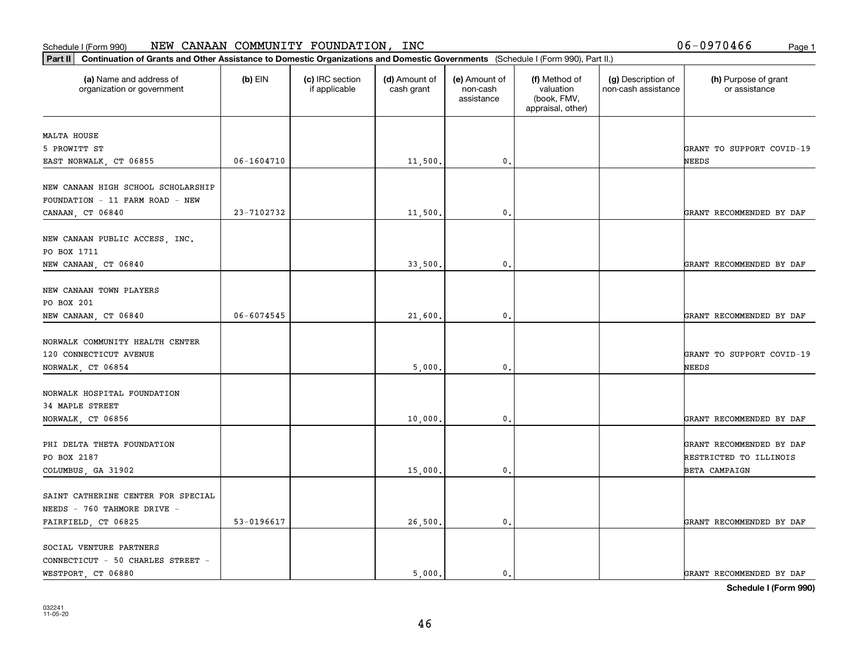| Part II   Continuation of Grants and Other Assistance to Domestic Organizations and Domestic Governments (Schedule I (Form 990), Part II.) |                |                                  |                             |                                         |                                                                |                                           |                                                                            |
|--------------------------------------------------------------------------------------------------------------------------------------------|----------------|----------------------------------|-----------------------------|-----------------------------------------|----------------------------------------------------------------|-------------------------------------------|----------------------------------------------------------------------------|
| (a) Name and address of<br>organization or government                                                                                      | $(b)$ EIN      | (c) IRC section<br>if applicable | (d) Amount of<br>cash grant | (e) Amount of<br>non-cash<br>assistance | (f) Method of<br>valuation<br>(book, FMV,<br>appraisal, other) | (g) Description of<br>non-cash assistance | (h) Purpose of grant<br>or assistance                                      |
|                                                                                                                                            |                |                                  |                             |                                         |                                                                |                                           |                                                                            |
| MALTA HOUSE<br>5 PROWITT ST                                                                                                                |                |                                  |                             |                                         |                                                                |                                           | GRANT TO SUPPORT COVID-19                                                  |
| EAST NORWALK, CT 06855                                                                                                                     | 06-1604710     |                                  | 11,500.                     | $\mathbf{0}$ .                          |                                                                |                                           | NEEDS                                                                      |
|                                                                                                                                            |                |                                  |                             |                                         |                                                                |                                           |                                                                            |
| NEW CANAAN HIGH SCHOOL SCHOLARSHIP<br>FOUNDATION - 11 FARM ROAD - NEW<br>CANAAN, CT 06840                                                  | 23-7102732     |                                  | 11,500                      | $\mathbf{0}$                            |                                                                |                                           | GRANT RECOMMENDED BY DAF                                                   |
|                                                                                                                                            |                |                                  |                             |                                         |                                                                |                                           |                                                                            |
| NEW CANAAN PUBLIC ACCESS, INC.<br>PO BOX 1711                                                                                              |                |                                  |                             |                                         |                                                                |                                           |                                                                            |
| NEW CANAAN, CT 06840                                                                                                                       |                |                                  | 33,500.                     | $\mathbf{0}$ .                          |                                                                |                                           | GRANT RECOMMENDED BY DAF                                                   |
| NEW CANAAN TOWN PLAYERS<br>PO BOX 201<br>NEW CANAAN, CT 06840                                                                              | $06 - 6074545$ |                                  | 21,600.                     | $\mathfrak{o}$ .                        |                                                                |                                           | GRANT RECOMMENDED BY DAF                                                   |
|                                                                                                                                            |                |                                  |                             |                                         |                                                                |                                           |                                                                            |
| NORWALK COMMUNITY HEALTH CENTER<br>120 CONNECTICUT AVENUE                                                                                  |                |                                  |                             |                                         |                                                                |                                           | GRANT TO SUPPORT COVID-19                                                  |
| NORWALK, CT 06854                                                                                                                          |                |                                  | 5,000                       | $\mathbf{0}$                            |                                                                |                                           | NEEDS                                                                      |
| NORWALK HOSPITAL FOUNDATION<br>34 MAPLE STREET                                                                                             |                |                                  | 10,000.                     | 0.                                      |                                                                |                                           | GRANT RECOMMENDED BY DAF                                                   |
| NORWALK, CT 06856                                                                                                                          |                |                                  |                             |                                         |                                                                |                                           |                                                                            |
| PHI DELTA THETA FOUNDATION<br>PO BOX 2187<br>COLUMBUS, GA 31902                                                                            |                |                                  | 15,000                      | $\mathbf{0}$ .                          |                                                                |                                           | GRANT RECOMMENDED BY DAF<br>RESTRICTED TO ILLINOIS<br><b>BETA CAMPAIGN</b> |
| SAINT CATHERINE CENTER FOR SPECIAL<br>NEEDS - 760 TAHMORE DRIVE -                                                                          |                |                                  |                             |                                         |                                                                |                                           |                                                                            |
| FAIRFIELD, CT 06825                                                                                                                        | 53-0196617     |                                  | 26,500.                     | $\mathbf{0}$ .                          |                                                                |                                           | GRANT RECOMMENDED BY DAF                                                   |
|                                                                                                                                            |                |                                  |                             |                                         |                                                                |                                           |                                                                            |
| SOCIAL VENTURE PARTNERS<br>CONNECTICUT - 50 CHARLES STREET -                                                                               |                |                                  |                             |                                         |                                                                |                                           |                                                                            |
| WESTPORT, CT 06880                                                                                                                         |                |                                  | 5.000.                      | $\mathbf{0}$ .                          |                                                                |                                           | GRANT RECOMMENDED BY DAF                                                   |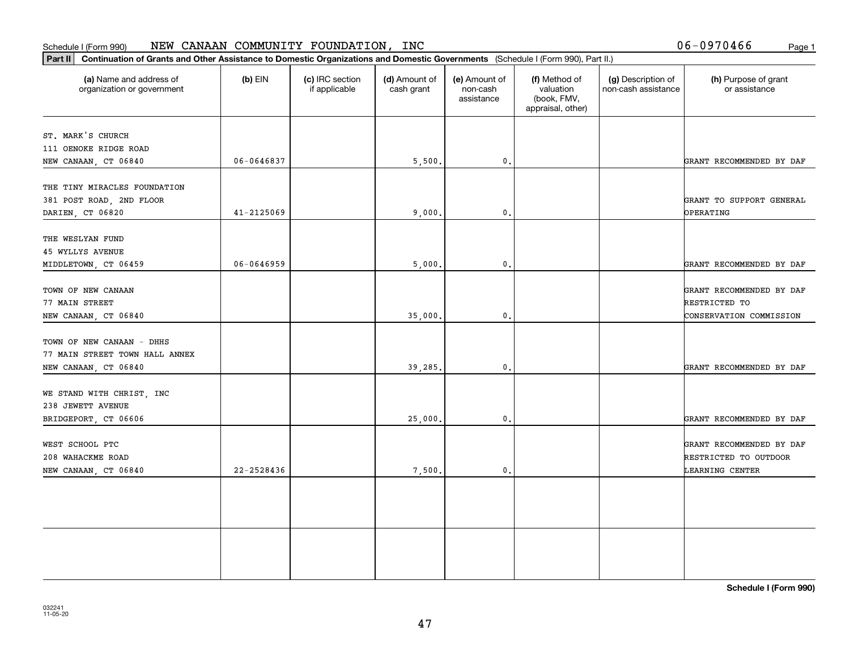06-0970466

| Part II   Continuation of Grants and Other Assistance to Domestic Organizations and Domestic Governments (Schedule I (Form 990), Part II.) |            |                                  |                             |                                         |                                                                |                                           |                                       |
|--------------------------------------------------------------------------------------------------------------------------------------------|------------|----------------------------------|-----------------------------|-----------------------------------------|----------------------------------------------------------------|-------------------------------------------|---------------------------------------|
| (a) Name and address of<br>organization or government                                                                                      | $(b)$ EIN  | (c) IRC section<br>if applicable | (d) Amount of<br>cash grant | (e) Amount of<br>non-cash<br>assistance | (f) Method of<br>valuation<br>(book, FMV,<br>appraisal, other) | (g) Description of<br>non-cash assistance | (h) Purpose of grant<br>or assistance |
|                                                                                                                                            |            |                                  |                             |                                         |                                                                |                                           |                                       |
| ST. MARK'S CHURCH<br>111 OENOKE RIDGE ROAD                                                                                                 |            |                                  |                             |                                         |                                                                |                                           |                                       |
| NEW CANAAN, CT 06840                                                                                                                       | 06-0646837 |                                  | 5,500.                      | 0.                                      |                                                                |                                           | GRANT RECOMMENDED BY DAF              |
|                                                                                                                                            |            |                                  |                             |                                         |                                                                |                                           |                                       |
| THE TINY MIRACLES FOUNDATION                                                                                                               |            |                                  |                             |                                         |                                                                |                                           |                                       |
| 381 POST ROAD, 2ND FLOOR                                                                                                                   |            |                                  |                             |                                         |                                                                |                                           | GRANT TO SUPPORT GENERAL              |
| DARIEN, CT 06820                                                                                                                           | 41-2125069 |                                  | 9,000,                      | $\mathbf{0}$                            |                                                                |                                           | OPERATING                             |
|                                                                                                                                            |            |                                  |                             |                                         |                                                                |                                           |                                       |
| THE WESLYAN FUND                                                                                                                           |            |                                  |                             |                                         |                                                                |                                           |                                       |
| <b>45 WYLLYS AVENUE</b>                                                                                                                    |            |                                  |                             |                                         |                                                                |                                           |                                       |
| MIDDLETOWN, CT 06459                                                                                                                       | 06-0646959 |                                  | 5,000.                      | $\mathbf{0}$ .                          |                                                                |                                           | GRANT RECOMMENDED BY DAF              |
|                                                                                                                                            |            |                                  |                             |                                         |                                                                |                                           |                                       |
| TOWN OF NEW CANAAN                                                                                                                         |            |                                  |                             |                                         |                                                                |                                           | GRANT RECOMMENDED BY DAF              |
| 77 MAIN STREET                                                                                                                             |            |                                  |                             |                                         |                                                                |                                           | RESTRICTED TO                         |
| NEW CANAAN, CT 06840                                                                                                                       |            |                                  | 35,000.                     | $\mathbf{0}$ .                          |                                                                |                                           | CONSERVATION COMMISSION               |
|                                                                                                                                            |            |                                  |                             |                                         |                                                                |                                           |                                       |
| TOWN OF NEW CANAAN - DHHS                                                                                                                  |            |                                  |                             |                                         |                                                                |                                           |                                       |
| 77 MAIN STREET TOWN HALL ANNEX                                                                                                             |            |                                  |                             |                                         |                                                                |                                           |                                       |
| NEW CANAAN, CT 06840                                                                                                                       |            |                                  | 39,285.                     | $\mathbf{0}$ .                          |                                                                |                                           | GRANT RECOMMENDED BY DAF              |
|                                                                                                                                            |            |                                  |                             |                                         |                                                                |                                           |                                       |
| WE STAND WITH CHRIST, INC                                                                                                                  |            |                                  |                             |                                         |                                                                |                                           |                                       |
| 238 JEWETT AVENUE                                                                                                                          |            |                                  |                             |                                         |                                                                |                                           |                                       |
| BRIDGEPORT, CT 06606                                                                                                                       |            |                                  | 25,000.                     | 0.                                      |                                                                |                                           | GRANT RECOMMENDED BY DAF              |
|                                                                                                                                            |            |                                  |                             |                                         |                                                                |                                           |                                       |
| WEST SCHOOL PTC                                                                                                                            |            |                                  |                             |                                         |                                                                |                                           | GRANT RECOMMENDED BY DAF              |
| 208 WAHACKME ROAD                                                                                                                          |            |                                  |                             |                                         |                                                                |                                           | RESTRICTED TO OUTDOOR                 |
| NEW CANAAN, CT 06840                                                                                                                       | 22-2528436 |                                  | 7,500.                      | $\mathfrak{o}$ .                        |                                                                |                                           | LEARNING CENTER                       |
|                                                                                                                                            |            |                                  |                             |                                         |                                                                |                                           |                                       |
|                                                                                                                                            |            |                                  |                             |                                         |                                                                |                                           |                                       |
|                                                                                                                                            |            |                                  |                             |                                         |                                                                |                                           |                                       |
|                                                                                                                                            |            |                                  |                             |                                         |                                                                |                                           |                                       |
|                                                                                                                                            |            |                                  |                             |                                         |                                                                |                                           |                                       |
|                                                                                                                                            |            |                                  |                             |                                         |                                                                |                                           |                                       |
|                                                                                                                                            |            |                                  |                             |                                         |                                                                |                                           |                                       |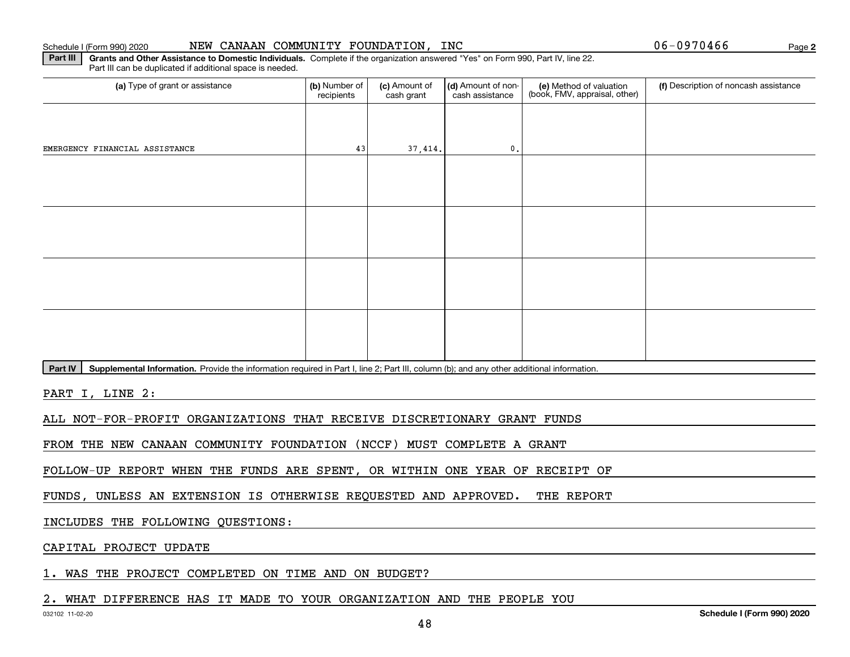#### Schedule I (Form 990) 20:

| 20 |  |  |  | NEW CANAAN COMMUNITY FOUNDATION, IN |  |
|----|--|--|--|-------------------------------------|--|
|----|--|--|--|-------------------------------------|--|

 $06 - 0970466$ 

**2**

**Part III | Grants and Other Assistance to Domestic Individuals. Complete if the organization answered "Yes" on Form 990, Part IV, line 22.** Part III can be duplicated if additional space is needed.

| (a) Type of grant or assistance       | (b) Number of<br>recipients | (c) Amount of<br>cash grant | (d) Amount of non-<br>cash assistance | (e) Method of valuation<br>(book, FMV, appraisal, other) | (f) Description of noncash assistance |
|---------------------------------------|-----------------------------|-----------------------------|---------------------------------------|----------------------------------------------------------|---------------------------------------|
|                                       |                             |                             |                                       |                                                          |                                       |
| EMERGENCY FINANCIAL ASSISTANCE        | 43                          | 37,414.                     | $\mathfrak o$ .                       |                                                          |                                       |
|                                       |                             |                             |                                       |                                                          |                                       |
|                                       |                             |                             |                                       |                                                          |                                       |
|                                       |                             |                             |                                       |                                                          |                                       |
|                                       |                             |                             |                                       |                                                          |                                       |
|                                       |                             |                             |                                       |                                                          |                                       |
|                                       |                             |                             |                                       |                                                          |                                       |
|                                       |                             |                             |                                       |                                                          |                                       |
|                                       |                             |                             |                                       |                                                          |                                       |
| $\sim$ $\sim$ $\sim$ $\sim$<br>$\sim$ |                             |                             |                                       |                                                          |                                       |

Part IV | Supplemental Information. Provide the information required in Part I, line 2; Part III, column (b); and any other additional information.

PART I, LINE 2:

ALL NOT-FOR-PROFIT ORGANIZATIONS THAT RECEIVE DISCRETIONARY GRANT FUNDS

FROM THE NEW CANAAN COMMUNITY FOUNDATION (NCCF) MUST COMPLETE A GRANT

FOLLOW-UP REPORT WHEN THE FUNDS ARE SPENT, OR WITHIN ONE YEAR OF RECEIPT OF

FUNDS, UNLESS AN EXTENSION IS OTHERWISE REQUESTED AND APPROVED. THE REPORT

INCLUDES THE FOLLOWING QUESTIONS:

CAPITAL PROJECT UPDATE

1. WAS THE PROJECT COMPLETED ON TIME AND ON BUDGET?

### 2. WHAT DIFFERENCE HAS IT MADE TO YOUR ORGANIZATION AND THE PEOPLE YOU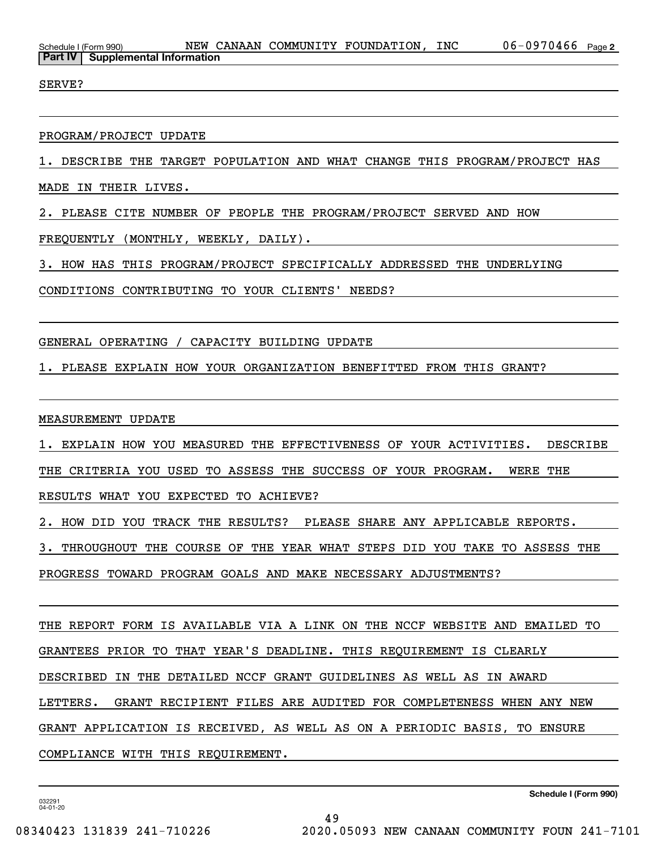SERVE?

### PROGRAM/PROJECT UPDATE

1. DESCRIBE THE TARGET POPULATION AND WHAT CHANGE THIS PROGRAM/PROJECT HAS

MADE IN THEIR LIVES.

2. PLEASE CITE NUMBER OF PEOPLE THE PROGRAM/PROJECT SERVED AND HOW

FREQUENTLY (MONTHLY, WEEKLY, DAILY).

3. HOW HAS THIS PROGRAM/PROJECT SPECIFICALLY ADDRESSED THE UNDERLYING

CONDITIONS CONTRIBUTING TO YOUR CLIENTS' NEEDS?

GENERAL OPERATING / CAPACITY BUILDING UPDATE

1. PLEASE EXPLAIN HOW YOUR ORGANIZATION BENEFITTED FROM THIS GRANT?

MEASUREMENT UPDATE

1. EXPLAIN HOW YOU MEASURED THE EFFECTIVENESS OF YOUR ACTIVITIES. DESCRIBE

THE CRITERIA YOU USED TO ASSESS THE SUCCESS OF YOUR PROGRAM. WERE THE

RESULTS WHAT YOU EXPECTED TO ACHIEVE?

2. HOW DID YOU TRACK THE RESULTS? PLEASE SHARE ANY APPLICABLE REPORTS.

3. THROUGHOUT THE COURSE OF THE YEAR WHAT STEPS DID YOU TAKE TO ASSESS THE

PROGRESS TOWARD PROGRAM GOALS AND MAKE NECESSARY ADJUSTMENTS?

THE REPORT FORM IS AVAILABLE VIA A LINK ON THE NCCF WEBSITE AND EMAILED TO GRANTEES PRIOR TO THAT YEAR'S DEADLINE. THIS REQUIREMENT IS CLEARLY DESCRIBED IN THE DETAILED NCCF GRANT GUIDELINES AS WELL AS IN AWARD LETTERS. GRANT RECIPIENT FILES ARE AUDITED FOR COMPLETENESS WHEN ANY NEW GRANT APPLICATION IS RECEIVED, AS WELL AS ON A PERIODIC BASIS, TO ENSURE COMPLIANCE WITH THIS REQUIREMENT.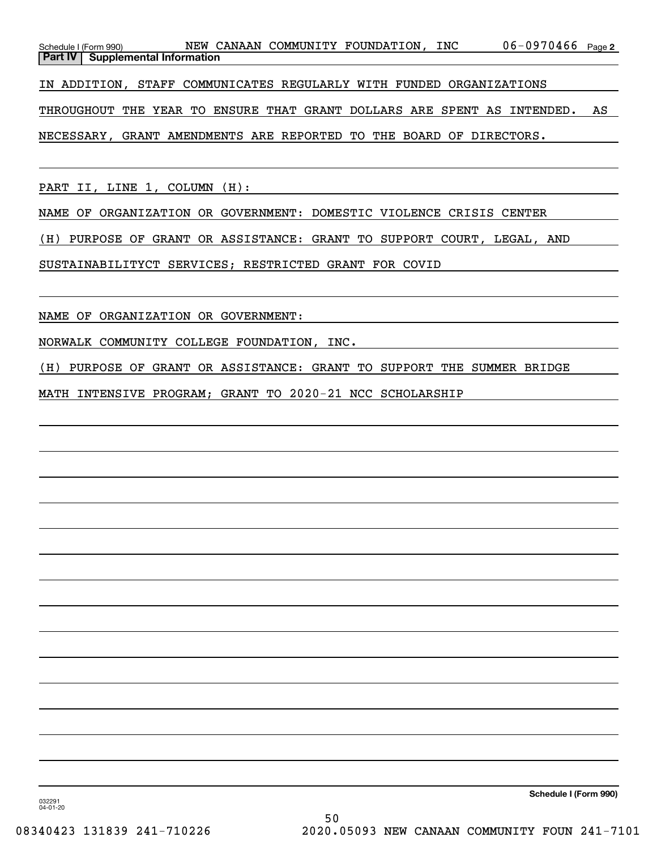| Schedule I (Form 990) |                                           |  | NEW CANAAN COMMUNITY FOUNDATION, | INC | $06 - 0970466$ Page 2 |  |
|-----------------------|-------------------------------------------|--|----------------------------------|-----|-----------------------|--|
|                       | <b>Part IV   Supplemental Information</b> |  |                                  |     |                       |  |

IN ADDITION, STAFF COMMUNICATES REGULARLY WITH FUNDED ORGANIZATIONS

THROUGHOUT THE YEAR TO ENSURE THAT GRANT DOLLARS ARE SPENT AS INTENDED. AS

NECESSARY, GRANT AMENDMENTS ARE REPORTED TO THE BOARD OF DIRECTORS.

PART II, LINE 1, COLUMN (H):

NAME OF ORGANIZATION OR GOVERNMENT: DOMESTIC VIOLENCE CRISIS CENTER

(H) PURPOSE OF GRANT OR ASSISTANCE: GRANT TO SUPPORT COURT, LEGAL, AND

SUSTAINABILITYCT SERVICES; RESTRICTED GRANT FOR COVID

NAME OF ORGANIZATION OR GOVERNMENT:

NORWALK COMMUNITY COLLEGE FOUNDATION, INC.

(H) PURPOSE OF GRANT OR ASSISTANCE: GRANT TO SUPPORT THE SUMMER BRIDGE

MATH INTENSIVE PROGRAM; GRANT TO 2020-21 NCC SCHOLARSHIP

**Schedule I (Form 990)**

032291 04-01-20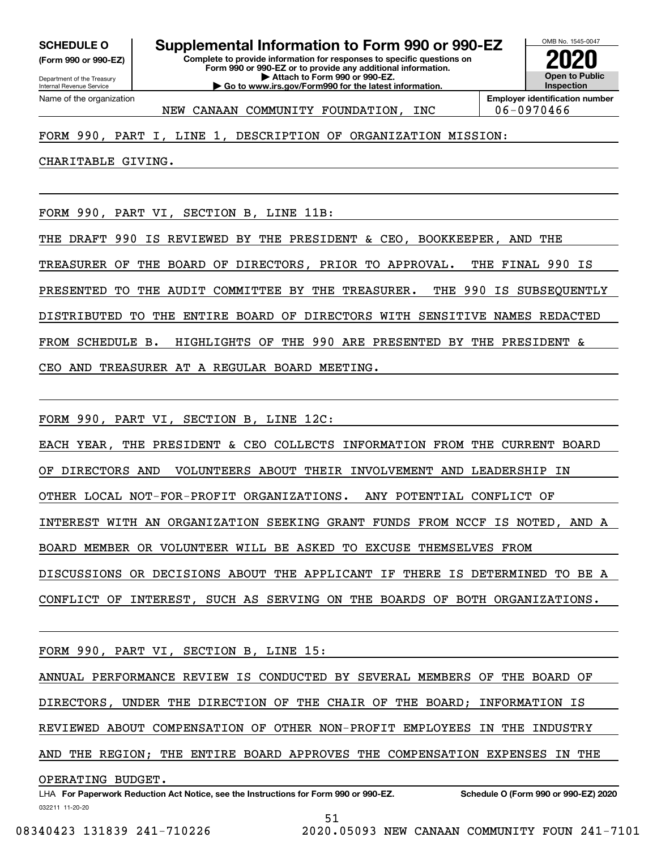**(Form 990 or 990-EZ)**

Department of the Treasury Internal Revenue Service Name of the organization

**Complete to provide information for responses to specific questions on Form 990 or 990-EZ or to provide any additional information. | Attach to Form 990 or 990-EZ. | Go to www.irs.gov/Form990 for the latest information. SCHEDULE O Supplemental Information to Form 990 or 990-EZ**



NEW CANAAN COMMUNITY FOUNDATION, INC | 06-0970466

## FORM 990, PART I, LINE 1, DESCRIPTION OF ORGANIZATION MISSION:

CHARITABLE GIVING.

FORM 990, PART VI, SECTION B, LINE 11B:

THE DRAFT 990 IS REVIEWED BY THE PRESIDENT & CEO, BOOKKEEPER, AND THE TREASURER OF THE BOARD OF DIRECTORS, PRIOR TO APPROVAL. THE FINAL 990 IS PRESENTED TO THE AUDIT COMMITTEE BY THE TREASURER. THE 990 IS SUBSEQUENTLY DISTRIBUTED TO THE ENTIRE BOARD OF DIRECTORS WITH SENSITIVE NAMES REDACTED FROM SCHEDULE B. HIGHLIGHTS OF THE 990 ARE PRESENTED BY THE PRESIDENT & CEO AND TREASURER AT A REGULAR BOARD MEETING.

FORM 990, PART VI, SECTION B, LINE 12C:

EACH YEAR, THE PRESIDENT & CEO COLLECTS INFORMATION FROM THE CURRENT BOARD OF DIRECTORS AND VOLUNTEERS ABOUT THEIR INVOLVEMENT AND LEADERSHIP IN OTHER LOCAL NOT-FOR-PROFIT ORGANIZATIONS. ANY POTENTIAL CONFLICT OF INTEREST WITH AN ORGANIZATION SEEKING GRANT FUNDS FROM NCCF IS NOTED, AND A BOARD MEMBER OR VOLUNTEER WILL BE ASKED TO EXCUSE THEMSELVES FROM DISCUSSIONS OR DECISIONS ABOUT THE APPLICANT IF THERE IS DETERMINED TO BE A CONFLICT OF INTEREST, SUCH AS SERVING ON THE BOARDS OF BOTH ORGANIZATIONS.

FORM 990, PART VI, SECTION B, LINE 15:

ANNUAL PERFORMANCE REVIEW IS CONDUCTED BY SEVERAL MEMBERS OF THE BOARD OF DIRECTORS, UNDER THE DIRECTION OF THE CHAIR OF THE BOARD; INFORMATION IS REVIEWED ABOUT COMPENSATION OF OTHER NON-PROFIT EMPLOYEES IN THE INDUSTRY AND THE REGION; THE ENTIRE BOARD APPROVES THE COMPENSATION EXPENSES IN THE

OPERATING BUDGET.